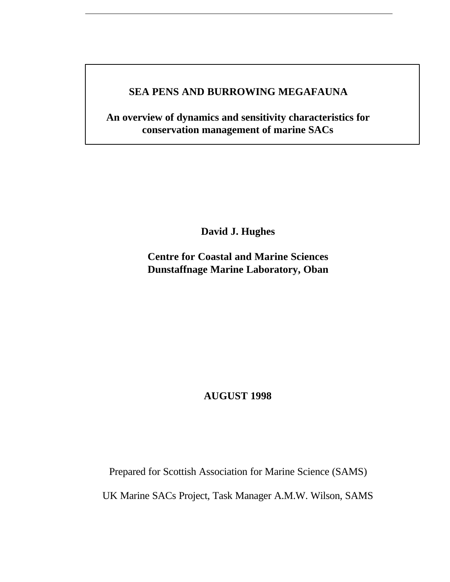# **SEA PENS AND BURROWING MEGAFAUNA**

**An overview of dynamics and sensitivity characteristics for conservation management of marine SACs**

**David J. Hughes**

**Centre for Coastal and Marine Sciences Dunstaffnage Marine Laboratory, Oban**

# **AUGUST 1998**

Prepared for Scottish Association for Marine Science (SAMS)

UK Marine SACs Project, Task Manager A.M.W. Wilson, SAMS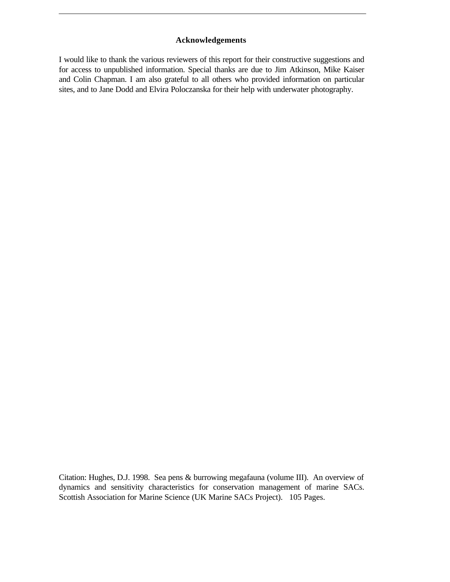# **Acknowledgements**

I would like to thank the various reviewers of this report for their constructive suggestions and for access to unpublished information. Special thanks are due to Jim Atkinson, Mike Kaiser and Colin Chapman. I am also grateful to all others who provided information on particular sites, and to Jane Dodd and Elvira Poloczanska for their help with underwater photography.

Citation: Hughes, D.J. 1998. Sea pens & burrowing megafauna (volume III). An overview of dynamics and sensitivity characteristics for conservation management of marine SACs. Scottish Association for Marine Science (UK Marine SACs Project). 105 Pages.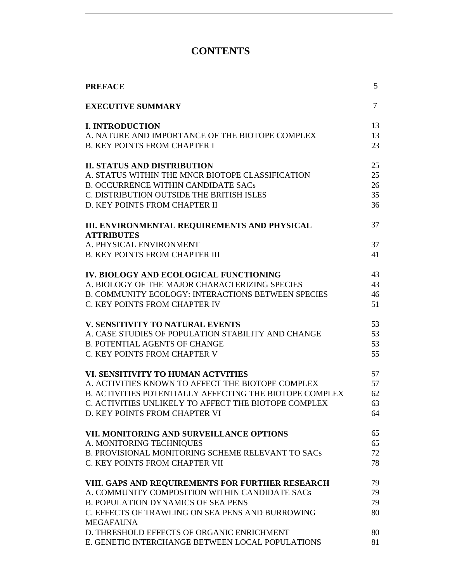# **CONTENTS**

| <b>PREFACE</b>                                                 | 5  |
|----------------------------------------------------------------|----|
| <b>EXECUTIVE SUMMARY</b>                                       | 7  |
| <b>I. INTRODUCTION</b>                                         | 13 |
| A. NATURE AND IMPORTANCE OF THE BIOTOPE COMPLEX                | 13 |
| <b>B. KEY POINTS FROM CHAPTER I</b>                            | 23 |
| <b>II. STATUS AND DISTRIBUTION</b>                             | 25 |
| A. STATUS WITHIN THE MNCR BIOTOPE CLASSIFICATION               | 25 |
| <b>B. OCCURRENCE WITHIN CANDIDATE SACS</b>                     | 26 |
| C. DISTRIBUTION OUTSIDE THE BRITISH ISLES                      | 35 |
| D. KEY POINTS FROM CHAPTER II                                  | 36 |
| III. ENVIRONMENTAL REQUIREMENTS AND PHYSICAL                   | 37 |
| <b>ATTRIBUTES</b><br>A. PHYSICAL ENVIRONMENT                   | 37 |
| <b>B. KEY POINTS FROM CHAPTER III</b>                          | 41 |
|                                                                |    |
| <b>IV. BIOLOGY AND ECOLOGICAL FUNCTIONING</b>                  | 43 |
| A. BIOLOGY OF THE MAJOR CHARACTERIZING SPECIES                 | 43 |
| <b>B. COMMUNITY ECOLOGY: INTERACTIONS BETWEEN SPECIES</b>      | 46 |
| C. KEY POINTS FROM CHAPTER IV                                  | 51 |
| <b>V. SENSITIVITY TO NATURAL EVENTS</b>                        | 53 |
| A. CASE STUDIES OF POPULATION STABILITY AND CHANGE             | 53 |
| <b>B. POTENTIAL AGENTS OF CHANGE</b>                           | 53 |
| C. KEY POINTS FROM CHAPTER V                                   | 55 |
| VI. SENSITIVITY TO HUMAN ACTVITIES                             | 57 |
| A. ACTIVITIES KNOWN TO AFFECT THE BIOTOPE COMPLEX              | 57 |
| <b>B. ACTIVITIES POTENTIALLY AFFECTING THE BIOTOPE COMPLEX</b> | 62 |
| C. ACTIVITIES UNLIKELY TO AFFECT THE BIOTOPE COMPLEX           | 63 |
| D. KEY POINTS FROM CHAPTER VI                                  | 64 |
| VII. MONITORING AND SURVEILLANCE OPTIONS                       | 65 |
| A. MONITORING TECHNIQUES                                       | 65 |
| B. PROVISIONAL MONITORING SCHEME RELEVANT TO SACS              | 72 |
| C. KEY POINTS FROM CHAPTER VII                                 | 78 |
| VIII. GAPS AND REQUIREMENTS FOR FURTHER RESEARCH               | 79 |
| A. COMMUNITY COMPOSITION WITHIN CANDIDATE SACS                 | 79 |
| <b>B. POPULATION DYNAMICS OF SEA PENS</b>                      | 79 |
| C. EFFECTS OF TRAWLING ON SEA PENS AND BURROWING               | 80 |
| <b>MEGAFAUNA</b>                                               |    |
| D. THRESHOLD EFFECTS OF ORGANIC ENRICHMENT                     | 80 |
| E. GENETIC INTERCHANGE BETWEEN LOCAL POPULATIONS               | 81 |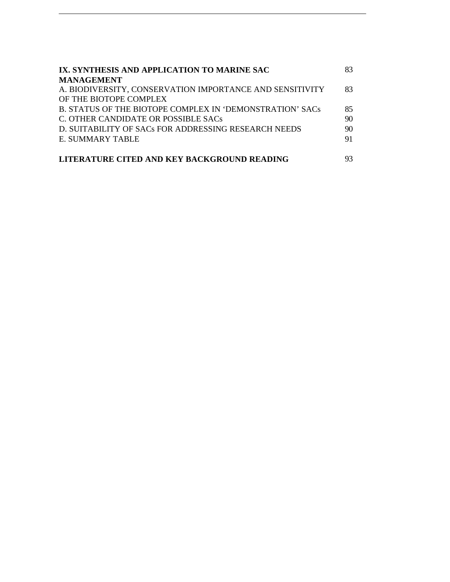| IX. SYNTHESIS AND APPLICATION TO MARINE SAC              | 83 |
|----------------------------------------------------------|----|
| <b>MANAGEMENT</b>                                        |    |
| A. BIODIVERSITY, CONSERVATION IMPORTANCE AND SENSITIVITY | 83 |
| OF THE BIOTOPE COMPLEX                                   |    |
| B. STATUS OF THE BIOTOPE COMPLEX IN 'DEMONSTRATION' SACS | 85 |
| C. OTHER CANDIDATE OR POSSIBLE SACS                      | 90 |
| D. SUITABILITY OF SACs FOR ADDRESSING RESEARCH NEEDS     | 90 |
| E. SUMMARY TABLE                                         | 91 |
|                                                          |    |
| LITERATURE CITED AND KEY BACKGROUND READING              | 93 |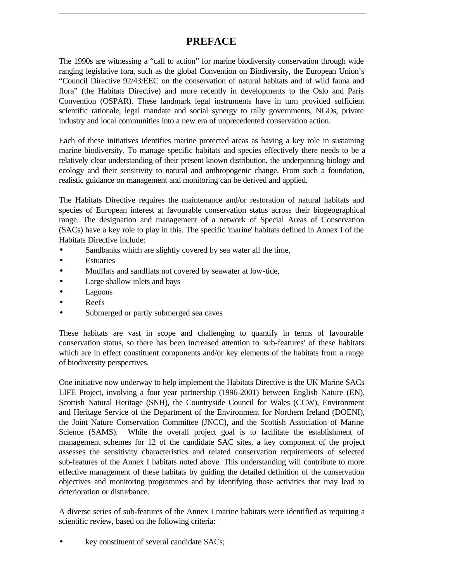# **PREFACE**

The 1990s are witnessing a "call to action" for marine biodiversity conservation through wide ranging legislative fora, such as the global Convention on Biodiversity, the European Union's "Council Directive 92/43/EEC on the conservation of natural habitats and of wild fauna and flora" (the Habitats Directive) and more recently in developments to the Oslo and Paris Convention (OSPAR). These landmark legal instruments have in turn provided sufficient scientific rationale, legal mandate and social synergy to rally governments, NGOs, private industry and local communities into a new era of unprecedented conservation action.

Each of these initiatives identifies marine protected areas as having a key role in sustaining marine biodiversity. To manage specific habitats and species effectively there needs to be a relatively clear understanding of their present known distribution, the underpinning biology and ecology and their sensitivity to natural and anthropogenic change. From such a foundation, realistic guidance on management and monitoring can be derived and applied.

The Habitats Directive requires the maintenance and/or restoration of natural habitats and species of European interest at favourable conservation status across their biogeographical range. The designation and management of a network of Special Areas of Conservation (SACs) have a key role to play in this. The specific 'marine' habitats defined in Annex I of the Habitats Directive include:

- Sandbanks which are slightly covered by sea water all the time,
- Estuaries
- Mudflats and sandflats not covered by seawater at low-tide,
- Large shallow inlets and bays
- Lagoons
- Reefs
- Submerged or partly submerged sea caves

These habitats are vast in scope and challenging to quantify in terms of favourable conservation status, so there has been increased attention to 'sub-features' of these habitats which are in effect constituent components and/or key elements of the habitats from a range of biodiversity perspectives.

One initiative now underway to help implement the Habitats Directive is the UK Marine SACs LIFE Project, involving a four year partnership (1996-2001) between English Nature (EN), Scottish Natural Heritage (SNH), the Countryside Council for Wales (CCW), Environment and Heritage Service of the Department of the Environment for Northern Ireland (DOENI), the Joint Nature Conservation Committee (JNCC), and the Scottish Association of Marine Science (SAMS). While the overall project goal is to facilitate the establishment of management schemes for 12 of the candidate SAC sites, a key component of the project assesses the sensitivity characteristics and related conservation requirements of selected sub-features of the Annex I habitats noted above. This understanding will contribute to more effective management of these habitats by guiding the detailed definition of the conservation objectives and monitoring programmes and by identifying those activities that may lead to deterioration or disturbance.

A diverse series of sub-features of the Annex I marine habitats were identified as requiring a scientific review, based on the following criteria:

key constituent of several candidate SACs;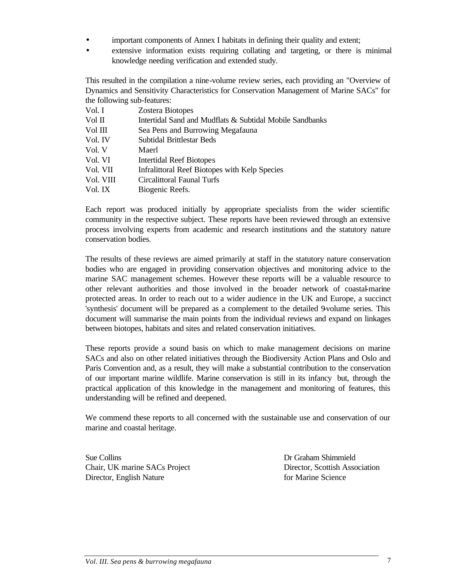- important components of Annex I habitats in defining their quality and extent;
- extensive information exists requiring collating and targeting, or there is minimal knowledge needing verification and extended study.

This resulted in the compilation a nine-volume review series, each providing an "Overview of Dynamics and Sensitivity Characteristics for Conservation Management of Marine SACs" for the following sub-features:

| Vol. I    | Zostera Biotopes                                         |
|-----------|----------------------------------------------------------|
| Vol II    | Intertidal Sand and Mudflats & Subtidal Mobile Sandbanks |
| Vol III   | Sea Pens and Burrowing Megafauna                         |
| Vol. IV   | <b>Subtidal Brittlestar Beds</b>                         |
| Vol. V    | Maerl                                                    |
| Vol. VI   | <b>Intertidal Reef Biotopes</b>                          |
| Vol. VII  | <b>Infralittoral Reef Biotopes with Kelp Species</b>     |
| Vol. VIII | Circalittoral Faunal Turfs                               |
| Vol. IX   | Biogenic Reefs.                                          |
|           |                                                          |

Each report was produced initially by appropriate specialists from the wider scientific community in the respective subject. These reports have been reviewed through an extensive process involving experts from academic and research institutions and the statutory nature conservation bodies.

The results of these reviews are aimed primarily at staff in the statutory nature conservation bodies who are engaged in providing conservation objectives and monitoring advice to the marine SAC management schemes. However these reports will be a valuable resource to other relevant authorities and those involved in the broader network of coastal-marine protected areas. In order to reach out to a wider audience in the UK and Europe, a succinct 'synthesis' document will be prepared as a complement to the detailed 9-volume series. This document will summarise the main points from the individual reviews and expand on linkages between biotopes, habitats and sites and related conservation initiatives.

These reports provide a sound basis on which to make management decisions on marine SACs and also on other related initiatives through the Biodiversity Action Plans and Oslo and Paris Convention and, as a result, they will make a substantial contribution to the conservation of our important marine wildlife. Marine conservation is still in its infancy but, through the practical application of this knowledge in the management and monitoring of features, this understanding will be refined and deepened.

We commend these reports to all concerned with the sustainable use and conservation of our marine and coastal heritage.

Sue Collins Dr Graham Shimmield Chair, UK marine SACs Project Director, Scottish Association Director, English Nature for Marine Science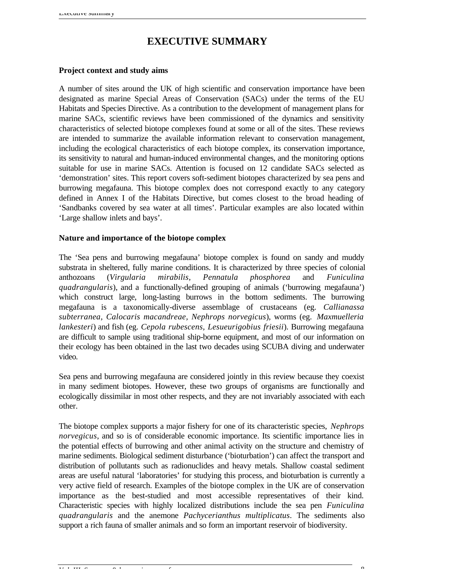# **EXECUTIVE SUMMARY**

## **Project context and study aims**

A number of sites around the UK of high scientific and conservation importance have been designated as marine Special Areas of Conservation (SACs) under the terms of the EU Habitats and Species Directive. As a contribution to the development of management plans for marine SACs, scientific reviews have been commissioned of the dynamics and sensitivity characteristics of selected biotope complexes found at some or all of the sites. These reviews are intended to summarize the available information relevant to conservation management, including the ecological characteristics of each biotope complex, its conservation importance, its sensitivity to natural and human-induced environmental changes, and the monitoring options suitable for use in marine SACs. Attention is focused on 12 candidate SACs selected as 'demonstration' sites. This report covers soft-sediment biotopes characterized by sea pens and burrowing megafauna. This biotope complex does not correspond exactly to any category defined in Annex I of the Habitats Directive, but comes closest to the broad heading of 'Sandbanks covered by sea water at all times'. Particular examples are also located within 'Large shallow inlets and bays'.

### **Nature and importance of the biotope complex**

The 'Sea pens and burrowing megafauna' biotope complex is found on sandy and muddy substrata in sheltered, fully marine conditions. It is characterized by three species of colonial anthozoans (*Virgularia mirabilis, Pennatula phosphorea* and *Funiculina quadrangularis*), and a functionally-defined grouping of animals ('burrowing megafauna') which construct large, long-lasting burrows in the bottom sediments. The burrowing megafauna is a taxonomically-diverse assemblage of crustaceans (eg. *Callianassa subterranea, Calocaris macandreae, Nephrops norvegicus*), worms (eg. *Maxmuelleria lankesteri*) and fish (eg. *Cepola rubescens, Lesueurigobius friesii*). Burrowing megafauna are difficult to sample using traditional ship-borne equipment, and most of our information on their ecology has been obtained in the last two decades using SCUBA diving and underwater video.

Sea pens and burrowing megafauna are considered jointly in this review because they coexist in many sediment biotopes. However, these two groups of organisms are functionally and ecologically dissimilar in most other respects, and they are not invariably associated with each other.

The biotope complex supports a major fishery for one of its characteristic species, *Nephrops norvegicus*, and so is of considerable economic importance. Its scientific importance lies in the potential effects of burrowing and other animal activity on the structure and chemistry of marine sediments. Biological sediment disturbance ('bioturbation') can affect the transport and distribution of pollutants such as radionuclides and heavy metals. Shallow coastal sediment areas are useful natural 'laboratories' for studying this process, and bioturbation is currently a very active field of research. Examples of the biotope complex in the UK are of conservation importance as the best-studied and most accessible representatives of their kind. Characteristic species with highly localized distributions include the sea pen *Funiculina quadrangularis* and the anemone *Pachycerianthus multiplicatus*. The sediments also support a rich fauna of smaller animals and so form an important reservoir of biodiversity.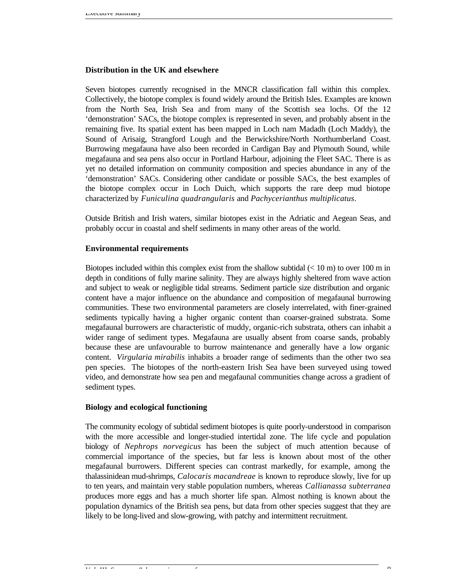#### **Distribution in the UK and elsewhere**

Seven biotopes currently recognised in the MNCR classification fall within this complex. Collectively, the biotope complex is found widely around the British Isles. Examples are known from the North Sea, Irish Sea and from many of the Scottish sea lochs. Of the 12 'demonstration' SACs, the biotope complex is represented in seven, and probably absent in the remaining five. Its spatial extent has been mapped in Loch nam Madadh (Loch Maddy), the Sound of Arisaig, Strangford Lough and the Berwickshire/North Northumberland Coast. Burrowing megafauna have also been recorded in Cardigan Bay and Plymouth Sound, while megafauna and sea pens also occur in Portland Harbour, adjoining the Fleet SAC. There is as yet no detailed information on community composition and species abundance in any of the 'demonstration' SACs. Considering other candidate or possible SACs, the best examples of the biotope complex occur in Loch Duich, which supports the rare deep mud biotope characterized by *Funiculina quadrangularis* and *Pachycerianthus multiplicatus*.

Outside British and Irish waters, similar biotopes exist in the Adriatic and Aegean Seas, and probably occur in coastal and shelf sediments in many other areas of the world.

#### **Environmental requirements**

Biotopes included within this complex exist from the shallow subtidal  $(< 10 \text{ m})$  to over 100 m in depth in conditions of fully marine salinity. They are always highly sheltered from wave action and subject to weak or negligible tidal streams. Sediment particle size distribution and organic content have a major influence on the abundance and composition of megafaunal burrowing communities. These two environmental parameters are closely interrelated, with finer-grained sediments typically having a higher organic content than coarser-grained substrata. Some megafaunal burrowers are characteristic of muddy, organic-rich substrata, others can inhabit a wider range of sediment types. Megafauna are usually absent from coarse sands, probably because these are unfavourable to burrow maintenance and generally have a low organic content. *Virgularia mirabilis* inhabits a broader range of sediments than the other two sea pen species. The biotopes of the north-eastern Irish Sea have been surveyed using towed video, and demonstrate how sea pen and megafaunal communities change across a gradient of sediment types.

#### **Biology and ecological functioning**

The community ecology of subtidal sediment biotopes is quite poorly-understood in comparison with the more accessible and longer-studied intertidal zone. The life cycle and population biology of *Nephrops norvegicus* has been the subject of much attention because of commercial importance of the species, but far less is known about most of the other megafaunal burrowers. Different species can contrast markedly, for example, among the thalassinidean mud-shrimps, *Calocaris macandreae* is known to reproduce slowly, live for up to ten years, and maintain very stable population numbers, whereas *Callianassa subterranea* produces more eggs and has a much shorter life span. Almost nothing is known about the population dynamics of the British sea pens, but data from other species suggest that they are likely to be long-lived and slow-growing, with patchy and intermittent recruitment.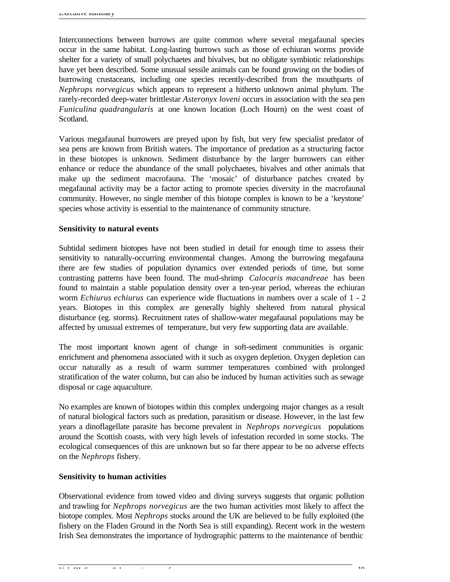Interconnections between burrows are quite common where several megafaunal species occur in the same habitat. Long-lasting burrows such as those of echiuran worms provide shelter for a variety of small polychaetes and bivalves, but no obligate symbiotic relationships have yet been described. Some unusual sessile animals can be found growing on the bodies of burrowing crustaceans, including one species recently-described from the mouthparts of *Nephrops norvegicus* which appears to represent a hitherto unknown animal phylum. The rarely-recorded deep-water brittlestar *Asteronyx loveni* occurs in association with the sea pen *Funiculina quadrangularis* at one known location (Loch Hourn) on the west coast of Scotland.

Various megafaunal burrowers are preyed upon by fish, but very few specialist predator of sea pens are known from British waters. The importance of predation as a structuring factor in these biotopes is unknown. Sediment disturbance by the larger burrowers can either enhance or reduce the abundance of the small polychaetes, bivalves and other animals that make up the sediment macrofauna. The 'mosaic' of disturbance patches created by megafaunal activity may be a factor acting to promote species diversity in the macrofaunal community. However, no single member of this biotope complex is known to be a 'keystone' species whose activity is essential to the maintenance of community structure.

# **Sensitivity to natural events**

Subtidal sediment biotopes have not been studied in detail for enough time to assess their sensitivity to naturally-occurring environmental changes. Among the burrowing megafauna there are few studies of population dynamics over extended periods of time, but some contrasting patterns have been found. The mud-shrimp *Calocaris macandreae* has been found to maintain a stable population density over a ten-year period, whereas the echiuran worm *Echiurus echiurus* can experience wide fluctuations in numbers over a scale of 1 - 2 years. Biotopes in this complex are generally highly sheltered from natural physical disturbance (eg. storms). Recruitment rates of shallow-water megafaunal populations may be affected by unusual extremes of temperature, but very few supporting data are available.

The most important known agent of change in soft-sediment communities is organic enrichment and phenomena associated with it such as oxygen depletion. Oxygen depletion can occur naturally as a result of warm summer temperatures combined with prolonged stratification of the water column, but can also be induced by human activities such as sewage disposal or cage aquaculture.

No examples are known of biotopes within this complex undergoing major changes as a result of natural biological factors such as predation, parasitism or disease. However, in the last few years a dinoflagellate parasite has become prevalent in *Nephrops norvegicus* populations around the Scottish coasts, with very high levels of infestation recorded in some stocks. The ecological consequences of this are unknown but so far there appear to be no adverse effects on the *Nephrops* fishery.

# **Sensitivity to human activities**

Observational evidence from towed video and diving surveys suggests that organic pollution and trawling for *Nephrops norvegicus* are the two human activities most likely to affect the biotope complex. Most *Nephrops* stocks around the UK are believed to be fully exploited (the fishery on the Fladen Ground in the North Sea is still expanding). Recent work in the western Irish Sea demonstrates the importance of hydrographic patterns to the maintenance of benthic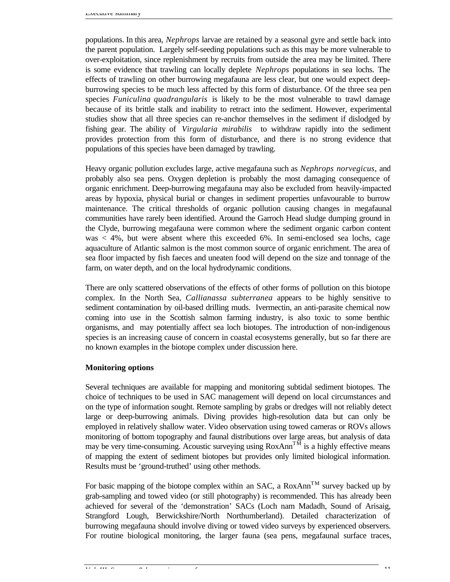populations. In this area, *Nephrops* larvae are retained by a seasonal gyre and settle back into the parent population. Largely self-seeding populations such as this may be more vulnerable to over-exploitation, since replenishment by recruits from outside the area may be limited. There is some evidence that trawling can locally deplete *Nephrops* populations in sea lochs. The effects of trawling on other burrowing megafauna are less clear, but one would expect deepburrowing species to be much less affected by this form of disturbance. Of the three sea pen species *Funiculina quadrangularis* is likely to be the most vulnerable to trawl damage because of its brittle stalk and inability to retract into the sediment. However, experimental studies show that all three species can re-anchor themselves in the sediment if dislodged by fishing gear. The ability of *Virgularia mirabilis* to withdraw rapidly into the sediment provides protection from this form of disturbance, and there is no strong evidence that populations of this species have been damaged by trawling.

Heavy organic pollution excludes large, active megafauna such as *Nephrops norvegicus*, and probably also sea pens. Oxygen depletion is probably the most damaging consequence of organic enrichment. Deep-burrowing megafauna may also be excluded from heavily-impacted areas by hypoxia, physical burial or changes in sediment properties unfavourable to burrow maintenance. The critical thresholds of organic pollution causing changes in megafaunal communities have rarely been identified. Around the Garroch Head sludge dumping ground in the Clyde, burrowing megafauna were common where the sediment organic carbon content was < 4%, but were absent where this exceeded 6%. In semi-enclosed sea lochs, cage aquaculture of Atlantic salmon is the most common source of organic enrichment. The area of sea floor impacted by fish faeces and uneaten food will depend on the size and tonnage of the farm, on water depth, and on the local hydrodynamic conditions.

There are only scattered observations of the effects of other forms of pollution on this biotope complex. In the North Sea, *Callianassa subterranea* appears to be highly sensitive to sediment contamination by oil-based drilling muds. Ivermectin, an anti-parasite chemical now coming into use in the Scottish salmon farming industry, is also toxic to some benthic organisms, and may potentially affect sea loch biotopes. The introduction of non-indigenous species is an increasing cause of concern in coastal ecosystems generally, but so far there are no known examples in the biotope complex under discussion here.

# **Monitoring options**

Several techniques are available for mapping and monitoring subtidal sediment biotopes. The choice of techniques to be used in SAC management will depend on local circumstances and on the type of information sought. Remote sampling by grabs or dredges will not reliably detect large or deep-burrowing animals. Diving provides high-resolution data but can only be employed in relatively shallow water. Video observation using towed cameras or ROVs allows monitoring of bottom topography and faunal distributions over large areas, but analysis of data may be very time-consuming. Acoustic surveying using  $RoxAnn<sup>TM</sup>$  is a highly effective means of mapping the extent of sediment biotopes but provides only limited biological information. Results must be 'ground-truthed' using other methods.

For basic mapping of the biotope complex within an SAC, a RoxAnn<sup>TM</sup> survey backed up by grab-sampling and towed video (or still photography) is recommended. This has already been achieved for several of the 'demonstration' SACs (Loch nam Madadh, Sound of Arisaig, Strangford Lough, Berwickshire/North Northumberland). Detailed characterization of burrowing megafauna should involve diving or towed video surveys by experienced observers. For routine biological monitoring, the larger fauna (sea pens, megafaunal surface traces,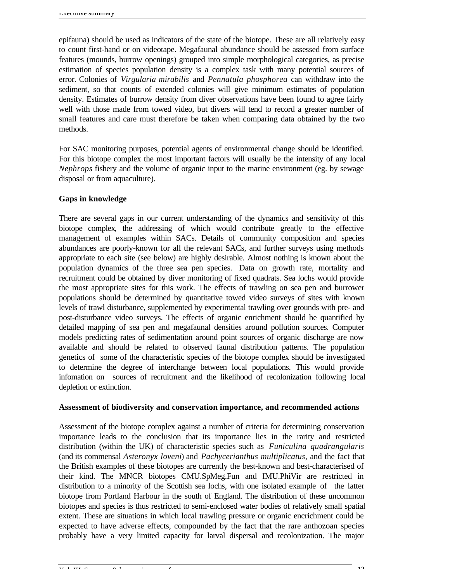epifauna) should be used as indicators of the state of the biotope. These are all relatively easy to count first-hand or on videotape. Megafaunal abundance should be assessed from surface features (mounds, burrow openings) grouped into simple morphological categories, as precise estimation of species population density is a complex task with many potential sources of error. Colonies of *Virgularia mirabilis* and *Pennatula phosphorea* can withdraw into the sediment, so that counts of extended colonies will give minimum estimates of population density. Estimates of burrow density from diver observations have been found to agree fairly well with those made from towed video, but divers will tend to record a greater number of small features and care must therefore be taken when comparing data obtained by the two methods.

For SAC monitoring purposes, potential agents of environmental change should be identified. For this biotope complex the most important factors will usually be the intensity of any local *Nephrops* fishery and the volume of organic input to the marine environment (eg. by sewage disposal or from aquaculture).

# **Gaps in knowledge**

There are several gaps in our current understanding of the dynamics and sensitivity of this biotope complex, the addressing of which would contribute greatly to the effective management of examples within SACs. Details of community composition and species abundances are poorly-known for all the relevant SACs, and further surveys using methods appropriate to each site (see below) are highly desirable. Almost nothing is known about the population dynamics of the three sea pen species. Data on growth rate, mortality and recruitment could be obtained by diver monitoring of fixed quadrats. Sea lochs would provide the most appropriate sites for this work. The effects of trawling on sea pen and burrower populations should be determined by quantitative towed video surveys of sites with known levels of trawl disturbance, supplemented by experimental trawling over grounds with pre- and post-disturbance video surveys. The effects of organic enrichment should be quantified by detailed mapping of sea pen and megafaunal densities around pollution sources. Computer models predicting rates of sedimentation around point sources of organic discharge are now available and should be related to observed faunal distribution patterns. The population genetics of some of the characteristic species of the biotope complex should be investigated to determine the degree of interchange between local populations. This would provide infomation on sources of recruitment and the likelihood of recolonization following local depletion or extinction.

#### **Assessment of biodiversity and conservation importance, and recommended actions**

Assessment of the biotope complex against a number of criteria for determining conservation importance leads to the conclusion that its importance lies in the rarity and restricted distribution (within the UK) of characteristic species such as *Funiculina quadrangularis* (and its commensal *Asteronyx loveni*) and *Pachycerianthus multiplicatus*, and the fact that the British examples of these biotopes are currently the best-known and best-characterised of their kind. The MNCR biotopes CMU.SpMeg.Fun and IMU.PhiVir are restricted in distribution to a minority of the Scottish sea lochs, with one isolated example of the latter biotope from Portland Harbour in the south of England. The distribution of these uncommon biotopes and species is thus restricted to semi-enclosed water bodies of relatively small spatial extent. These are situations in which local trawling pressure or organic encrichment could be expected to have adverse effects, compounded by the fact that the rare anthozoan species probably have a very limited capacity for larval dispersal and recolonization. The major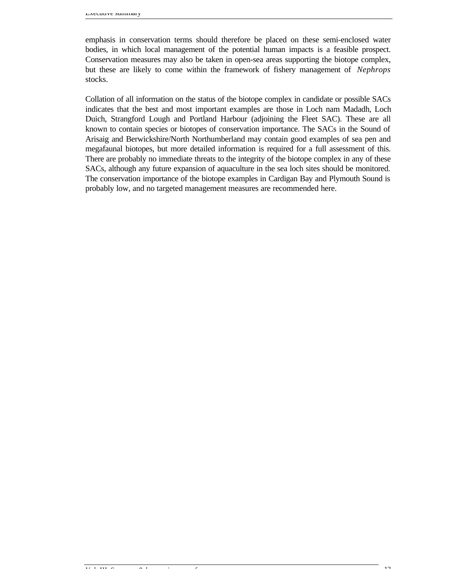emphasis in conservation terms should therefore be placed on these semi-enclosed water bodies, in which local management of the potential human impacts is a feasible prospect. Conservation measures may also be taken in open-sea areas supporting the biotope complex, but these are likely to come within the framework of fishery management of *Nephrops* stocks.

Collation of all information on the status of the biotope complex in candidate or possible SACs indicates that the best and most important examples are those in Loch nam Madadh, Loch Duich, Strangford Lough and Portland Harbour (adjoining the Fleet SAC). These are all known to contain species or biotopes of conservation importance. The SACs in the Sound of Arisaig and Berwickshire/North Northumberland may contain good examples of sea pen and megafaunal biotopes, but more detailed information is required for a full assessment of this. There are probably no immediate threats to the integrity of the biotope complex in any of these SACs, although any future expansion of aquaculture in the sea loch sites should be monitored. The conservation importance of the biotope examples in Cardigan Bay and Plymouth Sound is probably low, and no targeted management measures are recommended here.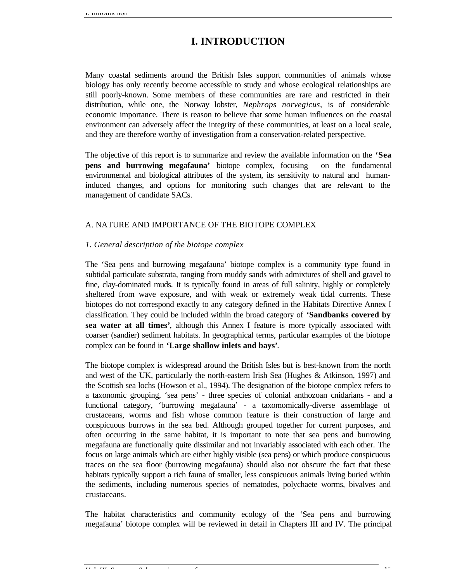# **I. INTRODUCTION**

Many coastal sediments around the British Isles support communities of animals whose biology has only recently become accessible to study and whose ecological relationships are still poorly-known. Some members of these communities are rare and restricted in their distribution, while one, the Norway lobster, *Nephrops norvegicus,* is of considerable economic importance. There is reason to believe that some human influences on the coastal environment can adversely affect the integrity of these communities, at least on a local scale, and they are therefore worthy of investigation from a conservation-related perspective.

The objective of this report is to summarize and review the available information on the **'Sea pens and burrowing megafauna'** biotope complex, focusing on the fundamental environmental and biological attributes of the system, its sensitivity to natural and humaninduced changes, and options for monitoring such changes that are relevant to the management of candidate SACs.

# A. NATURE AND IMPORTANCE OF THE BIOTOPE COMPLEX

# *1. General description of the biotope complex*

The 'Sea pens and burrowing megafauna' biotope complex is a community type found in subtidal particulate substrata, ranging from muddy sands with admixtures of shell and gravel to fine, clay-dominated muds. It is typically found in areas of full salinity, highly or completely sheltered from wave exposure, and with weak or extremely weak tidal currents. These biotopes do not correspond exactly to any category defined in the Habitats Directive Annex I classification. They could be included within the broad category of **'Sandbanks covered by sea water at all times'**, although this Annex I feature is more typically associated with coarser (sandier) sediment habitats. In geographical terms, particular examples of the biotope complex can be found in **'Large shallow inlets and bays'**.

The biotope complex is widespread around the British Isles but is best-known from the north and west of the UK, particularly the north-eastern Irish Sea (Hughes & Atkinson, 1997) and the Scottish sea lochs (Howson et al., 1994). The designation of the biotope complex refers to a taxonomic grouping, 'sea pens' - three species of colonial anthozoan cnidarians - and a functional category, 'burrowing megafauna' - a taxomomically-diverse assemblage of crustaceans, worms and fish whose common feature is their construction of large and conspicuous burrows in the sea bed. Although grouped together for current purposes, and often occurring in the same habitat, it is important to note that sea pens and burrowing megafauna are functionally quite dissimilar and not invariably associated with each other. The focus on large animals which are either highly visible (sea pens) or which produce conspicuous traces on the sea floor (burrowing megafauna) should also not obscure the fact that these habitats typically support a rich fauna of smaller, less conspicuous animals living buried within the sediments, including numerous species of nematodes, polychaete worms, bivalves and crustaceans.

The habitat characteristics and community ecology of the 'Sea pens and burrowing megafauna' biotope complex will be reviewed in detail in Chapters III and IV. The principal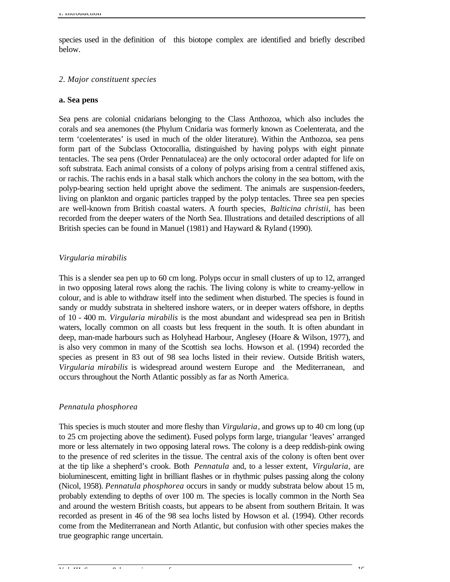species used in the definition of this biotope complex are identified and briefly described below.

## *2. Major constituent species*

#### **a. Sea pens**

Sea pens are colonial cnidarians belonging to the Class Anthozoa, which also includes the corals and sea anemones (the Phylum Cnidaria was formerly known as Coelenterata, and the term 'coelenterates' is used in much of the older literature). Within the Anthozoa, sea pens form part of the Subclass Octocorallia, distinguished by having polyps with eight pinnate tentacles. The sea pens (Order Pennatulacea) are the only octocoral order adapted for life on soft substrata. Each animal consists of a colony of polyps arising from a central stiffened axis, or rachis. The rachis ends in a basal stalk which anchors the colony in the sea bottom, with the polyp-bearing section held upright above the sediment. The animals are suspension-feeders, living on plankton and organic particles trapped by the polyp tentacles. Three sea pen species are well-known from British coastal waters. A fourth species, *Balticina christii*, has been recorded from the deeper waters of the North Sea. Illustrations and detailed descriptions of all British species can be found in Manuel (1981) and Hayward & Ryland (1990).

### *Virgularia mirabilis*

This is a slender sea pen up to 60 cm long. Polyps occur in small clusters of up to 12, arranged in two opposing lateral rows along the rachis. The living colony is white to creamy-yellow in colour, and is able to withdraw itself into the sediment when disturbed. The species is found in sandy or muddy substrata in sheltered inshore waters, or in deeper waters offshore, in depths of 10 - 400 m. *Virgularia mirabilis* is the most abundant and widespread sea pen in British waters, locally common on all coasts but less frequent in the south. It is often abundant in deep, man-made harbours such as Holyhead Harbour, Anglesey (Hoare & Wilson, 1977), and is also very common in many of the Scottish sea lochs. Howson et al. (1994) recorded the species as present in 83 out of 98 sea lochs listed in their review. Outside British waters, *Virgularia mirabilis* is widespread around western Europe and the Mediterranean, and occurs throughout the North Atlantic possibly as far as North America.

# *Pennatula phosphorea*

This species is much stouter and more fleshy than *Virgularia*, and grows up to 40 cm long (up to 25 cm projecting above the sediment). Fused polyps form large, triangular 'leaves' arranged more or less alternately in two opposing lateral rows. The colony is a deep reddish-pink owing to the presence of red sclerites in the tissue. The central axis of the colony is often bent over at the tip like a shepherd's crook. Both *Pennatula* and, to a lesser extent, *Virgularia,* are bioluminescent, emitting light in brilliant flashes or in rhythmic pulses passing along the colony (Nicol, 1958). *Pennatula phosphorea* occurs in sandy or muddy substrata below about 15 m, probably extending to depths of over 100 m. The species is locally common in the North Sea and around the western British coasts, but appears to be absent from southern Britain. It was recorded as present in 46 of the 98 sea lochs listed by Howson et al. (1994). Other records come from the Mediterranean and North Atlantic, but confusion with other species makes the true geographic range uncertain.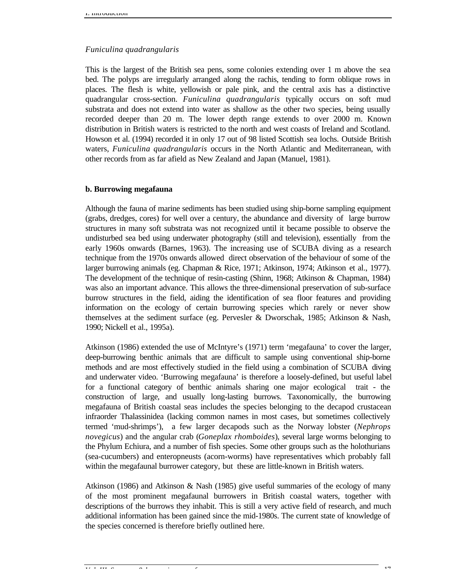### *Funiculina quadrangularis*

This is the largest of the British sea pens, some colonies extending over 1 m above the sea bed. The polyps are irregularly arranged along the rachis, tending to form oblique rows in places. The flesh is white, yellowish or pale pink, and the central axis has a distinctive quadrangular cross-section. *Funiculina quadrangularis* typically occurs on soft mud substrata and does not extend into water as shallow as the other two species, being usually recorded deeper than 20 m. The lower depth range extends to over 2000 m. Known distribution in British waters is restricted to the north and west coasts of Ireland and Scotland. Howson et al. (1994) recorded it in only 17 out of 98 listed Scottish sea lochs. Outside British waters, *Funiculina quadrangularis* occurs in the North Atlantic and Mediterranean, with other records from as far afield as New Zealand and Japan (Manuel, 1981).

#### **b. Burrowing megafauna**

Although the fauna of marine sediments has been studied using ship-borne sampling equipment (grabs, dredges, cores) for well over a century, the abundance and diversity of large burrow structures in many soft substrata was not recognized until it became possible to observe the undisturbed sea bed using underwater photography (still and television), essentially from the early 1960s onwards (Barnes, 1963). The increasing use of SCUBA diving as a research technique from the 1970s onwards allowed direct observation of the behaviour of some of the larger burrowing animals (eg. Chapman & Rice, 1971; Atkinson, 1974; Atkinson et al., 1977). The development of the technique of resin-casting (Shinn, 1968; Atkinson & Chapman, 1984) was also an important advance. This allows the three-dimensional preservation of sub-surface burrow structures in the field, aiding the identification of sea floor features and providing information on the ecology of certain burrowing species which rarely or never show themselves at the sediment surface (eg. Pervesler & Dworschak, 1985; Atkinson & Nash, 1990; Nickell et al., 1995a).

Atkinson (1986) extended the use of McIntyre's (1971) term 'megafauna' to cover the larger, deep-burrowing benthic animals that are difficult to sample using conventional ship-borne methods and are most effectively studied in the field using a combination of SCUBA diving and underwater video. 'Burrowing megafauna' is therefore a loosely-defined, but useful label for a functional category of benthic animals sharing one major ecological trait - the construction of large, and usually long-lasting burrows. Taxonomically, the burrowing megafauna of British coastal seas includes the species belonging to the decapod crustacean infraorder Thalassinidea (lacking common names in most cases, but sometimes collectively termed 'mud-shrimps'), a few larger decapods such as the Norway lobster (*Nephrops novegicus*) and the angular crab (*Goneplax rhomboides*), several large worms belonging to the Phylum Echiura, and a number of fish species. Some other groups such as the holothurians (sea-cucumbers) and enteropneusts (acorn-worms) have representatives which probably fall within the megafaunal burrower category, but these are little-known in British waters.

Atkinson (1986) and Atkinson & Nash (1985) give useful summaries of the ecology of many of the most prominent megafaunal burrowers in British coastal waters, together with descriptions of the burrows they inhabit. This is still a very active field of research, and much additional information has been gained since the mid-1980s. The current state of knowledge of the species concerned is therefore briefly outlined here.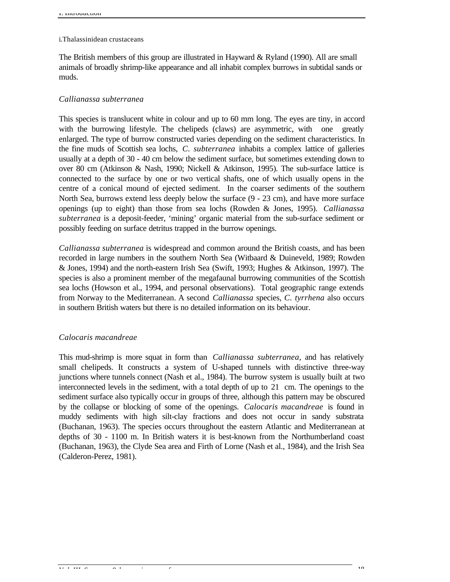#### i.Thalassinidean crustaceans

The British members of this group are illustrated in Hayward & Ryland (1990). All are small animals of broadly shrimp-like appearance and all inhabit complex burrows in subtidal sands or muds.

### *Callianassa subterranea*

This species is translucent white in colour and up to 60 mm long. The eyes are tiny, in accord with the burrowing lifestyle. The chelipeds (claws) are asymmetric, with one greatly enlarged. The type of burrow constructed varies depending on the sediment characteristics. In the fine muds of Scottish sea lochs, *C. subterranea* inhabits a complex lattice of galleries usually at a depth of 30 - 40 cm below the sediment surface, but sometimes extending down to over 80 cm (Atkinson & Nash, 1990; Nickell & Atkinson, 1995). The sub-surface lattice is connected to the surface by one or two vertical shafts, one of which usually opens in the centre of a conical mound of ejected sediment. In the coarser sediments of the southern North Sea, burrows extend less deeply below the surface (9 - 23 cm), and have more surface openings (up to eight) than those from sea lochs (Rowden & Jones, 1995). *Callianassa subterranea* is a deposit-feeder, 'mining' organic material from the sub-surface sediment or possibly feeding on surface detritus trapped in the burrow openings.

*Callianassa subterranea* is widespread and common around the British coasts, and has been recorded in large numbers in the southern North Sea (Witbaard & Duineveld, 1989; Rowden & Jones, 1994) and the north-eastern Irish Sea (Swift, 1993; Hughes & Atkinson, 1997). The species is also a prominent member of the megafaunal burrowing communities of the Scottish sea lochs (Howson et al., 1994, and personal observations). Total geographic range extends from Norway to the Mediterranean. A second *Callianassa* species, *C. tyrrhena* also occurs in southern British waters but there is no detailed information on its behaviour.

# *Calocaris macandreae*

This mud-shrimp is more squat in form than *Callianassa subterranea*, and has relatively small chelipeds. It constructs a system of U-shaped tunnels with distinctive three-way junctions where tunnels connect (Nash et al., 1984). The burrow system is usually built at two interconnected levels in the sediment, with a total depth of up to 21 cm. The openings to the sediment surface also typically occur in groups of three, although this pattern may be obscured by the collapse or blocking of some of the openings. *Calocaris macandreae* is found in muddy sediments with high silt-clay fractions and does not occur in sandy substrata (Buchanan, 1963). The species occurs throughout the eastern Atlantic and Mediterranean at depths of 30 - 1100 m. In British waters it is best-known from the Northumberland coast (Buchanan, 1963), the Clyde Sea area and Firth of Lorne (Nash et al., 1984), and the Irish Sea (Calderon-Perez, 1981).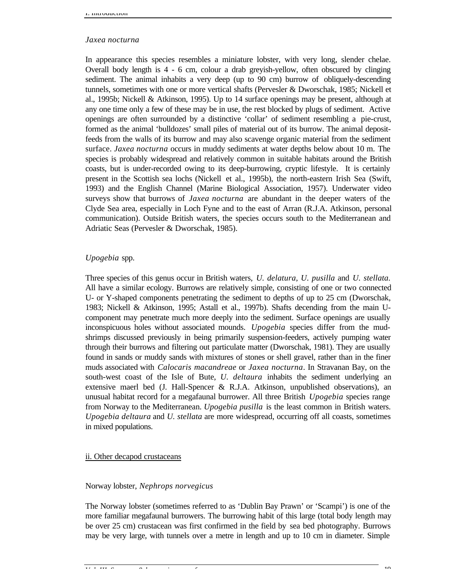#### *Jaxea nocturna*

In appearance this species resembles a miniature lobster, with very long, slender chelae. Overall body length is 4 - 6 cm, colour a drab greyish-yellow, often obscured by clinging sediment. The animal inhabits a very deep (up to 90 cm) burrow of obliquely-descending tunnels, sometimes with one or more vertical shafts (Pervesler & Dworschak, 1985; Nickell et al., 1995b; Nickell & Atkinson, 1995). Up to 14 surface openings may be present, although at any one time only a few of these may be in use, the rest blocked by plugs of sediment. Active openings are often surrounded by a distinctive 'collar' of sediment resembling a pie-crust, formed as the animal 'bulldozes' small piles of material out of its burrow. The animal depositfeeds from the walls of its burrow and may also scavenge organic material from the sediment surface. *Jaxea nocturna* occurs in muddy sediments at water depths below about 10 m. The species is probably widespread and relatively common in suitable habitats around the British coasts, but is under-recorded owing to its deep-burrowing, cryptic lifestyle. It is certainly present in the Scottish sea lochs (Nickell et al., 1995b), the north-eastern Irish Sea (Swift, 1993) and the English Channel (Marine Biological Association, 1957). Underwater video surveys show that burrows of *Jaxea nocturna* are abundant in the deeper waters of the Clyde Sea area, especially in Loch Fyne and to the east of Arran (R.J.A. Atkinson, personal communication). Outside British waters, the species occurs south to the Mediterranean and Adriatic Seas (Pervesler & Dworschak, 1985).

### *Upogebia* spp.

Three species of this genus occur in British waters, *U. delatura, U. pusilla* and *U. stellata.* All have a similar ecology. Burrows are relatively simple, consisting of one or two connected U- or Y-shaped components penetrating the sediment to depths of up to 25 cm (Dworschak, 1983; Nickell & Atkinson, 1995; Astall et al., 1997b). Shafts decending from the main Ucomponent may penetrate much more deeply into the sediment. Surface openings are usually inconspicuous holes without associated mounds. *Upogebia* species differ from the mudshrimps discussed previously in being primarily suspension-feeders, actively pumping water through their burrows and filtering out particulate matter (Dworschak, 1981). They are usually found in sands or muddy sands with mixtures of stones or shell gravel, rather than in the finer muds associated with *Calocaris macandreae* or *Jaxea nocturna*. In Stravanan Bay, on the south-west coast of the Isle of Bute, *U. deltaura* inhabits the sediment underlying an extensive maerl bed (J. Hall-Spencer & R.J.A. Atkinson, unpublished observations), an unusual habitat record for a megafaunal burrower. All three British *Upogebia* species range from Norway to the Mediterranean. *Upogebia pusilla* is the least common in British waters. *Upogebia deltaura* and *U. stellata* are more widespread, occurring off all coasts, sometimes in mixed populations.

# ii. Other decapod crustaceans

#### Norway lobster, *Nephrops norvegicus*

The Norway lobster (sometimes referred to as 'Dublin Bay Prawn' or 'Scampi') is one of the more familiar megafaunal burrowers. The burrowing habit of this large (total body length may be over 25 cm) crustacean was first confirmed in the field by sea bed photography. Burrows may be very large, with tunnels over a metre in length and up to 10 cm in diameter. Simple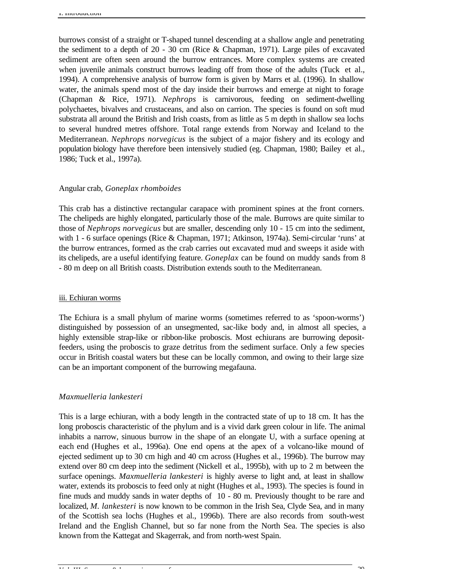burrows consist of a straight or T-shaped tunnel descending at a shallow angle and penetrating the sediment to a depth of 20 - 30 cm (Rice & Chapman, 1971). Large piles of excavated sediment are often seen around the burrow entrances. More complex systems are created when juvenile animals construct burrows leading off from those of the adults (Tuck et al., 1994). A comprehensive analysis of burrow form is given by Marrs et al. (1996). In shallow water, the animals spend most of the day inside their burrows and emerge at night to forage (Chapman & Rice, 1971). *Nephrops* is carnivorous, feeding on sediment-dwelling polychaetes, bivalves and crustaceans, and also on carrion. The species is found on soft mud substrata all around the British and Irish coasts, from as little as 5 m depth in shallow sea lochs to several hundred metres offshore. Total range extends from Norway and Iceland to the Mediterranean. *Nephrops norvegicus* is the subject of a major fishery and its ecology and population biology have therefore been intensively studied (eg. Chapman, 1980; Bailey et al., 1986; Tuck et al., 1997a).

### Angular crab, *Goneplax rhomboides*

This crab has a distinctive rectangular carapace with prominent spines at the front corners. The chelipeds are highly elongated, particularly those of the male. Burrows are quite similar to those of *Nephrops norvegicus* but are smaller, descending only 10 - 15 cm into the sediment, with 1 - 6 surface openings (Rice & Chapman, 1971; Atkinson, 1974a). Semi-circular 'runs' at the burrow entrances, formed as the crab carries out excavated mud and sweeps it aside with its chelipeds, are a useful identifying feature. *Goneplax* can be found on muddy sands from 8 - 80 m deep on all British coasts. Distribution extends south to the Mediterranean.

#### iii. Echiuran worms

The Echiura is a small phylum of marine worms (sometimes referred to as 'spoon-worms') distinguished by possession of an unsegmented, sac-like body and, in almost all species, a highly extensible strap-like or ribbon-like proboscis. Most echiurans are burrowing depositfeeders, using the proboscis to graze detritus from the sediment surface. Only a few species occur in British coastal waters but these can be locally common, and owing to their large size can be an important component of the burrowing megafauna.

# *Maxmuelleria lankesteri*

This is a large echiuran, with a body length in the contracted state of up to 18 cm. It has the long proboscis characteristic of the phylum and is a vivid dark green colour in life. The animal inhabits a narrow, sinuous burrow in the shape of an elongate U, with a surface opening at each end (Hughes et al., 1996a). One end opens at the apex of a volcano-like mound of ejected sediment up to 30 cm high and 40 cm across (Hughes et al., 1996b). The burrow may extend over 80 cm deep into the sediment (Nickell et al., 1995b), with up to 2 m between the surface openings. *Maxmuelleria lankesteri* is highly averse to light and, at least in shallow water, extends its proboscis to feed only at night (Hughes et al., 1993). The species is found in fine muds and muddy sands in water depths of 10 - 80 m. Previously thought to be rare and localized, *M. lankesteri* is now known to be common in the Irish Sea, Clyde Sea, and in many of the Scottish sea lochs (Hughes et al., 1996b). There are also records from south-west Ireland and the English Channel, but so far none from the North Sea. The species is also known from the Kattegat and Skagerrak, and from north-west Spain.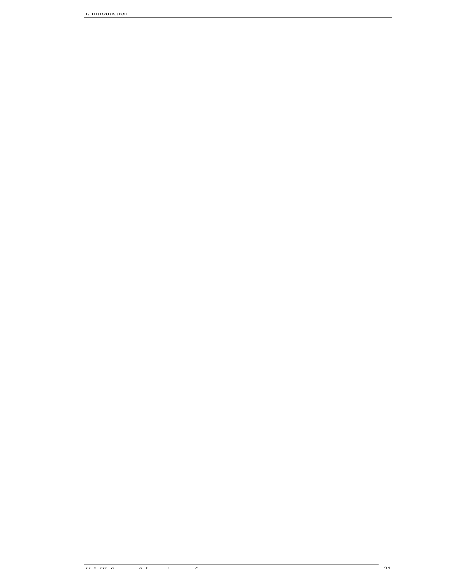I. Introduction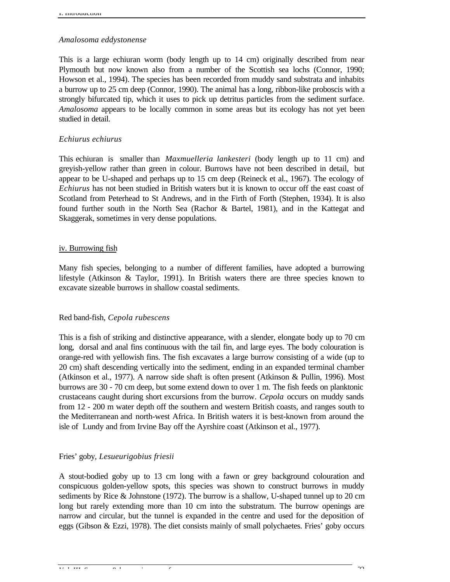#### *Amalosoma eddystonense*

This is a large echiuran worm (body length up to 14 cm) originally described from near Plymouth but now known also from a number of the Scottish sea lochs (Connor, 1990; Howson et al., 1994). The species has been recorded from muddy sand substrata and inhabits a burrow up to 25 cm deep (Connor, 1990). The animal has a long, ribbon-like proboscis with a strongly bifurcated tip, which it uses to pick up detritus particles from the sediment surface. *Amalosoma* appears to be locally common in some areas but its ecology has not yet been studied in detail.

## *Echiurus echiurus*

This echiuran is smaller than *Maxmuelleria lankesteri* (body length up to 11 cm) and greyish-yellow rather than green in colour. Burrows have not been described in detail, but appear to be U-shaped and perhaps up to 15 cm deep (Reineck et al., 1967). The ecology of *Echiurus* has not been studied in British waters but it is known to occur off the east coast of Scotland from Peterhead to St Andrews, and in the Firth of Forth (Stephen, 1934). It is also found further south in the North Sea (Rachor & Bartel, 1981), and in the Kattegat and Skaggerak, sometimes in very dense populations.

### iv. Burrowing fish

Many fish species, belonging to a number of different families, have adopted a burrowing lifestyle (Atkinson & Taylor, 1991). In British waters there are three species known to excavate sizeable burrows in shallow coastal sediments.

# Red band-fish, *Cepola rubescens*

This is a fish of striking and distinctive appearance, with a slender, elongate body up to 70 cm long, dorsal and anal fins continuous with the tail fin, and large eyes. The body colouration is orange-red with yellowish fins. The fish excavates a large burrow consisting of a wide (up to 20 cm) shaft descending vertically into the sediment, ending in an expanded terminal chamber (Atkinson et al., 1977). A narrow side shaft is often present (Atkinson & Pullin, 1996). Most burrows are 30 - 70 cm deep, but some extend down to over 1 m. The fish feeds on planktonic crustaceans caught during short excursions from the burrow. *Cepola* occurs on muddy sands from 12 - 200 m water depth off the southern and western British coasts, and ranges south to the Mediterranean and north-west Africa. In British waters it is best-known from around the isle of Lundy and from Irvine Bay off the Ayrshire coast (Atkinson et al., 1977).

# Fries' goby, *Lesueurigobius friesii*

A stout-bodied goby up to 13 cm long with a fawn or grey background colouration and conspicuous golden-yellow spots, this species was shown to construct burrows in muddy sediments by Rice & Johnstone (1972). The burrow is a shallow, U-shaped tunnel up to 20 cm long but rarely extending more than 10 cm into the substratum. The burrow openings are narrow and circular, but the tunnel is expanded in the centre and used for the deposition of eggs (Gibson & Ezzi, 1978). The diet consists mainly of small polychaetes. Fries' goby occurs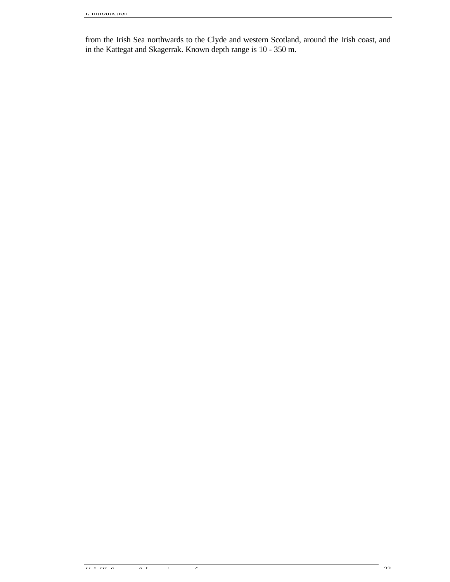from the Irish Sea northwards to the Clyde and western Scotland, around the Irish coast, and in the Kattegat and Skagerrak. Known depth range is 10 - 350 m.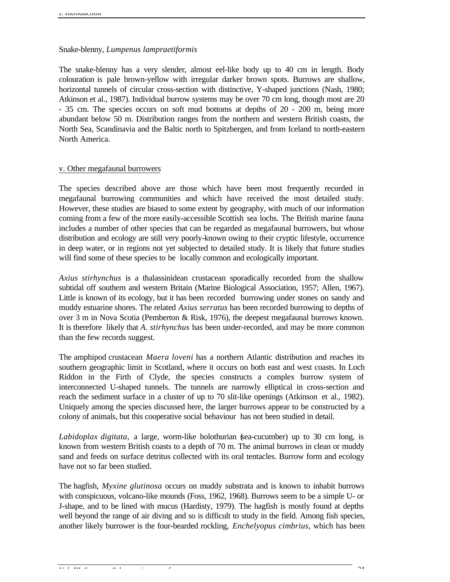## Snake-blenny, *Lumpenus lampraetiformis*

The snake-blenny has a very slender, almost eel-like body up to 40 cm in length. Body colouration is pale brown-yellow with irregular darker brown spots. Burrows are shallow, horizontal tunnels of circular cross-section with distinctive, Y-shaped junctions (Nash, 1980; Atkinson et al., 1987). Individual burrow systems may be over 70 cm long, though most are 20 - 35 cm. The species occurs on soft mud bottoms at depths of 20 - 200 m, being more abundant below 50 m. Distribution ranges from the northern and western British coasts, the North Sea, Scandinavia and the Baltic north to Spitzbergen, and from Iceland to north-eastern North America.

### v. Other megafaunal burrowers

The species described above are those which have been most frequently recorded in megafaunal burrowing communities and which have received the most detailed study. However, these studies are biased to some extent by geography, with much of our information coming from a few of the more easily-accessible Scottish sea lochs. The British marine fauna includes a number of other species that can be regarded as megafaunal burrowers, but whose distribution and ecology are still very poorly-known owing to their cryptic lifestyle, occurrence in deep water, or in regions not yet subjected to detailed study. It is likely that future studies will find some of these species to be locally common and ecologically important.

*Axius stirhynchus* is a thalassinidean crustacean sporadically recorded from the shallow subtidal off southern and western Britain (Marine Biological Association, 1957; Allen, 1967). Little is known of its ecology, but it has been recorded burrowing under stones on sandy and muddy estuarine shores. The related *Axius serratus* has been recorded burrowing to depths of over 3 m in Nova Scotia (Pemberton & Risk, 1976), the deepest megafaunal burrows known. It is therefore likely that *A. stirhynchus* has been under-recorded, and may be more common than the few records suggest.

The amphipod crustacean *Maera loveni* has a northern Atlantic distribution and reaches its southern geographic limit in Scotland, where it occurs on both east and west coasts. In Loch Riddon in the Firth of Clyde, the species constructs a complex burrow system of interconnected U-shaped tunnels. The tunnels are narrowly elliptical in cross-section and reach the sediment surface in a cluster of up to 70 slit-like openings (Atkinson et al., 1982). Uniquely among the species discussed here, the larger burrows appear to be constructed by a colony of animals, but this cooperative social behaviour has not been studied in detail.

*Labidoplax digitata, a large, worm-like holothurian (sea-cucumber) up to 30 cm long, is* known from western British coasts to a depth of 70 m. The animal burrows in clean or muddy sand and feeds on surface detritus collected with its oral tentacles. Burrow form and ecology have not so far been studied.

The hagfish, *Myxine glutinosa* occurs on muddy substrata and is known to inhabit burrows with conspicuous, volcano-like mounds (Foss, 1962, 1968). Burrows seem to be a simple U- or J-shape, and to be lined with mucus (Hardisty, 1979). The hagfish is mostly found at depths well beyond the range of air diving and so is difficult to study in the field. Among fish species, another likely burrower is the four-bearded rockling, *Enchelyopus cimbrius*, which has been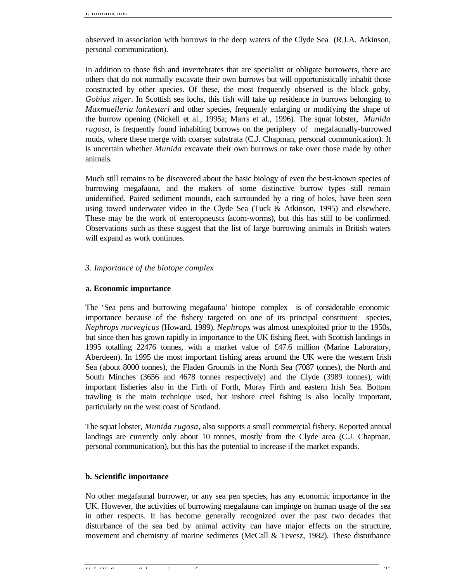observed in association with burrows in the deep waters of the Clyde Sea (R.J.A. Atkinson, personal communication).

In addition to those fish and invertebrates that are specialist or obligate burrowers, there are others that do not normally excavate their own burrows but will opportunistically inhabit those constructed by other species. Of these, the most frequently observed is the black goby, *Gobius niger*. In Scottish sea lochs, this fish will take up residence in burrows belonging to *Maxmuelleria lankesteri* and other species, frequently enlarging or modifying the shape of the burrow opening (Nickell et al., 1995a; Marrs et al., 1996). The squat lobster, *Munida rugosa*, is frequently found inhabiting burrows on the periphery of megafaunally-burrowed muds, where these merge with coarser substrata (C.J. Chapman, personal communication). It is uncertain whether *Munida* excavate their own burrows or take over those made by other animals.

Much still remains to be discovered about the basic biology of even the best-known species of burrowing megafauna, and the makers of some distinctive burrow types still remain unidentified. Paired sediment mounds, each surrounded by a ring of holes, have been seen using towed underwater video in the Clyde Sea (Tuck & Atkinson, 1995) and elsewhere. These may be the work of enteropneusts (acorn-worms), but this has still to be confirmed. Observations such as these suggest that the list of large burrowing animals in British waters will expand as work continues.

# *3. Importance of the biotope complex*

# **a. Economic importance**

The 'Sea pens and burrowing megafauna' biotope complex is of considerable economic importance because of the fishery targeted on one of its principal constituent species, *Nephrops norvegicus* (Howard, 1989). *Nephrops* was almost unexploited prior to the 1950s, but since then has grown rapidly in importance to the UK fishing fleet, with Scottish landings in 1995 totalling 22476 tonnes, with a market value of £47.6 million (Marine Laboratory, Aberdeen). In 1995 the most important fishing areas around the UK were the western Irish Sea (about 8000 tonnes), the Fladen Grounds in the North Sea (7087 tonnes), the North and South Minches (3656 and 4678 tonnes respectively) and the Clyde (3989 tonnes), with important fisheries also in the Firth of Forth, Moray Firth and eastern Irish Sea. Bottom trawling is the main technique used, but inshore creel fishing is also locally important, particularly on the west coast of Scotland.

The squat lobster, *Munida rugosa*, also supports a small commercial fishery. Reported annual landings are currently only about 10 tonnes, mostly from the Clyde area (C.J. Chapman, personal communication), but this has the potential to increase if the market expands.

# **b. Scientific importance**

No other megafaunal burrower, or any sea pen species, has any economic importance in the UK. However, the activities of burrowing megafauna can impinge on human usage of the sea in other respects. It has become generally recognized over the past two decades that disturbance of the sea bed by animal activity can have major effects on the structure, movement and chemistry of marine sediments (McCall & Tevesz, 1982). These disturbance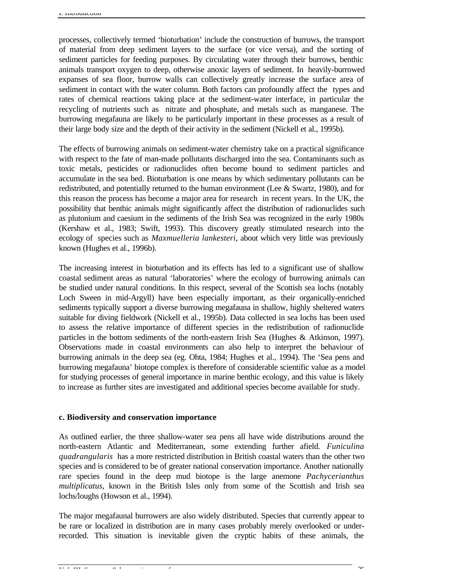processes, collectively termed 'bioturbation' include the construction of burrows, the transport of material from deep sediment layers to the surface (or vice versa), and the sorting of sediment particles for feeding purposes. By circulating water through their burrows, benthic animals transport oxygen to deep, otherwise anoxic layers of sediment. In heavily-burrowed expanses of sea floor, burrow walls can collectively greatly increase the surface area of sediment in contact with the water column. Both factors can profoundly affect the types and rates of chemical reactions taking place at the sediment-water interface, in particular the recycling of nutrients such as nitrate and phosphate, and metals such as manganese. The burrowing megafauna are likely to be particularly important in these processes as a result of their large body size and the depth of their activity in the sediment (Nickell et al., 1995b).

The effects of burrowing animals on sediment-water chemistry take on a practical significance with respect to the fate of man-made pollutants discharged into the sea. Contaminants such as toxic metals, pesticides or radionuclides often become bound to sediment particles and accumulate in the sea bed. Bioturbation is one means by which sedimentary pollutants can be redistributed, and potentially returned to the human environment (Lee  $&$  Swartz, 1980), and for this reason the process has become a major area for research in recent years. In the UK, the possibility that benthic animals might significantly affect the distribution of radionuclides such as plutonium and caesium in the sediments of the Irish Sea was recognized in the early 1980s (Kershaw et al., 1983; Swift, 1993). This discovery greatly stimulated research into the ecology of species such as *Maxmuelleria lankesteri*, about which very little was previously known (Hughes et al., 1996b).

The increasing interest in bioturbation and its effects has led to a significant use of shallow coastal sediment areas as natural 'laboratories' where the ecology of burrowing animals can be studied under natural conditions. In this respect, several of the Scottish sea lochs (notably Loch Sween in mid-Argyll) have been especially important, as their organically-enriched sediments typically support a diverse burrowing megafauna in shallow, highly sheltered waters suitable for diving fieldwork (Nickell et al., 1995b). Data collected in sea lochs has been used to assess the relative importance of different species in the redistribution of radionuclide particles in the bottom sediments of the north-eastern Irish Sea (Hughes & Atkinson, 1997). Observations made in coastal environments can also help to interpret the behaviour of burrowing animals in the deep sea (eg. Ohta, 1984; Hughes et al., 1994). The 'Sea pens and burrowing megafauna' biotope complex is therefore of considerable scientific value as a model for studying processes of general importance in marine benthic ecology, and this value is likely to increase as further sites are investigated and additional species become available for study.

#### **c. Biodiversity and conservation importance**

As outlined earlier, the three shallow-water sea pens all have wide distributions around the north-eastern Atlantic and Mediterranean, some extending further afield. *Funiculina quadrangularis* has a more restricted distribution in British coastal waters than the other two species and is considered to be of greater national conservation importance. Another nationally rare species found in the deep mud biotope is the large anemone *Pachycerianthus multiplicatus*, known in the British Isles only from some of the Scottish and Irish sea lochs/loughs (Howson et al., 1994).

The major megafaunal burrowers are also widely distributed. Species that currently appear to be rare or localized in distribution are in many cases probably merely overlooked or underrecorded. This situation is inevitable given the cryptic habits of these animals, the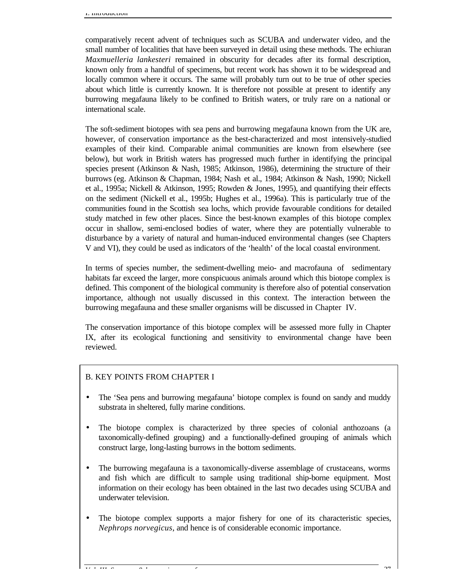comparatively recent advent of techniques such as SCUBA and underwater video, and the small number of localities that have been surveyed in detail using these methods. The echiuran *Maxmuelleria lankesteri* remained in obscurity for decades after its formal description, known only from a handful of specimens, but recent work has shown it to be widespread and locally common where it occurs. The same will probably turn out to be true of other species about which little is currently known. It is therefore not possible at present to identify any burrowing megafauna likely to be confined to British waters, or truly rare on a national or international scale.

The soft-sediment biotopes with sea pens and burrowing megafauna known from the UK are, however, of conservation importance as the best-characterized and most intensively-studied examples of their kind. Comparable animal communities are known from elsewhere (see below), but work in British waters has progressed much further in identifying the principal species present (Atkinson & Nash, 1985; Atkinson, 1986), determining the structure of their burrows (eg. Atkinson & Chapman, 1984; Nash et al., 1984; Atkinson & Nash, 1990; Nickell et al., 1995a; Nickell & Atkinson, 1995; Rowden & Jones, 1995), and quantifying their effects on the sediment (Nickell et al., 1995b; Hughes et al., 1996a). This is particularly true of the communities found in the Scottish sea lochs, which provide favourable conditions for detailed study matched in few other places. Since the best-known examples of this biotope complex occur in shallow, semi-enclosed bodies of water, where they are potentially vulnerable to disturbance by a variety of natural and human-induced environmental changes (see Chapters V and VI), they could be used as indicators of the 'health' of the local coastal environment.

In terms of species number, the sediment-dwelling meio- and macrofauna of sedimentary habitats far exceed the larger, more conspicuous animals around which this biotope complex is defined. This component of the biological community is therefore also of potential conservation importance, although not usually discussed in this context. The interaction between the burrowing megafauna and these smaller organisms will be discussed in Chapter IV.

The conservation importance of this biotope complex will be assessed more fully in Chapter IX, after its ecological functioning and sensitivity to environmental change have been reviewed.

# B. KEY POINTS FROM CHAPTER I

- The 'Sea pens and burrowing megafauna' biotope complex is found on sandy and muddy substrata in sheltered, fully marine conditions.
- The biotope complex is characterized by three species of colonial anthozoans (a taxonomically-defined grouping) and a functionally-defined grouping of animals which construct large, long-lasting burrows in the bottom sediments.
- The burrowing megafauna is a taxonomically-diverse assemblage of crustaceans, worms and fish which are difficult to sample using traditional ship-borne equipment. Most information on their ecology has been obtained in the last two decades using SCUBA and underwater television.
- The biotope complex supports a major fishery for one of its characteristic species, *Nephrops norvegicus*, and hence is of considerable economic importance.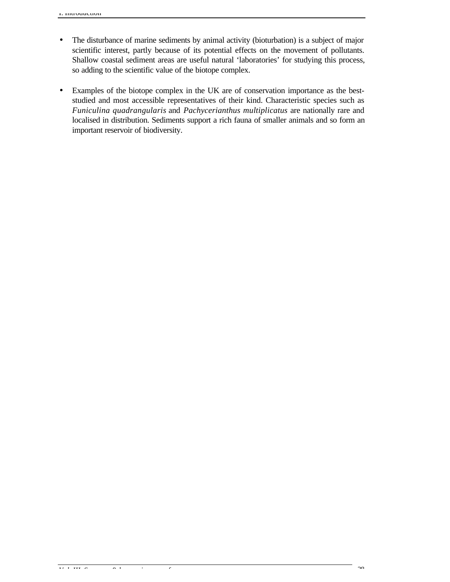- The disturbance of marine sediments by animal activity (bioturbation) is a subject of major scientific interest, partly because of its potential effects on the movement of pollutants. Shallow coastal sediment areas are useful natural 'laboratories' for studying this process, so adding to the scientific value of the biotope complex.
- Examples of the biotope complex in the UK are of conservation importance as the beststudied and most accessible representatives of their kind. Characteristic species such as *Funiculina quadrangularis* and *Pachycerianthus multiplicatus* are nationally rare and localised in distribution. Sediments support a rich fauna of smaller animals and so form an important reservoir of biodiversity.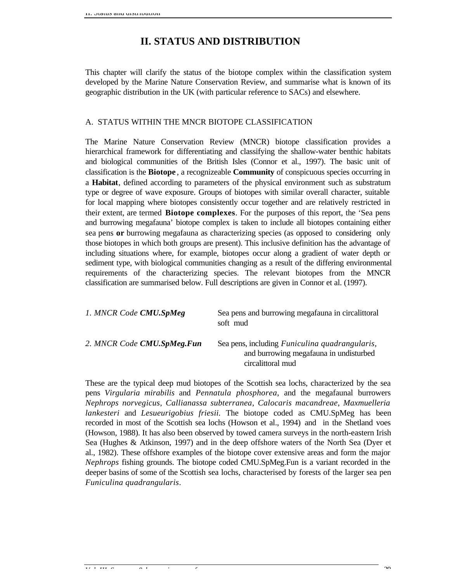# **II. STATUS AND DISTRIBUTION**

This chapter will clarify the status of the biotope complex within the classification system developed by the Marine Nature Conservation Review, and summarise what is known of its geographic distribution in the UK (with particular reference to SACs) and elsewhere.

# A. STATUS WITHIN THE MNCR BIOTOPE CLASSIFICATION

The Marine Nature Conservation Review (MNCR) biotope classification provides a hierarchical framework for differentiating and classifying the shallow-water benthic habitats and biological communities of the British Isles (Connor et al., 1997). The basic unit of classification is the **Biotope** , a recognizeable **Community** of conspicuous species occurring in a **Habitat**, defined according to parameters of the physical environment such as substratum type or degree of wave exposure. Groups of biotopes with similar overall character, suitable for local mapping where biotopes consistently occur together and are relatively restricted in their extent, are termed **Biotope complexes**. For the purposes of this report, the 'Sea pens and burrowing megafauna' biotope complex is taken to include all biotopes containing either sea pens **or** burrowing megafauna as characterizing species (as opposed to considering only those biotopes in which both groups are present). This inclusive definition has the advantage of including situations where, for example, biotopes occur along a gradient of water depth or sediment type, with biological communities changing as a result of the differing environmental requirements of the characterizing species. The relevant biotopes from the MNCR classification are summarised below. Full descriptions are given in Connor et al. (1997).

| 1. MNCR Code CMU.SpMeg     | Sea pens and burrowing megafauna in circalittoral<br>soft mud                                                         |
|----------------------------|-----------------------------------------------------------------------------------------------------------------------|
| 2. MNCR Code CMU.SpMeg.Fun | Sea pens, including <i>Funiculina quadrangularis</i> ,<br>and burrowing megafauna in undisturbed<br>circalittoral mud |

These are the typical deep mud biotopes of the Scottish sea lochs, characterized by the sea pens *Virgularia mirabilis* and *Pennatula phosphorea*, and the megafaunal burrowers *Nephrops norvegicus, Callianassa subterranea, Calocaris macandreae*, *Maxmuelleria lankesteri* and *Lesueurigobius friesii.* The biotope coded as CMU.SpMeg has been recorded in most of the Scottish sea lochs (Howson et al., 1994) and in the Shetland voes (Howson, 1988). It has also been observed by towed camera surveys in the north-eastern Irish Sea (Hughes & Atkinson, 1997) and in the deep offshore waters of the North Sea (Dyer et al., 1982). These offshore examples of the biotope cover extensive areas and form the major *Nephrops* fishing grounds. The biotope coded CMU.SpMeg.Fun is a variant recorded in the deeper basins of some of the Scottish sea lochs, characterised by forests of the larger sea pen *Funiculina quadrangularis*.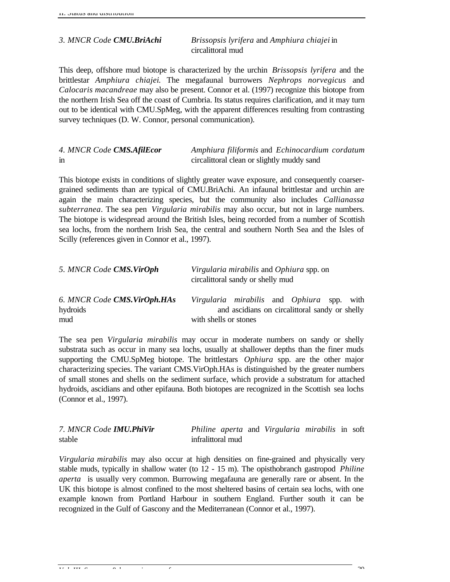*3. MNCR Code CMU.BriAchi Brissopsis lyrifera* and *Amphiura chiajei* in circalittoral mud

This deep, offshore mud biotope is characterized by the urchin *Brissopsis lyrifera* and the brittlestar *Amphiura chiajei*. The megafaunal burrowers *Nephrops norvegicus* and *Calocaris macandreae* may also be present. Connor et al. (1997) recognize this biotope from the northern Irish Sea off the coast of Cumbria. Its status requires clarification, and it may turn out to be identical with CMU.SpMeg, with the apparent differences resulting from contrasting survey techniques (D. W. Connor, personal communication).

*4. MNCR Code CMS.AfilEcor Amphiura filiformis* and *Echinocardium cordatum* in circalittoral clean or slightly muddy sand

This biotope exists in conditions of slightly greater wave exposure, and consequently coarsergrained sediments than are typical of CMU.BriAchi. An infaunal brittlestar and urchin are again the main characterizing species, but the community also includes *Callianassa subterranea*. The sea pen *Virgularia mirabilis* may also occur, but not in large numbers. The biotope is widespread around the British Isles, being recorded from a number of Scottish sea lochs, from the northern Irish Sea, the central and southern North Sea and the Isles of Scilly (references given in Connor et al., 1997).

| 5. MNCR Code CMS. VirOph      | Virgularia mirabilis and Ophiura spp. on<br>circalittoral sandy or shelly mud |
|-------------------------------|-------------------------------------------------------------------------------|
| 6. MNCR Code CMS. VirOph. HAs | Virgularia mirabilis and Ophiura spp. with                                    |
| hydroids                      | and ascidians on circalittoral sandy or shelly                                |
| mud                           | with shells or stones                                                         |

The sea pen *Virgularia mirabilis* may occur in moderate numbers on sandy or shelly substrata such as occur in many sea lochs, usually at shallower depths than the finer muds supporting the CMU.SpMeg biotope. The brittlestars *Ophiura* spp. are the other major characterizing species. The variant CMS.VirOph.HAs is distinguished by the greater numbers of small stones and shells on the sediment surface, which provide a substratum for attached hydroids, ascidians and other epifauna. Both biotopes are recognized in the Scottish sea lochs (Connor et al., 1997).

| 7. MNCR Code <b>IMU.PhiVir</b> |                   |  | <i>Philine aperta</i> and <i>Virgularia mirabilis</i> in soft |  |  |
|--------------------------------|-------------------|--|---------------------------------------------------------------|--|--|
| stable                         | infralittoral mud |  |                                                               |  |  |

*Virgularia mirabilis* may also occur at high densities on fine-grained and physically very stable muds, typically in shallow water (to 12 - 15 m). The opisthobranch gastropod *Philine aperta* is usually very common. Burrowing megafauna are generally rare or absent. In the UK this biotope is almost confined to the most sheltered basins of certain sea lochs, with one example known from Portland Harbour in southern England. Further south it can be recognized in the Gulf of Gascony and the Mediterranean (Connor et al., 1997).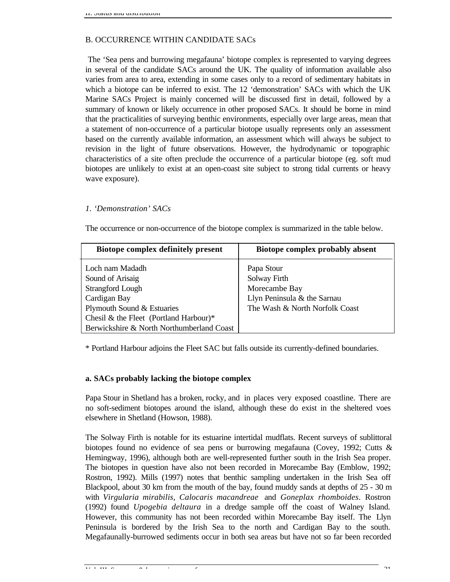# B. OCCURRENCE WITHIN CANDIDATE SACs

 The 'Sea pens and burrowing megafauna' biotope complex is represented to varying degrees in several of the candidate SACs around the UK. The quality of information available also varies from area to area, extending in some cases only to a record of sedimentary habitats in which a biotope can be inferred to exist. The 12 'demonstration' SACs with which the UK Marine SACs Project is mainly concerned will be discussed first in detail, followed by a summary of known or likely occurrence in other proposed SACs. It should be borne in mind that the practicalities of surveying benthic environments, especially over large areas, mean that a statement of non-occurrence of a particular biotope usually represents only an assessment based on the currently available information, an assessment which will always be subject to revision in the light of future observations. However, the hydrodynamic or topographic characteristics of a site often preclude the occurrence of a particular biotope (eg. soft mud biotopes are unlikely to exist at an open-coast site subject to strong tidal currents or heavy wave exposure).

# *1. 'Demonstration' SACs*

The occurrence or non-occurrence of the biotope complex is summarized in the table below.

| <b>Biotope complex definitely present</b> | Biotope complex probably absent |
|-------------------------------------------|---------------------------------|
| Loch nam Madadh                           | Papa Stour                      |
| Sound of Arisaig                          | Solway Firth                    |
| <b>Strangford Lough</b>                   | Morecambe Bay                   |
| Cardigan Bay                              | Llyn Peninsula & the Sarnau     |
| Plymouth Sound & Estuaries                | The Wash & North Norfolk Coast  |
| Chesil & the Fleet (Portland Harbour)*    |                                 |
| Berwickshire & North Northumberland Coast |                                 |

\* Portland Harbour adjoins the Fleet SAC but falls outside its currently-defined boundaries.

# **a. SACs probably lacking the biotope complex**

Papa Stour in Shetland has a broken, rocky, and in places very exposed coastline. There are no soft-sediment biotopes around the island, although these do exist in the sheltered voes elsewhere in Shetland (Howson, 1988).

The Solway Firth is notable for its estuarine intertidal mudflats. Recent surveys of sublittoral biotopes found no evidence of sea pens or burrowing megafauna (Covey, 1992; Cutts & Hemingway, 1996), although both are well-represented further south in the Irish Sea proper. The biotopes in question have also not been recorded in Morecambe Bay (Emblow, 1992; Rostron, 1992). Mills (1997) notes that benthic sampling undertaken in the Irish Sea off Blackpool, about 30 km from the mouth of the bay, found muddy sands at depths of 25 - 30 m with *Virgularia mirabilis, Calocaris macandreae* and *Goneplax rhomboides*. Rostron (1992) found *Upogebia deltaura* in a dredge sample off the coast of Walney Island. However, this community has not been recorded within Morecambe Bay itself. The Llyn Peninsula is bordered by the Irish Sea to the north and Cardigan Bay to the south. Megafaunally-burrowed sediments occur in both sea areas but have not so far been recorded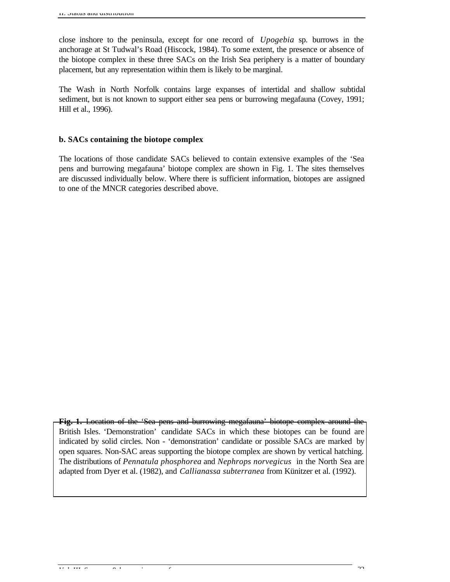close inshore to the peninsula, except for one record of *Upogebia* sp. burrows in the anchorage at St Tudwal's Road (Hiscock, 1984). To some extent, the presence or absence of the biotope complex in these three SACs on the Irish Sea periphery is a matter of boundary placement, but any representation within them is likely to be marginal.

The Wash in North Norfolk contains large expanses of intertidal and shallow subtidal sediment, but is not known to support either sea pens or burrowing megafauna (Covey, 1991; Hill et al., 1996).

# **b. SACs containing the biotope complex**

The locations of those candidate SACs believed to contain extensive examples of the 'Sea pens and burrowing megafauna' biotope complex are shown in Fig. 1. The sites themselves are discussed individually below. Where there is sufficient information, biotopes are assigned to one of the MNCR categories described above.

**Fig. 1.** Location of the 'Sea pens and burrowing megafauna' biotope complex around the British Isles. 'Demonstration' candidate SACs in which these biotopes can be found are indicated by solid circles. Non - 'demonstration' candidate or possible SACs are marked by open squares. Non-SAC areas supporting the biotope complex are shown by vertical hatching. The distributions of *Pennatula phosphorea* and *Nephrops norvegicus* in the North Sea are adapted from Dyer et al. (1982), and *Callianassa subterranea* from Künitzer et al. (1992).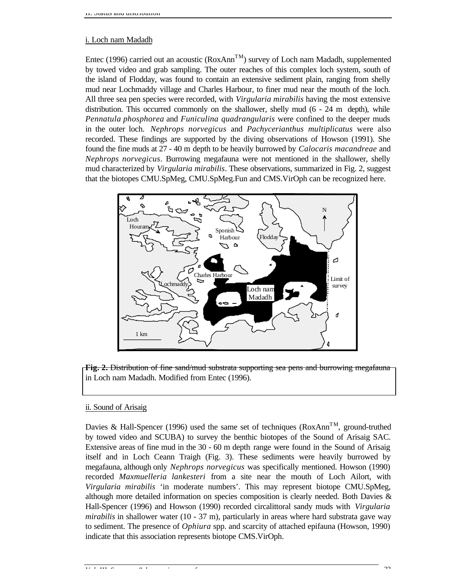#### i. Loch nam Madadh

Entec (1996) carried out an acoustic ( $RoxAnn<sup>TM</sup>$ ) survey of Loch nam Madadh, supplemented by towed video and grab sampling. The outer reaches of this complex loch system, south of the island of Flodday, was found to contain an extensive sediment plain, ranging from shelly mud near Lochmaddy village and Charles Harbour, to finer mud near the mouth of the loch. All three sea pen species were recorded, with *Virgularia mirabilis* having the most extensive distribution. This occurred commonly on the shallower, shelly mud (6 - 24 m depth), while *Pennatula phosphorea* and *Funiculina quadrangularis* were confined to the deeper muds in the outer loch. *Nephrops norvegicus* and *Pachycerianthus multiplicatus* were also recorded. These findings are supported by the diving observations of Howson (1991). She found the fine muds at 27 - 40 m depth to be heavily burrowed by *Calocaris macandreae* and *Nephrops norvegicus*. Burrowing megafauna were not mentioned in the shallower, shelly mud characterized by *Virgularia mirabilis*. These observations, summarized in Fig. 2, suggest that the biotopes CMU.SpMeg, CMU.SpMeg.Fun and CMS.VirOph can be recognized here.



**Fig. 2.** Distribution of fine sand/mud substrata supporting sea pens and burrowing megafauna in Loch nam Madadh. Modified from Entec (1996).

#### ii. Sound of Arisaig

Davies & Hall-Spencer (1996) used the same set of techniques (RoxAnn<sup>TM</sup>, ground-truthed by towed video and SCUBA) to survey the benthic biotopes of the Sound of Arisaig SAC. Extensive areas of fine mud in the 30 - 60 m depth range were found in the Sound of Arisaig itself and in Loch Ceann Traigh (Fig. 3). These sediments were heavily burrowed by megafauna, although only *Nephrops norvegicus* was specifically mentioned. Howson (1990) recorded *Maxmuelleria lankesteri* from a site near the mouth of Loch Ailort, with *Virgularia mirabilis* 'in moderate numbers'. This may represent biotope CMU.SpMeg, although more detailed information on species composition is clearly needed. Both Davies & Hall-Spencer (1996) and Howson (1990) recorded circalittoral sandy muds with *Virgularia mirabilis* in shallower water (10 - 37 m), particularly in areas where hard substrata gave way to sediment. The presence of *Ophiura* spp. and scarcity of attached epifauna (Howson, 1990) indicate that this association represents biotope CMS.VirOph.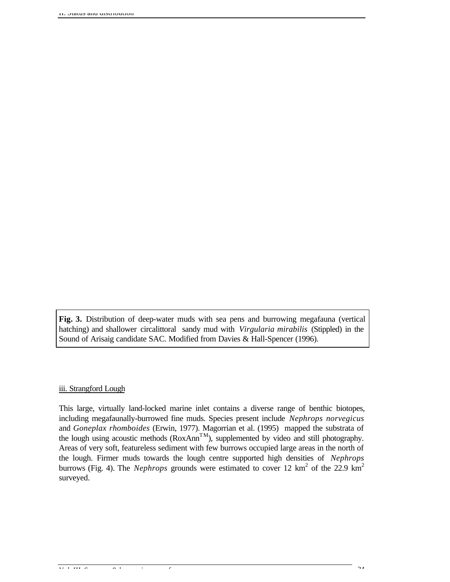**Fig. 3.** Distribution of deep-water muds with sea pens and burrowing megafauna (vertical hatching) and shallower circalittoral sandy mud with *Virgularia mirabilis* (Stippled) in the Sound of Arisaig candidate SAC. Modified from Davies & Hall-Spencer (1996).

#### iii. Strangford Lough

This large, virtually land-locked marine inlet contains a diverse range of benthic biotopes, including megafaunally-burrowed fine muds. Species present include *Nephrops norvegicus* and *Goneplax rhomboides* (Erwin, 1977). Magorrian et al. (1995) mapped the substrata of the lough using acoustic methods (RoxAnn<sup>TM</sup>), supplemented by video and still photography. Areas of very soft, featureless sediment with few burrows occupied large areas in the north of the lough. Firmer muds towards the lough centre supported high densities of *Nephrops* burrows (Fig. 4). The *Nephrops* grounds were estimated to cover 12  $km^2$  of the 22.9  $km^2$ surveyed.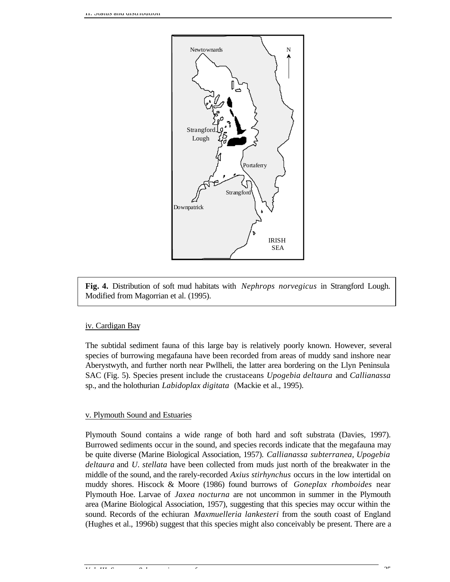

**Fig. 4.** Distribution of soft mud habitats with *Nephrops norvegicus* in Strangford Lough. Modified from Magorrian et al. (1995).

# iv. Cardigan Bay

The subtidal sediment fauna of this large bay is relatively poorly known. However, several species of burrowing megafauna have been recorded from areas of muddy sand inshore near Aberystwyth, and further north near Pwllheli, the latter area bordering on the Llyn Peninsula SAC (Fig. 5). Species present include the crustaceans *Upogebia deltaura* and *Callianassa* sp., and the holothurian *Labidoplax digitata* (Mackie et al., 1995).

# v. Plymouth Sound and Estuaries

Plymouth Sound contains a wide range of both hard and soft substrata (Davies, 1997). Burrowed sediments occur in the sound, and species records indicate that the megafauna may be quite diverse (Marine Biological Association, 1957). *Callianassa subterranea*, *Upogebia deltaura* and *U. stellata* have been collected from muds just north of the breakwater in the middle of the sound, and the rarely-recorded *Axius stirhynchus* occurs in the low intertidal on muddy shores. Hiscock & Moore (1986) found burrows of *Goneplax rhomboides* near Plymouth Hoe. Larvae of *Jaxea nocturna* are not uncommon in summer in the Plymouth area (Marine Biological Association, 1957), suggesting that this species may occur within the sound. Records of the echiuran *Maxmuelleria lankesteri* from the south coast of England (Hughes et al., 1996b) suggest that this species might also conceivably be present. There are a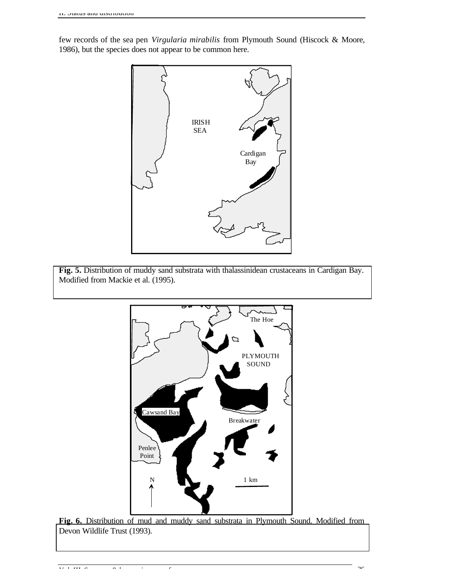few records of the sea pen *Virgularia mirabilis* from Plymouth Sound (Hiscock & Moore, 1986), but the species does not appear to be common here.



**Fig. 5.** Distribution of muddy sand substrata with thalassinidean crustaceans in Cardigan Bay. Modified from Mackie et al. (1995).



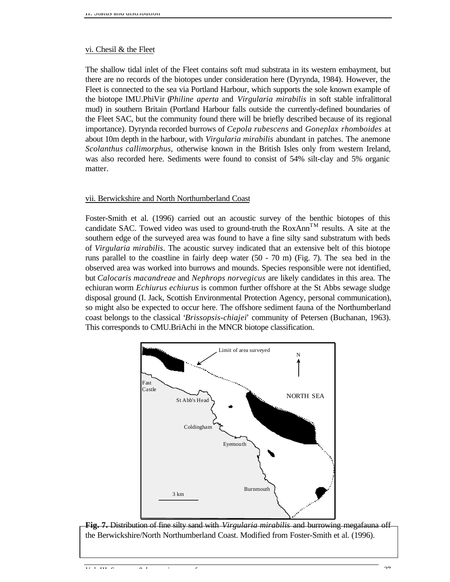#### vi. Chesil & the Fleet

The shallow tidal inlet of the Fleet contains soft mud substrata in its western embayment, but there are no records of the biotopes under consideration here (Dyrynda, 1984). However, the Fleet is connected to the sea via Portland Harbour, which supports the sole known example of the biotope IMU.PhiVir (*Philine aperta* and *Virgularia mirabilis* in soft stable infralittoral mud) in southern Britain (Portland Harbour falls outside the currently-defined boundaries of the Fleet SAC, but the community found there will be briefly described because of its regional importance). Dyrynda recorded burrows of *Cepola rubescens* and *Goneplax rhomboides* at about 10m depth in the harbour, with *Virgularia mirabilis* abundant in patches. The anemone *Scolanthus callimorphus,* otherwise known in the British Isles only from western Ireland, was also recorded here. Sediments were found to consist of 54% silt-clay and 5% organic matter.

#### vii. Berwickshire and North Northumberland Coast

Foster-Smith et al. (1996) carried out an acoustic survey of the benthic biotopes of this candidate SAC. Towed video was used to ground-truth the  $RoxAnn<sup>TM</sup>$  results. A site at the southern edge of the surveyed area was found to have a fine silty sand substratum with beds of *Virgularia mirabilis*. The acoustic survey indicated that an extensive belt of this biotope runs parallel to the coastline in fairly deep water (50 - 70 m) (Fig. 7). The sea bed in the observed area was worked into burrows and mounds. Species responsible were not identified, but *Calocaris macandreae* and *Nephrops norvegicus* are likely candidates in this area. The echiuran worm *Echiurus echiurus* is common further offshore at the St Abbs sewage sludge disposal ground (I. Jack, Scottish Environmental Protection Agency, personal communication), so might also be expected to occur here. The offshore sediment fauna of the Northumberland coast belongs to the classical '*Brissopsis-chiajei*' community of Petersen (Buchanan, 1963). This corresponds to CMU.BriAchi in the MNCR biotope classification.



**Fig. 7.** Distribution of fine silty sand with *Virgularia mirabilis* and burrowing megafauna off the Berwickshire/North Northumberland Coast. Modified from Foster-Smith et al. (1996).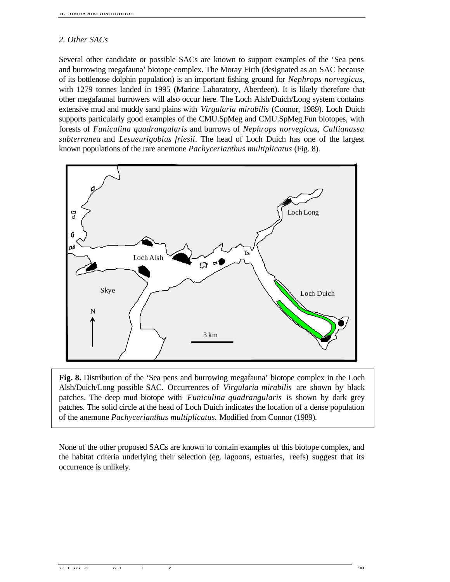### *2. Other SACs*

Several other candidate or possible SACs are known to support examples of the 'Sea pens and burrowing megafauna' biotope complex. The Moray Firth (designated as an SAC because of its bottlenose dolphin population) is an important fishing ground for *Nephrops norvegicus*, with 1279 tonnes landed in 1995 (Marine Laboratory, Aberdeen). It is likely therefore that other megafaunal burrowers will also occur here. The Loch Alsh/Duich/Long system contains extensive mud and muddy sand plains with *Virgularia mirabilis* (Connor, 1989). Loch Duich supports particularly good examples of the CMU.SpMeg and CMU.SpMeg.Fun biotopes, with forests of *Funiculina quadrangularis* and burrows of *Nephrops norvegicus, Callianassa subterranea* and *Lesueurigobius friesii*. The head of Loch Duich has one of the largest known populations of the rare anemone *Pachycerianthus multiplicatus* (Fig. 8).



**Fig. 8.** Distribution of the 'Sea pens and burrowing megafauna' biotope complex in the Loch Alsh/Duich/Long possible SAC. Occurrences of *Virgularia mirabilis* are shown by black patches. The deep mud biotope with *Funiculina quadrangularis* is shown by dark grey patches. The solid circle at the head of Loch Duich indicates the location of a dense population of the anemone *Pachycerianthus multiplicatus.* Modified from Connor (1989).

None of the other proposed SACs are known to contain examples of this biotope complex, and the habitat criteria underlying their selection (eg. lagoons, estuaries, reefs) suggest that its occurrence is unlikely.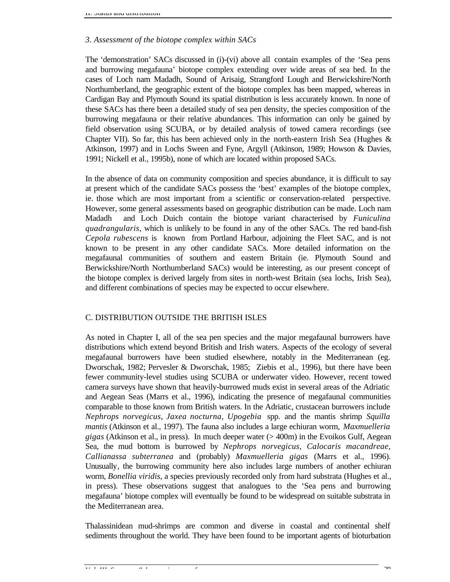### *3. Assessment of the biotope complex within SACs*

The 'demonstration' SACs discussed in (i)-(vi) above all contain examples of the 'Sea pens and burrowing megafauna' biotope complex extending over wide areas of sea bed. In the cases of Loch nam Madadh, Sound of Arisaig, Strangford Lough and Berwickshire/North Northumberland, the geographic extent of the biotope complex has been mapped, whereas in Cardigan Bay and Plymouth Sound its spatial distribution is less accurately known. In none of these SACs has there been a detailed study of sea pen density, the species composition of the burrowing megafauna or their relative abundances. This information can only be gained by field observation using SCUBA, or by detailed analysis of towed camera recordings (see Chapter VII). So far, this has been achieved only in the north-eastern Irish Sea (Hughes  $\&$ Atkinson, 1997) and in Lochs Sween and Fyne, Argyll (Atkinson, 1989; Howson & Davies, 1991; Nickell et al., 1995b), none of which are located within proposed SACs.

In the absence of data on community composition and species abundance, it is difficult to say at present which of the candidate SACs possess the 'best' examples of the biotope complex, ie. those which are most important from a scientific or conservation-related perspective. However, some general assessments based on geographic distribution can be made. Loch nam Madadh and Loch Duich contain the biotope variant characterised by *Funiculina quadrangularis*, which is unlikely to be found in any of the other SACs. The red band-fish *Cepola rubescens* is known from Portland Harbour, adjoining the Fleet SAC, and is not known to be present in any other candidate SACs. More detailed information on the megafaunal communities of southern and eastern Britain (ie. Plymouth Sound and Berwickshire/North Northumberland SACs) would be interesting, as our present concept of the biotope complex is derived largely from sites in north-west Britain (sea lochs, Irish Sea), and different combinations of species may be expected to occur elsewhere.

## C. DISTRIBUTION OUTSIDE THE BRITISH ISLES

As noted in Chapter I, all of the sea pen species and the major megafaunal burrowers have distributions which extend beyond British and Irish waters. Aspects of the ecology of several megafaunal burrowers have been studied elsewhere, notably in the Mediterranean (eg. Dworschak, 1982; Pervesler & Dworschak, 1985; Ziebis et al., 1996), but there have been fewer community-level studies using SCUBA or underwater video. However, recent towed camera surveys have shown that heavily-burrowed muds exist in several areas of the Adriatic and Aegean Seas (Marrs et al., 1996), indicating the presence of megafaunal communities comparable to those known from British waters. In the Adriatic, crustacean burrowers include *Nephrops norvegicus*, *Jaxea nocturna, Upogebia* spp. and the mantis shrimp *Squilla mantis* (Atkinson et al., 1997). The fauna also includes a large echiuran worm, *Maxmuelleria gigas* (Atkinson et al., in press). In much deeper water (> 400m) in the Evoikos Gulf, Aegean Sea, the mud bottom is burrowed by *Nephrops norvegicus, Calocaris macandreae, Callianassa subterranea* and (probably) *Maxmuelleria gigas* (Marrs et al., 1996). Unusually*,* the burrowing community here also includes large numbers of another echiuran worm, *Bonellia viridis*, a species previously recorded only from hard substrata (Hughes et al., in press). These observations suggest that analogues to the 'Sea pens and burrowing megafauna' biotope complex will eventually be found to be widespread on suitable substrata in the Mediterranean area.

Thalassinidean mud-shrimps are common and diverse in coastal and continental shelf sediments throughout the world. They have been found to be important agents of bioturbation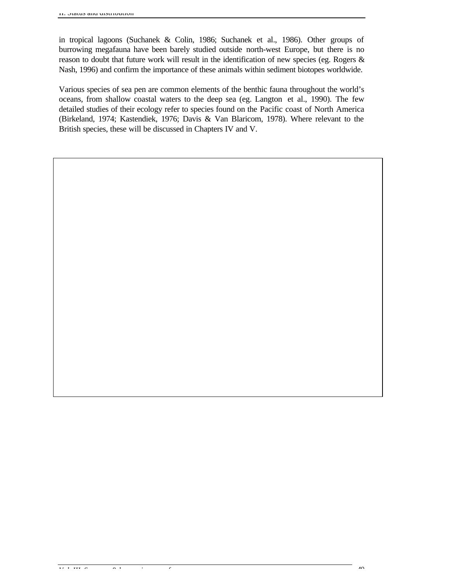in tropical lagoons (Suchanek & Colin, 1986; Suchanek et al., 1986). Other groups of burrowing megafauna have been barely studied outside north-west Europe, but there is no reason to doubt that future work will result in the identification of new species (eg. Rogers & Nash, 1996) and confirm the importance of these animals within sediment biotopes worldwide.

Various species of sea pen are common elements of the benthic fauna throughout the world's oceans, from shallow coastal waters to the deep sea (eg. Langton et al., 1990). The few detailed studies of their ecology refer to species found on the Pacific coast of North America (Birkeland, 1974; Kastendiek, 1976; Davis & Van Blaricom, 1978). Where relevant to the British species, these will be discussed in Chapters IV and V.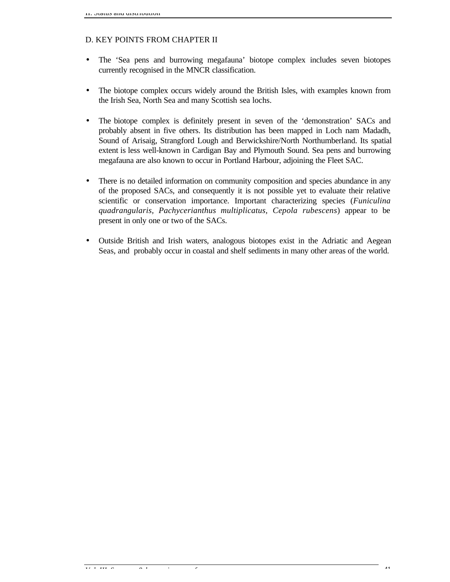## D. KEY POINTS FROM CHAPTER II

- The 'Sea pens and burrowing megafauna' biotope complex includes seven biotopes currently recognised in the MNCR classification.
- The biotope complex occurs widely around the British Isles, with examples known from the Irish Sea, North Sea and many Scottish sea lochs.
- The biotope complex is definitely present in seven of the 'demonstration' SACs and probably absent in five others. Its distribution has been mapped in Loch nam Madadh, Sound of Arisaig, Strangford Lough and Berwickshire/North Northumberland. Its spatial extent is less well-known in Cardigan Bay and Plymouth Sound. Sea pens and burrowing megafauna are also known to occur in Portland Harbour, adjoining the Fleet SAC.
- There is no detailed information on community composition and species abundance in any of the proposed SACs, and consequently it is not possible yet to evaluate their relative scientific or conservation importance. Important characterizing species (*Funiculina quadrangularis, Pachycerianthus multiplicatus, Cepola rubescens*) appear to be present in only one or two of the SACs.
- Outside British and Irish waters, analogous biotopes exist in the Adriatic and Aegean Seas, and probably occur in coastal and shelf sediments in many other areas of the world.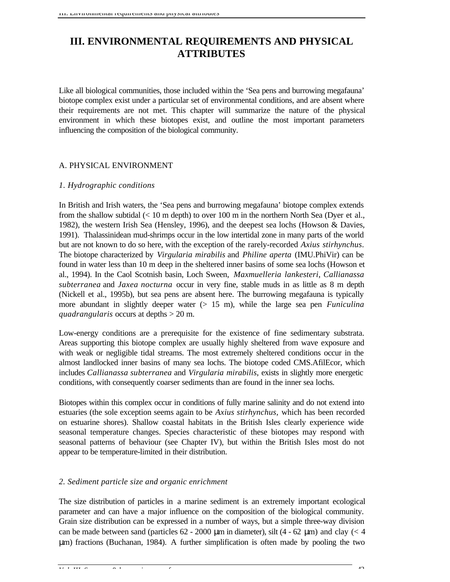# **III. ENVIRONMENTAL REQUIREMENTS AND PHYSICAL ATTRIBUTES**

Like all biological communities, those included within the 'Sea pens and burrowing megafauna' biotope complex exist under a particular set of environmental conditions, and are absent where their requirements are not met. This chapter will summarize the nature of the physical environment in which these biotopes exist, and outline the most important parameters influencing the composition of the biological community.

## A. PHYSICAL ENVIRONMENT

### *1. Hydrographic conditions*

In British and Irish waters, the 'Sea pens and burrowing megafauna' biotope complex extends from the shallow subtidal  $\ll 10$  m depth) to over 100 m in the northern North Sea (Dyer et al., 1982), the western Irish Sea (Hensley, 1996), and the deepest sea lochs (Howson & Davies, 1991). Thalassinidean mud-shrimps occur in the low intertidal zone in many parts of the world but are not known to do so here, with the exception of the rarely-recorded *Axius stirhynchus*. The biotope characterized by *Virgularia mirabilis* and *Philine aperta* (IMU.PhiVir) can be found in water less than 10 m deep in the sheltered inner basins of some sea lochs (Howson et al., 1994). In the Caol Scotnish basin, Loch Sween, *Maxmuelleria lankesteri*, *Callianassa subterranea* and *Jaxea nocturna* occur in very fine, stable muds in as little as 8 m depth (Nickell et al., 1995b), but sea pens are absent here. The burrowing megafauna is typically more abundant in slightly deeper water (> 15 m), while the large sea pen *Funiculina quadrangularis* occurs at depths > 20 m.

Low-energy conditions are a prerequisite for the existence of fine sedimentary substrata. Areas supporting this biotope complex are usually highly sheltered from wave exposure and with weak or negligible tidal streams. The most extremely sheltered conditions occur in the almost landlocked inner basins of many sea lochs. The biotope coded CMS.AfilEcor, which includes *Callianassa subterranea* and *Virgularia mirabilis*, exists in slightly more energetic conditions, with consequently coarser sediments than are found in the inner sea lochs.

Biotopes within this complex occur in conditions of fully marine salinity and do not extend into estuaries (the sole exception seems again to be *Axius stirhynchus,* which has been recorded on estuarine shores). Shallow coastal habitats in the British Isles clearly experience wide seasonal temperature changes. Species characteristic of these biotopes may respond with seasonal patterns of behaviour (see Chapter IV), but within the British Isles most do not appear to be temperature-limited in their distribution.

### *2. Sediment particle size and organic enrichment*

The size distribution of particles in a marine sediment is an extremely important ecological parameter and can have a major influence on the composition of the biological community. Grain size distribution can be expressed in a number of ways, but a simple three-way division can be made between sand (particles 62 - 2000  $\mu$ m in diameter), silt (4 - 62  $\mu$ m) and clay (< 4 μm) fractions (Buchanan, 1984). A further simplification is often made by pooling the two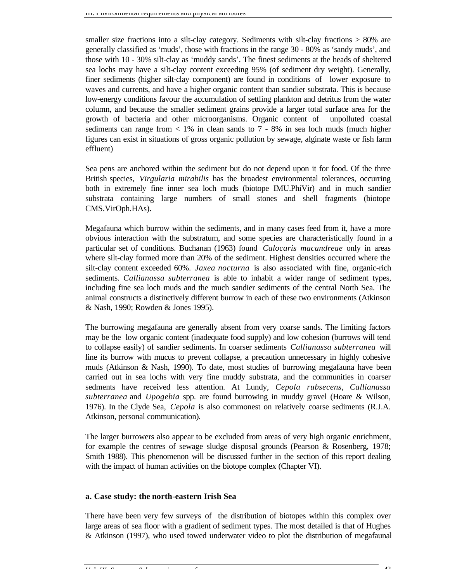smaller size fractions into a silt-clay category. Sediments with silt-clay fractions  $> 80\%$  are generally classified as 'muds', those with fractions in the range 30 - 80% as 'sandy muds', and those with 10 - 30% silt-clay as 'muddy sands'. The finest sediments at the heads of sheltered sea lochs may have a silt-clay content exceeding 95% (of sediment dry weight). Generally, finer sediments (higher silt-clay component) are found in conditions of lower exposure to waves and currents, and have a higher organic content than sandier substrata. This is because low-energy conditions favour the accumulation of settling plankton and detritus from the water column, and because the smaller sediment grains provide a larger total surface area for the growth of bacteria and other microorganisms. Organic content of unpolluted coastal sediments can range from  $< 1\%$  in clean sands to  $7 - 8\%$  in sea loch muds (much higher figures can exist in situations of gross organic pollution by sewage, alginate waste or fish farm effluent)

Sea pens are anchored within the sediment but do not depend upon it for food. Of the three British species, *Virgularia mirabilis* has the broadest environmental tolerances, occurring both in extremely fine inner sea loch muds (biotope IMU.PhiVir) and in much sandier substrata containing large numbers of small stones and shell fragments (biotope CMS.VirOph.HAs).

Megafauna which burrow within the sediments, and in many cases feed from it, have a more obvious interaction with the substratum, and some species are characteristically found in a particular set of conditions. Buchanan (1963) found *Calocaris macandreae* only in areas where silt-clay formed more than 20% of the sediment. Highest densities occurred where the silt-clay content exceeded 60%. *Jaxea nocturna* is also associated with fine, organic-rich sediments. *Callianassa subterranea* is able to inhabit a wider range of sediment types, including fine sea loch muds and the much sandier sediments of the central North Sea. The animal constructs a distinctively different burrow in each of these two environments (Atkinson & Nash, 1990; Rowden & Jones 1995).

The burrowing megafauna are generally absent from very coarse sands. The limiting factors may be the low organic content (inadequate food supply) and low cohesion (burrows will tend to collapse easily) of sandier sediments. In coarser sediments *Callianassa subterranea* will line its burrow with mucus to prevent collapse, a precaution unnecessary in highly cohesive muds (Atkinson & Nash, 1990). To date, most studies of burrowing megafauna have been carried out in sea lochs with very fine muddy substrata, and the communities in coarser sedments have received less attention. At Lundy, *Cepola rubsecens*, *Callianassa subterranea* and *Upogebia* spp. are found burrowing in muddy gravel (Hoare & Wilson, 1976). In the Clyde Sea, *Cepola* is also commonest on relatively coarse sediments (R.J.A. Atkinson, personal communication).

The larger burrowers also appear to be excluded from areas of very high organic enrichment, for example the centres of sewage sludge disposal grounds (Pearson & Rosenberg, 1978; Smith 1988). This phenomenon will be discussed further in the section of this report dealing with the impact of human activities on the biotope complex (Chapter VI).

### **a. Case study: the north-eastern Irish Sea**

There have been very few surveys of the distribution of biotopes within this complex over large areas of sea floor with a gradient of sediment types. The most detailed is that of Hughes & Atkinson (1997), who used towed underwater video to plot the distribution of megafaunal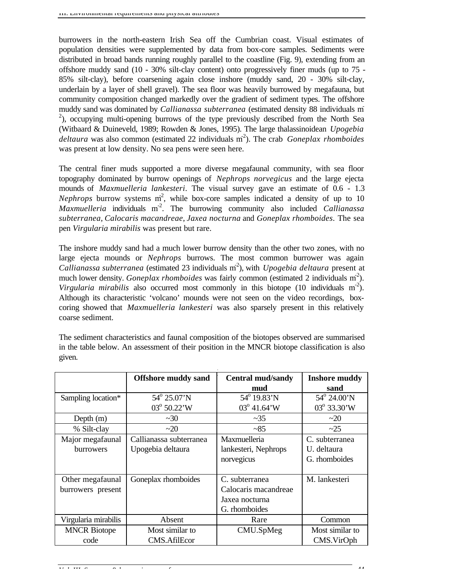burrowers in the north-eastern Irish Sea off the Cumbrian coast. Visual estimates of population densities were supplemented by data from box-core samples. Sediments were distributed in broad bands running roughly parallel to the coastline (Fig. 9), extending from an offshore muddy sand (10 - 30% silt-clay content) onto progressively finer muds (up to 75 - 85% silt-clay), before coarsening again close inshore (muddy sand, 20 - 30% silt-clay, underlain by a layer of shell gravel). The sea floor was heavily burrowed by megafauna, but community composition changed markedly over the gradient of sediment types. The offshore muddy sand was dominated by *Callianassa subterranea* (estimated density 88 individuals m- $^{2}$ ), occupying multi-opening burrows of the type previously described from the North Sea (Witbaard & Duineveld, 1989; Rowden & Jones, 1995). The large thalassinoidean *Upogebia deltaura* was also common (estimated 22 individuals m<sup>2</sup>). The crab *Goneplax rhomboides* was present at low density. No sea pens were seen here.

The central finer muds supported a more diverse megafaunal community, with sea floor topography dominated by burrow openings of *Nephrops norvegicus* and the large ejecta mounds of *Maxmuelleria lankesteri*. The visual survey gave an estimate of 0.6 - 1.3 *Nephrops* burrow systems  $m^2$ , while box-core samples indicated a density of up to 10 *Maxmuelleria* individuals m -2. The burrowing community also included *Callianassa subterranea*, *Calocaris macandreae*, *Jaxea nocturna* and *Goneplax rhomboides*. The sea pen *Virgularia mirabilis* was present but rare.

The inshore muddy sand had a much lower burrow density than the other two zones, with no large ejecta mounds or *Nephrops* burrows. The most common burrower was again *Callianassa subterranea* (estimated 23 individuals m<sup>2</sup>), with *Upogebia deltaura* present at much lower density. *Goneplax rhomboides* was fairly common (estimated 2 individuals  $m<sup>2</sup>$ ). Virgularia mirabilis also occurred most commonly in this biotope (10 individuals  $m<sup>2</sup>$ ). Although its characteristic 'volcano' mounds were not seen on the video recordings, boxcoring showed that *Maxmuelleria lankesteri* was also sparsely present in this relatively coarse sediment.

The sediment characteristics and faunal composition of the biotopes observed are summarised in the table below. An assessment of their position in the MNCR biotope classification is also given.

|                      | <b>Offshore muddy sand</b>   | <b>Central mud/sandy</b> | <b>Inshore muddy</b> |
|----------------------|------------------------------|--------------------------|----------------------|
|                      |                              | mud                      | sand                 |
| Sampling location*   | $54^{\circ} 25.07^{\circ}$ N | $54^{\circ}$ 19.83'N     | $54^{\circ}$ 24.00'N |
|                      | $03^{\circ}$ 50.22'W         | $03^{\circ}$ 41.64'W     | $03^{\circ}$ 33.30'W |
| Depth $(m)$          | ~20                          | $\sim$ 35                | $\sim$ 20            |
| % Silt-clay          | $\sim$ 20                    | ~285                     | $\sim$ 25            |
| Major megafaunal     | Callianassa subterranea      | Maxmuelleria             | C. subterranea       |
| burrowers            | Upogebia deltaura            | lankesteri, Nephrops     | U. deltaura          |
|                      |                              | norvegicus               | G. rhomboides        |
|                      |                              |                          |                      |
| Other megafaunal     | Goneplax rhomboides          | C. subterranea           | M. lankesteri        |
| burrowers present    |                              | Calocaris macandreae     |                      |
|                      |                              | Jaxea nocturna           |                      |
|                      |                              | G. rhomboides            |                      |
| Virgularia mirabilis | Absent                       | Rare                     | Common               |
| <b>MNCR</b> Biotope  | Most similar to              | CMU.SpMeg                | Most similar to      |
| code                 | CMS.AfilEcor                 |                          | CMS.VirOph           |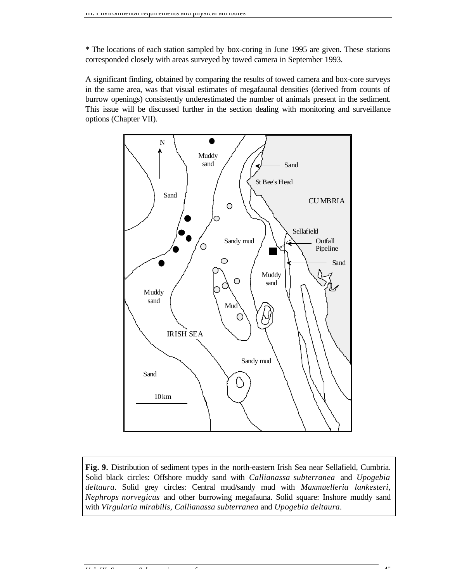\* The locations of each station sampled by box-coring in June 1995 are given. These stations corresponded closely with areas surveyed by towed camera in September 1993.

A significant finding, obtained by comparing the results of towed camera and box-core surveys in the same area, was that visual estimates of megafaunal densities (derived from counts of burrow openings) consistently underestimated the number of animals present in the sediment. This issue will be discussed further in the section dealing with monitoring and surveillance options (Chapter VII).



**Fig. 9.** Distribution of sediment types in the north-eastern Irish Sea near Sellafield, Cumbria. Solid black circles: Offshore muddy sand with *Callianassa subterranea* and *Upogebia deltaura*. Solid grey circles: Central mud/sandy mud with *Maxmuelleria lankesteri, Nephrops norvegicus* and other burrowing megafauna. Solid square: Inshore muddy sand with *Virgularia mirabilis, Callianassa subterranea* and *Upogebia deltaura.*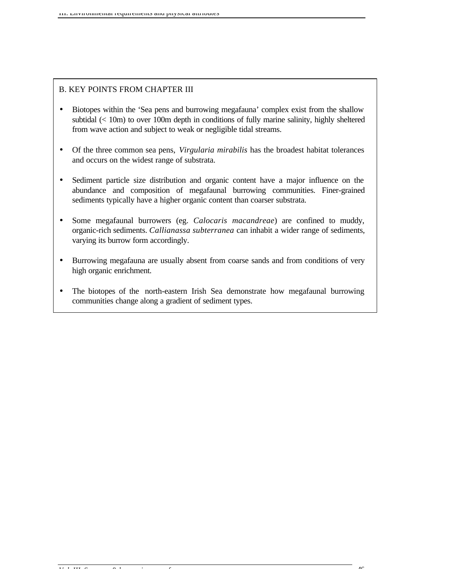## B. KEY POINTS FROM CHAPTER III

- Biotopes within the 'Sea pens and burrowing megafauna' complex exist from the shallow subtidal (< 10m) to over 100m depth in conditions of fully marine salinity, highly sheltered from wave action and subject to weak or negligible tidal streams.
- Of the three common sea pens, *Virgularia mirabilis* has the broadest habitat tolerances and occurs on the widest range of substrata.
- Sediment particle size distribution and organic content have a major influence on the abundance and composition of megafaunal burrowing communities. Finer-grained sediments typically have a higher organic content than coarser substrata.
- Some megafaunal burrowers (eg. *Calocaris macandreae*) are confined to muddy, organic-rich sediments. *Callianassa subterranea* can inhabit a wider range of sediments, varying its burrow form accordingly.
- Burrowing megafauna are usually absent from coarse sands and from conditions of very high organic enrichment.
- The biotopes of the north-eastern Irish Sea demonstrate how megafaunal burrowing communities change along a gradient of sediment types.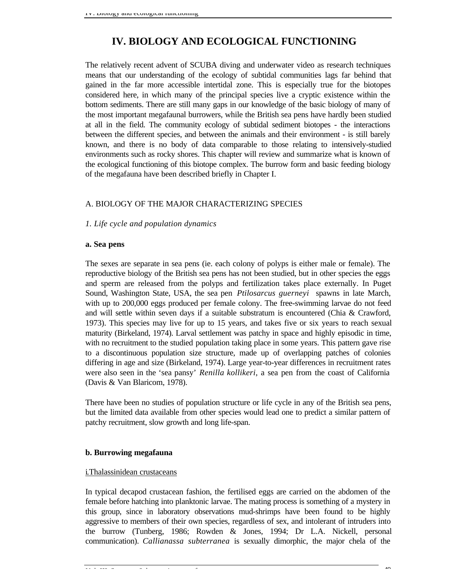# **IV. BIOLOGY AND ECOLOGICAL FUNCTIONING**

The relatively recent advent of SCUBA diving and underwater video as research techniques means that our understanding of the ecology of subtidal communities lags far behind that gained in the far more accessible intertidal zone. This is especially true for the biotopes considered here, in which many of the principal species live a cryptic existence within the bottom sediments. There are still many gaps in our knowledge of the basic biology of many of the most important megafaunal burrowers, while the British sea pens have hardly been studied at all in the field. The community ecology of subtidal sediment biotopes - the interactions between the different species, and between the animals and their environment - is still barely known, and there is no body of data comparable to those relating to intensively-studied environments such as rocky shores. This chapter will review and summarize what is known of the ecological functioning of this biotope complex. The burrow form and basic feeding biology of the megafauna have been described briefly in Chapter I.

## A. BIOLOGY OF THE MAJOR CHARACTERIZING SPECIES

### *1. Life cycle and population dynamics*

### **a. Sea pens**

The sexes are separate in sea pens (ie. each colony of polyps is either male or female). The reproductive biology of the British sea pens has not been studied, but in other species the eggs and sperm are released from the polyps and fertilization takes place externally. In Puget Sound, Washington State, USA, the sea pen *Ptilosarcus guerneyi* spawns in late March, with up to 200,000 eggs produced per female colony. The free-swimming larvae do not feed and will settle within seven days if a suitable substratum is encountered (Chia & Crawford, 1973). This species may live for up to 15 years, and takes five or six years to reach sexual maturity (Birkeland, 1974). Larval settlement was patchy in space and highly episodic in time, with no recruitment to the studied population taking place in some years. This pattern gave rise to a discontinuous population size structure, made up of overlapping patches of colonies differing in age and size (Birkeland, 1974). Large year-to-year differences in recruitment rates were also seen in the 'sea pansy' *Renilla kollikeri*, a sea pen from the coast of California (Davis & Van Blaricom, 1978).

There have been no studies of population structure or life cycle in any of the British sea pens, but the limited data available from other species would lead one to predict a similar pattern of patchy recruitment, slow growth and long life-span.

## **b. Burrowing megafauna**

### i.Thalassinidean crustaceans

In typical decapod crustacean fashion, the fertilised eggs are carried on the abdomen of the female before hatching into planktonic larvae. The mating process is something of a mystery in this group, since in laboratory observations mud-shrimps have been found to be highly aggressive to members of their own species, regardless of sex, and intolerant of intruders into the burrow (Tunberg, 1986; Rowden & Jones, 1994; Dr L.A. Nickell, personal communication). *Callianassa subterranea* is sexually dimorphic, the major chela of the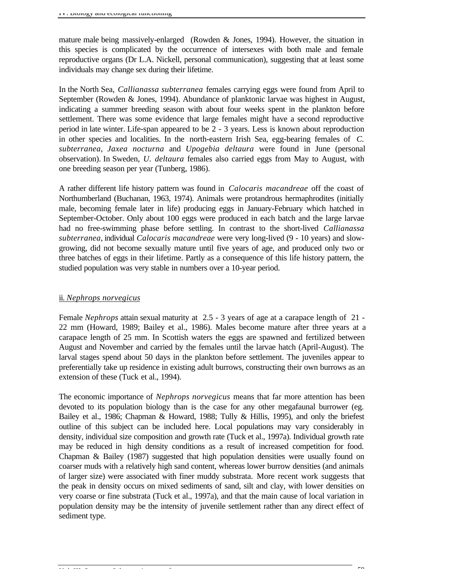mature male being massively-enlarged (Rowden & Jones, 1994). However, the situation in this species is complicated by the occurrence of intersexes with both male and female reproductive organs (Dr L.A. Nickell, personal communication), suggesting that at least some individuals may change sex during their lifetime.

In the North Sea, *Callianassa subterranea* females carrying eggs were found from April to September (Rowden & Jones, 1994). Abundance of planktonic larvae was highest in August, indicating a summer breeding season with about four weeks spent in the plankton before settlement. There was some evidence that large females might have a second reproductive period in late winter. Life-span appeared to be 2 - 3 years. Less is known about reproduction in other species and localities. In the north-eastern Irish Sea, egg-bearing females of *C. subterranea*, *Jaxea nocturna* and *Upogebia deltaura* were found in June (personal observation). In Sweden, *U. deltaura* females also carried eggs from May to August, with one breeding season per year (Tunberg, 1986).

A rather different life history pattern was found in *Calocaris macandreae* off the coast of Northumberland (Buchanan, 1963, 1974). Animals were protandrous hermaphrodites (initially male, becoming female later in life) producing eggs in January-February which hatched in September-October. Only about 100 eggs were produced in each batch and the large larvae had no free-swimming phase before settling. In contrast to the short-lived *Callianassa subterranea*, individual *Calocaris macandreae* were very long-lived (9 - 10 years) and slowgrowing, did not become sexually mature until five years of age, and produced only two or three batches of eggs in their lifetime. Partly as a consequence of this life history pattern, the studied population was very stable in numbers over a 10-year period.

#### ii. *Nephrops norvegicus*

Female *Nephrops* attain sexual maturity at 2.5 - 3 years of age at a carapace length of 21 - 22 mm (Howard, 1989; Bailey et al., 1986). Males become mature after three years at a carapace length of 25 mm. In Scottish waters the eggs are spawned and fertilized between August and November and carried by the females until the larvae hatch (April-August). The larval stages spend about 50 days in the plankton before settlement. The juveniles appear to preferentially take up residence in existing adult burrows, constructing their own burrows as an extension of these (Tuck et al., 1994).

The economic importance of *Nephrops norvegicus* means that far more attention has been devoted to its population biology than is the case for any other megafaunal burrower (eg. Bailey et al., 1986; Chapman & Howard, 1988; Tully & Hillis, 1995), and only the briefest outline of this subject can be included here. Local populations may vary considerably in density, individual size composition and growth rate (Tuck et al., 1997a). Individual growth rate may be reduced in high density conditions as a result of increased competition for food. Chapman & Bailey (1987) suggested that high population densities were usually found on coarser muds with a relatively high sand content, whereas lower burrow densities (and animals of larger size) were associated with finer muddy substrata. More recent work suggests that the peak in density occurs on mixed sediments of sand, silt and clay, with lower densities on very coarse or fine substrata (Tuck et al., 1997a), and that the main cause of local variation in population density may be the intensity of juvenile settlement rather than any direct effect of sediment type.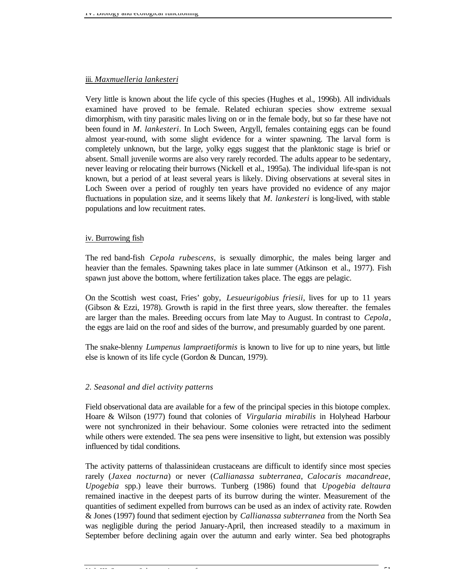### iii. *Maxmuelleria lankesteri*

Very little is known about the life cycle of this species (Hughes et al., 1996b). All individuals examined have proved to be female. Related echiuran species show extreme sexual dimorphism, with tiny parasitic males living on or in the female body, but so far these have not been found in *M. lankesteri*. In Loch Sween, Argyll, females containing eggs can be found almost year-round, with some slight evidence for a winter spawning. The larval form is completely unknown, but the large, yolky eggs suggest that the planktonic stage is brief or absent. Small juvenile worms are also very rarely recorded. The adults appear to be sedentary, never leaving or relocating their burrows (Nickell et al., 1995a). The individual life-span is not known, but a period of at least several years is likely. Diving observations at several sites in Loch Sween over a period of roughly ten years have provided no evidence of any major fluctuations in population size, and it seems likely that *M. lankesteri* is long-lived, with stable populations and low recuitment rates.

### iv. Burrowing fish

The red band-fish *Cepola rubescens*, is sexually dimorphic, the males being larger and heavier than the females. Spawning takes place in late summer (Atkinson et al., 1977). Fish spawn just above the bottom, where fertilization takes place. The eggs are pelagic.

On the Scottish west coast, Fries' goby, *Lesueurigobius friesii*, lives for up to 11 years (Gibson & Ezzi, 1978). Growth is rapid in the first three years, slow thereafter. the females are larger than the males. Breeding occurs from late May to August. In contrast to *Cepola*, the eggs are laid on the roof and sides of the burrow, and presumably guarded by one parent.

The snake-blenny *Lumpenus lampraetiformis* is known to live for up to nine years, but little else is known of its life cycle (Gordon & Duncan, 1979).

### *2. Seasonal and diel activity patterns*

Field observational data are available for a few of the principal species in this biotope complex. Hoare & Wilson (1977) found that colonies of *Virgularia mirabilis* in Holyhead Harbour were not synchronized in their behaviour. Some colonies were retracted into the sediment while others were extended. The sea pens were insensitive to light, but extension was possibly influenced by tidal conditions.

The activity patterns of thalassinidean crustaceans are difficult to identify since most species rarely (*Jaxea nocturna*) or never (*Callianassa subterranea*, *Calocaris macandreae, Upogebia* spp.) leave their burrows. Tunberg (1986) found that *Upogebia deltaura* remained inactive in the deepest parts of its burrow during the winter. Measurement of the quantities of sediment expelled from burrows can be used as an index of activity rate. Rowden & Jones (1997) found that sediment ejection by *Callianassa subterranea* from the North Sea was negligible during the period January-April, then increased steadily to a maximum in September before declining again over the autumn and early winter. Sea bed photographs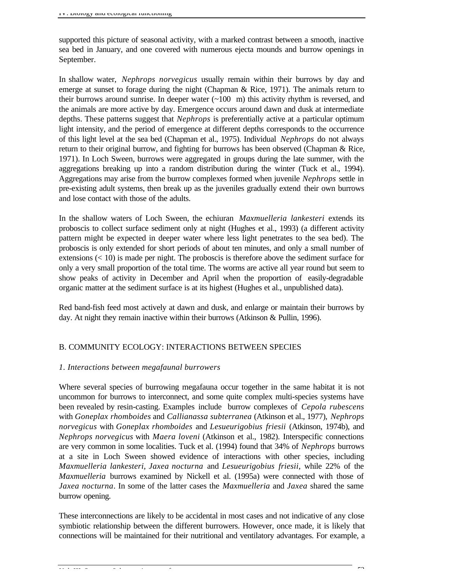supported this picture of seasonal activity, with a marked contrast between a smooth, inactive sea bed in January, and one covered with numerous ejecta mounds and burrow openings in September.

In shallow water, *Nephrops norvegicus* usually remain within their burrows by day and emerge at sunset to forage during the night (Chapman & Rice, 1971). The animals return to their burrows around sunrise. In deeper water (~100 m) this activity rhythm is reversed, and the animals are more active by day. Emergence occurs around dawn and dusk at intermediate depths. These patterns suggest that *Nephrops* is preferentially active at a particular optimum light intensity, and the period of emergence at different depths corresponds to the occurrence of this light level at the sea bed (Chapman et al., 1975). Individual *Nephrops* do not always return to their original burrow, and fighting for burrows has been observed (Chapman & Rice, 1971). In Loch Sween, burrows were aggregated in groups during the late summer, with the aggregations breaking up into a random distribution during the winter (Tuck et al., 1994). Aggregations may arise from the burrow complexes formed when juvenile *Nephrops* settle in pre-existing adult systems, then break up as the juveniles gradually extend their own burrows and lose contact with those of the adults.

In the shallow waters of Loch Sween, the echiuran *Maxmuelleria lankesteri* extends its proboscis to collect surface sediment only at night (Hughes et al., 1993) (a different activity pattern might be expected in deeper water where less light penetrates to the sea bed). The proboscis is only extended for short periods of about ten minutes, and only a small number of extensions (< 10) is made per night. The proboscis is therefore above the sediment surface for only a very small proportion of the total time. The worms are active all year round but seem to show peaks of activity in December and April when the proportion of easily-degradable organic matter at the sediment surface is at its highest (Hughes et al., unpublished data).

Red band-fish feed most actively at dawn and dusk, and enlarge or maintain their burrows by day. At night they remain inactive within their burrows (Atkinson & Pullin, 1996).

### B. COMMUNITY ECOLOGY: INTERACTIONS BETWEEN SPECIES

### *1. Interactions between megafaunal burrowers*

Where several species of burrowing megafauna occur together in the same habitat it is not uncommon for burrows to interconnect, and some quite complex multi-species systems have been revealed by resin-casting. Examples include burrow complexes of *Cepola rubescens* with *Goneplax rhomboides* and *Callianassa subterranea* (Atkinson et al., 1977), *Nephrops norvegicus* with *Goneplax rhomboides* and *Lesueurigobius friesii* (Atkinson, 1974b), and *Nephrops norvegicus* with *Maera loveni* (Atkinson et al., 1982). Interspecific connections are very common in some localities. Tuck et al. (1994) found that 34% of *Nephrops* burrows at a site in Loch Sween showed evidence of interactions with other species, including *Maxmuelleria lankesteri*, *Jaxea nocturna* and *Lesueurigobius friesii*, while 22% of the *Maxmuelleria* burrows examined by Nickell et al. (1995a) were connected with those of *Jaxea nocturna*. In some of the latter cases the *Maxmuelleria* and *Jaxea* shared the same burrow opening.

These interconnections are likely to be accidental in most cases and not indicative of any close symbiotic relationship between the different burrowers. However, once made, it is likely that connections will be maintained for their nutritional and ventilatory advantages. For example, a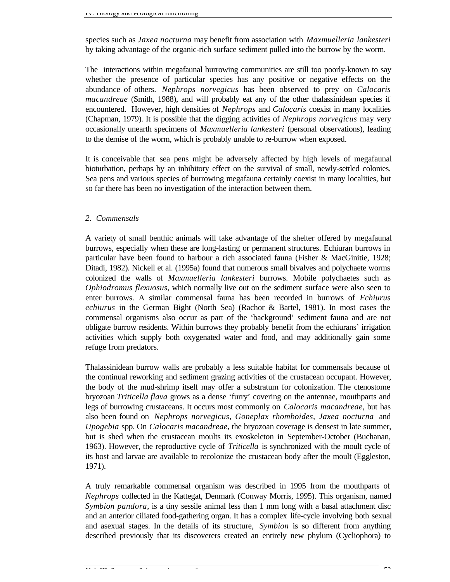species such as *Jaxea nocturna* may benefit from association with *Maxmuelleria lankesteri* by taking advantage of the organic-rich surface sediment pulled into the burrow by the worm.

The interactions within megafaunal burrowing communities are still too poorly-known to say whether the presence of particular species has any positive or negative effects on the abundance of others. *Nephrops norvegicus* has been observed to prey on *Calocaris macandreae* (Smith, 1988), and will probably eat any of the other thalassinidean species if encountered. However, high densities of *Nephrops* and *Calocaris* coexist in many localities (Chapman, 1979). It is possible that the digging activities of *Nephrops norvegicus* may very occasionally unearth specimens of *Maxmuelleria lankesteri* (personal observations), leading to the demise of the worm, which is probably unable to re-burrow when exposed.

It is conceivable that sea pens might be adversely affected by high levels of megafaunal bioturbation, perhaps by an inhibitory effect on the survival of small, newly-settled colonies. Sea pens and various species of burrowing megafauna certainly coexist in many localities, but so far there has been no investigation of the interaction between them.

### *2. Commensals*

A variety of small benthic animals will take advantage of the shelter offered by megafaunal burrows, especially when these are long-lasting or permanent structures. Echiuran burrows in particular have been found to harbour a rich associated fauna (Fisher & MacGinitie, 1928; Ditadi, 1982). Nickell et al. (1995a) found that numerous small bivalves and polychaete worms colonized the walls of *Maxmuelleria lankesteri* burrows. Mobile polychaetes such as *Ophiodromus flexuosus*, which normally live out on the sediment surface were also seen to enter burrows. A similar commensal fauna has been recorded in burrows of *Echiurus echiurus* in the German Bight (North Sea) (Rachor & Bartel, 1981). In most cases the commensal organisms also occur as part of the 'background' sediment fauna and are not obligate burrow residents. Within burrows they probably benefit from the echiurans' irrigation activities which supply both oxygenated water and food, and may additionally gain some refuge from predators.

Thalassinidean burrow walls are probably a less suitable habitat for commensals because of the continual reworking and sediment grazing activities of the crustacean occupant. However, the body of the mud-shrimp itself may offer a substratum for colonization. The ctenostome bryozoan *Triticella flava* grows as a dense 'furry' covering on the antennae, mouthparts and legs of burrowing crustaceans. It occurs most commonly on *Calocaris macandreae*, but has also been found on *Nephrops norvegicus, Goneplax rhomboides, Jaxea nocturna* and *Upogebia* spp. On *Calocaris macandreae*, the bryozoan coverage is densest in late summer, but is shed when the crustacean moults its exoskeleton in September-October (Buchanan, 1963). However, the reproductive cycle of *Triticella* is synchronized with the moult cycle of its host and larvae are available to recolonize the crustacean body after the moult (Eggleston, 1971).

A truly remarkable commensal organism was described in 1995 from the mouthparts of *Nephrops* collected in the Kattegat, Denmark (Conway Morris, 1995). This organism, named *Symbion pandora*, is a tiny sessile animal less than 1 mm long with a basal attachment disc and an anterior ciliated food-gathering organ. It has a complex life-cycle involving both sexual and asexual stages. In the details of its structure, *Symbion* is so different from anything described previously that its discoverers created an entirely new phylum (Cycliophora) to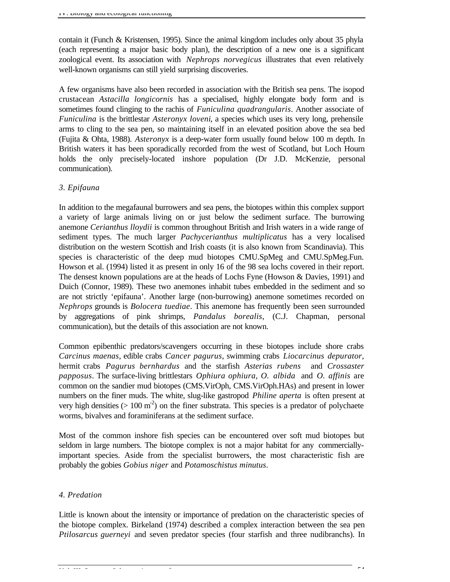contain it (Funch & Kristensen, 1995). Since the animal kingdom includes only about 35 phyla (each representing a major basic body plan), the description of a new one is a significant zoological event. Its association with *Nephrops norvegicus* illustrates that even relatively well-known organisms can still yield surprising discoveries.

A few organisms have also been recorded in association with the British sea pens. The isopod crustacean *Astacilla longicornis* has a specialised, highly elongate body form and is sometimes found clinging to the rachis of *Funiculina quadrangularis*. Another associate of *Funiculina* is the brittlestar *Asteronyx loveni*, a species which uses its very long, prehensile arms to cling to the sea pen, so maintaining itself in an elevated position above the sea bed (Fujita & Ohta, 1988). *Asteronyx* is a deep-water form usually found below 100 m depth. In British waters it has been sporadically recorded from the west of Scotland, but Loch Hourn holds the only precisely-located inshore population (Dr J.D. McKenzie, personal communication).

### *3. Epifauna*

In addition to the megafaunal burrowers and sea pens, the biotopes within this complex support a variety of large animals living on or just below the sediment surface. The burrowing anemone *Cerianthus lloydii* is common throughout British and Irish waters in a wide range of sediment types. The much larger *Pachycerianthus multiplicatus* has a very localised distribution on the western Scottish and Irish coasts (it is also known from Scandinavia). This species is characteristic of the deep mud biotopes CMU.SpMeg and CMU.SpMeg.Fun. Howson et al. (1994) listed it as present in only 16 of the 98 sea lochs covered in their report. The densest known populations are at the heads of Lochs Fyne (Howson & Davies, 1991) and Duich (Connor, 1989). These two anemones inhabit tubes embedded in the sediment and so are not strictly 'epifauna'. Another large (non-burrowing) anemone sometimes recorded on *Nephrops* grounds is *Bolocera tuediae*. This anemone has frequently been seen surrounded by aggregations of pink shrimps, *Pandalus borealis*, (C.J. Chapman, personal communication), but the details of this association are not known.

Common epibenthic predators/scavengers occurring in these biotopes include shore crabs *Carcinus maenas*, edible crabs *Cancer pagurus*, swimming crabs *Liocarcinus depurator,* hermit crabs *Pagurus bernhardus* and the starfish *Asterias rubens* and *Crossaster papposus*. The surface-living brittlestars *Ophiura ophiura, O. albida* and *O. affinis* are common on the sandier mud biotopes (CMS.VirOph, CMS.VirOph.HAs) and present in lower numbers on the finer muds. The white, slug-like gastropod *Philine aperta* is often present at very high densities ( $> 100 \text{ m}^2$ ) on the finer substrata. This species is a predator of polychaete worms, bivalves and foraminiferans at the sediment surface.

Most of the common inshore fish species can be encountered over soft mud biotopes but seldom in large numbers. The biotope complex is not a major habitat for any commerciallyimportant species. Aside from the specialist burrowers, the most characteristic fish are probably the gobies *Gobius niger* and *Potamoschistus minutus*.

### *4. Predation*

Little is known about the intensity or importance of predation on the characteristic species of the biotope complex. Birkeland (1974) described a complex interaction between the sea pen *Ptilosarcus guerneyi* and seven predator species (four starfish and three nudibranchs). In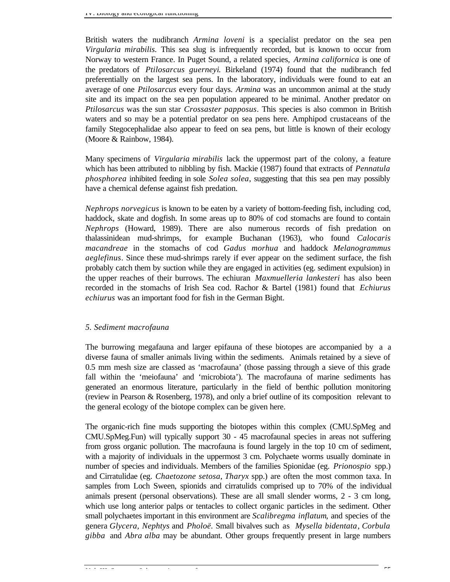British waters the nudibranch *Armina loveni* is a specialist predator on the sea pen *Virgularia mirabilis.* This sea slug is infrequently recorded, but is known to occur from Norway to western France. In Puget Sound, a related species, *Armina californica* is one of the predators of *Ptilosarcus guerneyi*. Birkeland (1974) found that the nudibranch fed preferentially on the largest sea pens. In the laboratory, individuals were found to eat an average of one *Ptilosarcus* every four days. *Armina* was an uncommon animal at the study site and its impact on the sea pen population appeared to be minimal. Another predator on *Ptilosarcus* was the sun star *Crossaster papposus*. This species is also common in British waters and so may be a potential predator on sea pens here. Amphipod crustaceans of the family Stegocephalidae also appear to feed on sea pens, but little is known of their ecology (Moore & Rainbow, 1984).

Many specimens of *Virgularia mirabilis* lack the uppermost part of the colony, a feature which has been attributed to nibbling by fish. Mackie (1987) found that extracts of *Pennatula phosphorea* inhibited feeding in sole *Solea solea*, suggesting that this sea pen may possibly have a chemical defense against fish predation.

*Nephrops norvegicus* is known to be eaten by a variety of bottom-feeding fish, including cod, haddock, skate and dogfish. In some areas up to 80% of cod stomachs are found to contain *Nephrops* (Howard, 1989). There are also numerous records of fish predation on thalassinidean mud-shrimps, for example Buchanan (1963), who found *Calocaris macandreae* in the stomachs of cod *Gadus morhua* and haddock *Melanogrammus aeglefinus*. Since these mud-shrimps rarely if ever appear on the sediment surface, the fish probably catch them by suction while they are engaged in activities (eg. sediment expulsion) in the upper reaches of their burrows. The echiuran *Maxmuelleria lankesteri* has also been recorded in the stomachs of Irish Sea cod. Rachor & Bartel (1981) found that *Echiurus echiurus* was an important food for fish in the German Bight.

### *5. Sediment macrofauna*

The burrowing megafauna and larger epifauna of these biotopes are accompanied by a a diverse fauna of smaller animals living within the sediments. Animals retained by a sieve of 0.5 mm mesh size are classed as 'macrofauna' (those passing through a sieve of this grade fall within the 'meiofauna' and 'microbiota'). The macrofauna of marine sediments has generated an enormous literature, particularly in the field of benthic pollution monitoring (review in Pearson & Rosenberg, 1978), and only a brief outline of its composition relevant to the general ecology of the biotope complex can be given here.

The organic-rich fine muds supporting the biotopes within this complex (CMU.SpMeg and CMU.SpMeg.Fun) will typically support 30 - 45 macrofaunal species in areas not suffering from gross organic pollution. The macrofauna is found largely in the top 10 cm of sediment, with a majority of individuals in the uppermost 3 cm. Polychaete worms usually dominate in number of species and individuals. Members of the families Spionidae (eg. *Prionospio* spp.) and Cirratulidae (eg. *Chaetozone setosa*, *Tharyx* spp.) are often the most common taxa. In samples from Loch Sween, spionids and cirratulids comprised up to 70% of the individual animals present (personal observations). These are all small slender worms, 2 - 3 cm long, which use long anterior palps or tentacles to collect organic particles in the sediment. Other small polychaetes important in this environment are *Scalibregma inflatum*, and species of the genera *Glycera, Nephtys* and *Pholoë.* Small bivalves such as *Mysella bidentata*, *Corbula gibba* and *Abra alba* may be abundant. Other groups frequently present in large numbers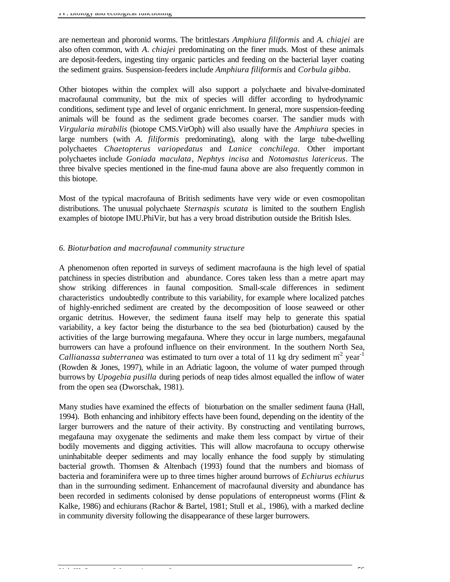are nemertean and phoronid worms. The brittlestars *Amphiura filiformis* and *A. chiajei* are also often common, with *A. chiajei* predominating on the finer muds. Most of these animals are deposit-feeders, ingesting tiny organic particles and feeding on the bacterial layer coating the sediment grains. Suspension-feeders include *Amphiura filiformis* and *Corbula gibba.*

Other biotopes within the complex will also support a polychaete and bivalve-dominated macrofaunal community, but the mix of species will differ according to hydrodynamic conditions, sediment type and level of organic enrichment. In general, more suspension-feeding animals will be found as the sediment grade becomes coarser. The sandier muds with *Virgularia mirabilis* (biotope CMS.VirOph) will also usually have the *Amphiura* species in large numbers (with *A. filiformis* predominating), along with the large tube-dwelling polychaetes *Chaetopterus variopedatus* and *Lanice conchilega*. Other important polychaetes include *Goniada maculata*, *Nephtys incisa* and *Notomastus latericeus*. The three bivalve species mentioned in the fine-mud fauna above are also frequently common in this biotope.

Most of the typical macrofauna of British sediments have very wide or even cosmopolitan distributions. The unusual polychaete *Sternaspis scutata* is limited to the southern English examples of biotope IMU.PhiVir, but has a very broad distribution outside the British Isles.

### *6. Bioturbation and macrofaunal community structure*

A phenomenon often reported in surveys of sediment macrofauna is the high level of spatial patchiness in species distribution and abundance. Cores taken less than a metre apart may show striking differences in faunal composition. Small-scale differences in sediment characteristics undoubtedly contribute to this variability, for example where localized patches of highly-enriched sediment are created by the decomposition of loose seaweed or other organic detritus. However, the sediment fauna itself may help to generate this spatial variability, a key factor being the disturbance to the sea bed (bioturbation) caused by the activities of the large burrowing megafauna. Where they occur in large numbers, megafaunal burrowers can have a profound influence on their environment. In the southern North Sea, *Callianassa subterranea* was estimated to turn over a total of 11 kg dry sediment  $m^2$  year<sup>-1</sup> (Rowden & Jones, 1997), while in an Adriatic lagoon, the volume of water pumped through burrows by *Upogebia pusilla* during periods of neap tides almost equalled the inflow of water from the open sea (Dworschak, 1981).

Many studies have examined the effects of bioturbation on the smaller sediment fauna (Hall, 1994). Both enhancing and inhibitory effects have been found, depending on the identity of the larger burrowers and the nature of their activity. By constructing and ventilating burrows, megafauna may oxygenate the sediments and make them less compact by virtue of their bodily movements and digging activities. This will allow macrofauna to occupy otherwise uninhabitable deeper sediments and may locally enhance the food supply by stimulating bacterial growth. Thomsen & Altenbach (1993) found that the numbers and biomass of bacteria and foraminifera were up to three times higher around burrows of *Echiurus echiurus* than in the surrounding sediment. Enhancement of macrofaunal diversity and abundance has been recorded in sediments colonised by dense populations of enteropneust worms (Flint & Kalke, 1986) and echiurans (Rachor & Bartel, 1981; Stull et al., 1986), with a marked decline in community diversity following the disappearance of these larger burrowers.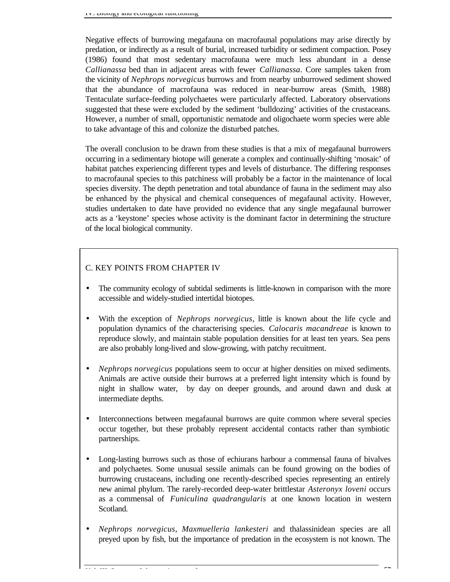Negative effects of burrowing megafauna on macrofaunal populations may arise directly by predation, or indirectly as a result of burial, increased turbidity or sediment compaction. Posey (1986) found that most sedentary macrofauna were much less abundant in a dense *Callianassa* bed than in adjacent areas with fewer *Callianassa*. Core samples taken from the vicinity of *Nephrops norvegicus* burrows and from nearby unburrowed sediment showed that the abundance of macrofauna was reduced in near-burrow areas (Smith, 1988) Tentaculate surface-feeding polychaetes were particularly affected. Laboratory observations suggested that these were excluded by the sediment 'bulldozing' activities of the crustaceans. However, a number of small, opportunistic nematode and oligochaete worm species were able to take advantage of this and colonize the disturbed patches.

The overall conclusion to be drawn from these studies is that a mix of megafaunal burrowers occurring in a sedimentary biotope will generate a complex and continually-shifting 'mosaic' of habitat patches experiencing different types and levels of disturbance. The differing responses to macrofaunal species to this patchiness will probably be a factor in the maintenance of local species diversity. The depth penetration and total abundance of fauna in the sediment may also be enhanced by the physical and chemical consequences of megafaunal activity. However, studies undertaken to date have provided no evidence that any single megafaunal burrower acts as a 'keystone' species whose activity is the dominant factor in determining the structure of the local biological community.

## C. KEY POINTS FROM CHAPTER IV

- The community ecology of subtidal sediments is little-known in comparison with the more accessible and widely-studied intertidal biotopes.
- With the exception of *Nephrops norvegicus*, little is known about the life cycle and population dynamics of the characterising species. *Calocaris macandreae* is known to reproduce slowly, and maintain stable population densities for at least ten years. Sea pens are also probably long-lived and slow-growing, with patchy recuitment.
- *Nephrops norvegicus* populations seem to occur at higher densities on mixed sediments. Animals are active outside their burrows at a preferred light intensity which is found by night in shallow water, by day on deeper grounds, and around dawn and dusk at intermediate depths.
- Interconnections between megafaunal burrows are quite common where several species occur together, but these probably represent accidental contacts rather than symbiotic partnerships.
- Long-lasting burrows such as those of echiurans harbour a commensal fauna of bivalves and polychaetes. Some unusual sessile animals can be found growing on the bodies of burrowing crustaceans, including one recently-described species representing an entirely new animal phylum. The rarely-recorded deep-water brittlestar *Asteronyx loveni* occurs as a commensal of *Funiculina quadrangularis* at one known location in western Scotland.
- *Nephrops norvegicus*, *Maxmuelleria lankesteri* and thalassinidean species are all preyed upon by fish, but the importance of predation in the ecosystem is not known. The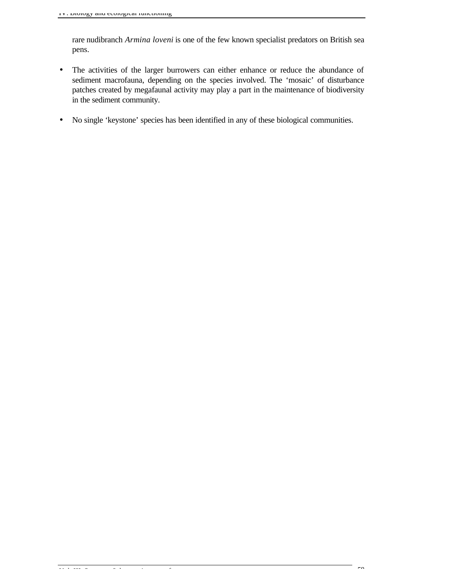rare nudibranch *Armina loveni* is one of the few known specialist predators on British sea pens.

- The activities of the larger burrowers can either enhance or reduce the abundance of sediment macrofauna, depending on the species involved. The 'mosaic' of disturbance patches created by megafaunal activity may play a part in the maintenance of biodiversity in the sediment community.
- No single 'keystone' species has been identified in any of these biological communities.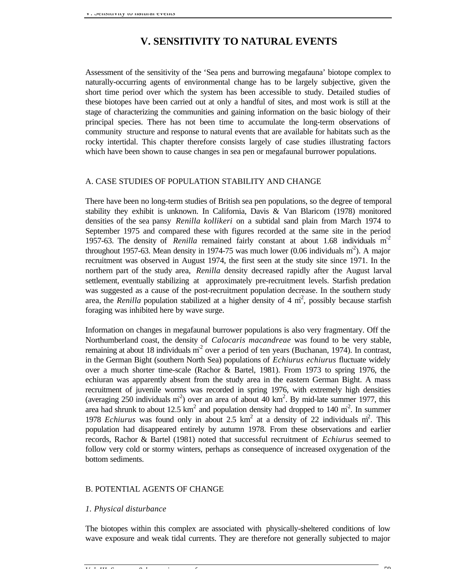# **V. SENSITIVITY TO NATURAL EVENTS**

Assessment of the sensitivity of the 'Sea pens and burrowing megafauna' biotope complex to naturally-occurring agents of environmental change has to be largely subjective, given the short time period over which the system has been accessible to study. Detailed studies of these biotopes have been carried out at only a handful of sites, and most work is still at the stage of characterizing the communities and gaining information on the basic biology of their principal species. There has not been time to accumulate the long-term observations of community structure and response to natural events that are available for habitats such as the rocky intertidal. This chapter therefore consists largely of case studies illustrating factors which have been shown to cause changes in sea pen or megafaunal burrower populations.

### A. CASE STUDIES OF POPULATION STABILITY AND CHANGE

There have been no long-term studies of British sea pen populations, so the degree of temporal stability they exhibit is unknown. In California, Davis & Van Blaricom (1978) monitored densities of the sea pansy *Renilla kollikeri* on a subtidal sand plain from March 1974 to September 1975 and compared these with figures recorded at the same site in the period 1957-63. The density of *Renilla* remained fairly constant at about 1.68 individuals m<sup>2</sup> throughout 1957-63. Mean density in 1974-75 was much lower (0.06 individuals  $m<sup>2</sup>$ ). A major recruitment was observed in August 1974, the first seen at the study site since 1971. In the northern part of the study area, *Renilla* density decreased rapidly after the August larval settlement, eventually stabilizing at approximately pre-recruitment levels. Starfish predation was suggested as a cause of the post-recruitment population decrease. In the southern study area, the *Renilla* population stabilized at a higher density of  $4 \text{ m}^2$ , possibly because starfish foraging was inhibited here by wave surge.

Information on changes in megafaunal burrower populations is also very fragmentary. Off the Northumberland coast, the density of *Calocaris macandreae* was found to be very stable, remaining at about 18 individuals  $m<sup>2</sup>$  over a period of ten years (Buchanan, 1974). In contrast, in the German Bight (southern North Sea) populations of *Echiurus echiurus* fluctuate widely over a much shorter time-scale (Rachor & Bartel, 1981). From 1973 to spring 1976, the echiuran was apparently absent from the study area in the eastern German Bight. A mass recruitment of juvenile worms was recorded in spring 1976, with extremely high densities (averaging 250 individuals  $m^2$ ) over an area of about 40 km<sup>2</sup>. By mid-late summer 1977, this area had shrunk to about 12.5 km<sup>2</sup> and population density had dropped to 140 m<sup>2</sup>. In summer 1978 *Echiurus* was found only in about 2.5  $km^2$  at a density of 22 individuals  $m^2$ . This population had disappeared entirely by autumn 1978. From these observations and earlier records, Rachor & Bartel (1981) noted that successful recruitment of *Echiurus* seemed to follow very cold or stormy winters, perhaps as consequence of increased oxygenation of the bottom sediments.

## B. POTENTIAL AGENTS OF CHANGE

### *1. Physical disturbance*

The biotopes within this complex are associated with physically-sheltered conditions of low wave exposure and weak tidal currents. They are therefore not generally subjected to major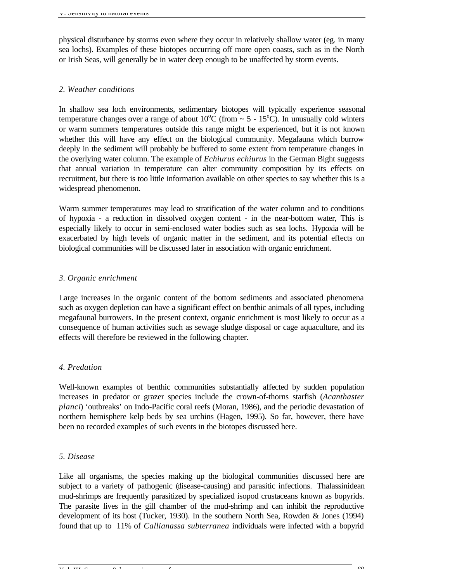physical disturbance by storms even where they occur in relatively shallow water (eg. in many sea lochs). Examples of these biotopes occurring off more open coasts, such as in the North or Irish Seas, will generally be in water deep enough to be unaffected by storm events.

### *2. Weather conditions*

In shallow sea loch environments, sedimentary biotopes will typically experience seasonal temperature changes over a range of about  $10^{\circ}$ C (from  $\sim$  5 - 15<sup>o</sup>C). In unusually cold winters or warm summers temperatures outside this range might be experienced, but it is not known whether this will have any effect on the biological community. Megafauna which burrow deeply in the sediment will probably be buffered to some extent from temperature changes in the overlying water column. The example of *Echiurus echiurus* in the German Bight suggests that annual variation in temperature can alter community composition by its effects on recruitment, but there is too little information available on other species to say whether this is a widespread phenomenon.

Warm summer temperatures may lead to stratification of the water column and to conditions of hypoxia - a reduction in dissolved oxygen content - in the near-bottom water, This is especially likely to occur in semi-enclosed water bodies such as sea lochs. Hypoxia will be exacerbated by high levels of organic matter in the sediment, and its potential effects on biological communities will be discussed later in association with organic enrichment.

### *3. Organic enrichment*

Large increases in the organic content of the bottom sediments and associated phenomena such as oxygen depletion can have a significant effect on benthic animals of all types, including megafaunal burrowers. In the present context, organic enrichment is most likely to occur as a consequence of human activities such as sewage sludge disposal or cage aquaculture, and its effects will therefore be reviewed in the following chapter.

### *4. Predation*

Well-known examples of benthic communities substantially affected by sudden population increases in predator or grazer species include the crown-of-thorns starfish (*Acanthaster planci*) 'outbreaks' on Indo-Pacific coral reefs (Moran, 1986), and the periodic devastation of northern hemisphere kelp beds by sea urchins (Hagen, 1995). So far, however, there have been no recorded examples of such events in the biotopes discussed here.

### *5. Disease*

Like all organisms, the species making up the biological communities discussed here are subject to a variety of pathogenic (disease-causing) and parasitic infections. Thalassinidean mud-shrimps are frequently parasitized by specialized isopod crustaceans known as bopyrids. The parasite lives in the gill chamber of the mud-shrimp and can inhibit the reproductive development of its host (Tucker, 1930). In the southern North Sea, Rowden & Jones (1994) found that up to 11% of *Callianassa subterranea* individuals were infected with a bopyrid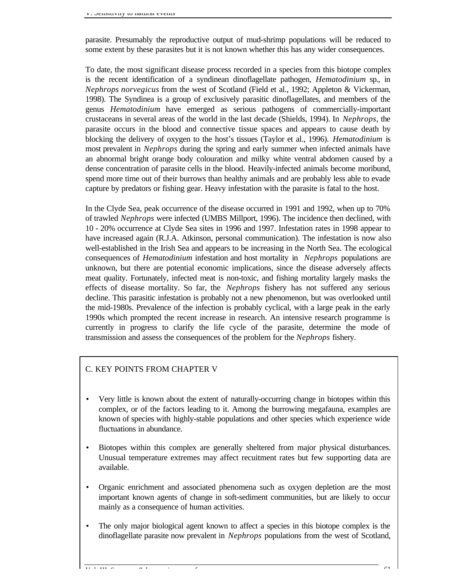parasite. Presumably the reproductive output of mud-shrimp populations will be reduced to some extent by these parasites but it is not known whether this has any wider consequences.

To date, the most significant disease process recorded in a species from this biotope complex is the recent identification of a syndinean dinoflagellate pathogen, *Hematodinium* sp., in *Nephrops norvegicus* from the west of Scotland (Field et al., 1992; Appleton & Vickerman, 1998). The Syndinea is a group of exclusively parasitic dinoflagellates, and members of the genus *Hematodinium* have emerged as serious pathogens of commercially-important crustaceans in several areas of the world in the last decade (Shields, 1994). In *Nephrops*, the parasite occurs in the blood and connective tissue spaces and appears to cause death by blocking the delivery of oxygen to the host's tissues (Taylor et al., 1996). *Hematodinium* is most prevalent in *Nephrops* during the spring and early summer when infected animals have an abnormal bright orange body colouration and milky white ventral abdomen caused by a dense concentration of parasite cells in the blood. Heavily-infected animals become moribund, spend more time out of their burrows than healthy animals and are probably less able to evade capture by predators or fishing gear. Heavy infestation with the parasite is fatal to the host.

In the Clyde Sea, peak occurrence of the disease occurred in 1991 and 1992, when up to 70% of trawled *Nephrops* were infected (UMBS Millport, 1996). The incidence then declined, with 10 - 20% occurrence at Clyde Sea sites in 1996 and 1997. Infestation rates in 1998 appear to have increased again (R.J.A. Atkinson, personal communication). The infestation is now also well-established in the Irish Sea and appears to be increasing in the North Sea. The ecological consequences of *Hematodinium* infestation and host mortality in *Nephrops* populations are unknown, but there are potential economic implications, since the disease adversely affects meat quality. Fortunately, infected meat is non-toxic, and fishing mortality largely masks the effects of disease mortality. So far, the *Nephrops* fishery has not suffered any serious decline. This parasitic infestation is probably not a new phenomenon, but was overlooked until the mid-1980s. Prevalence of the infection is probably cyclical, with a large peak in the early 1990s which prompted the recent increase in research. An intensive research programme is currently in progress to clarify the life cycle of the parasite, determine the mode of transmission and assess the consequences of the problem for the *Nephrops* fishery.

## C. KEY POINTS FROM CHAPTER V

- Very little is known about the extent of naturally-occurring change in biotopes within this complex, or of the factors leading to it. Among the burrowing megafauna, examples are known of species with highly-stable populations and other species which experience wide fluctuations in abundance.
- Biotopes within this complex are generally sheltered from major physical disturbances. Unusual temperature extremes may affect recuitment rates but few supporting data are available.
- Organic enrichment and associated phenomena such as oxygen depletion are the most important known agents of change in soft-sediment communities, but are likely to occur mainly as a consequence of human activities.
- The only major biological agent known to affect a species in this biotope complex is the dinoflagellate parasite now prevalent in *Nephrops* populations from the west of Scotland,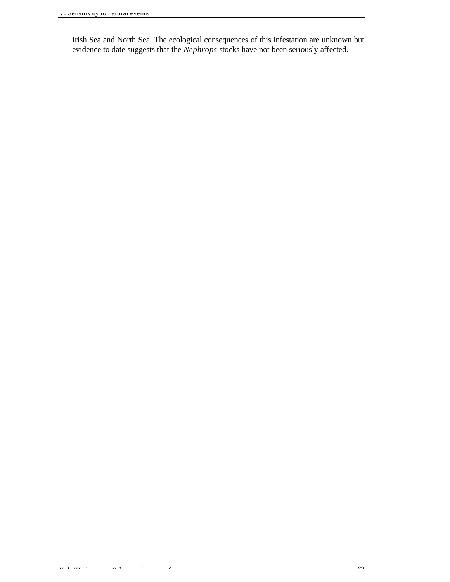Irish Sea and North Sea. The ecological consequences of this infestation are unknown but evidence to date suggests that the *Nephrops* stocks have not been seriously affected.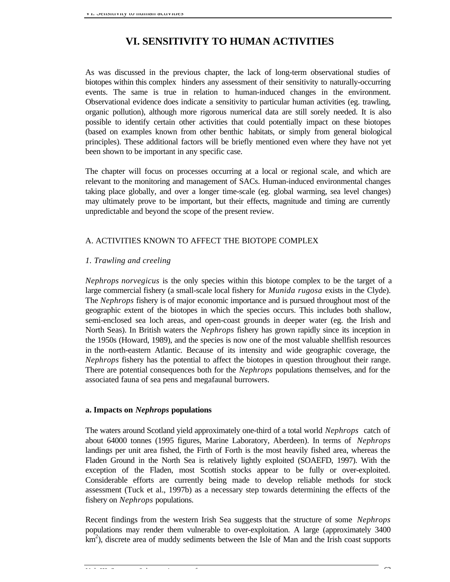# **VI. SENSITIVITY TO HUMAN ACTIVITIES**

As was discussed in the previous chapter, the lack of long-term observational studies of biotopes within this complex hinders any assessment of their sensitivity to naturally-occurring events. The same is true in relation to human-induced changes in the environment. Observational evidence does indicate a sensitivity to particular human activities (eg. trawling, organic pollution), although more rigorous numerical data are still sorely needed. It is also possible to identify certain other activities that could potentially impact on these biotopes (based on examples known from other benthic habitats, or simply from general biological principles). These additional factors will be briefly mentioned even where they have not yet been shown to be important in any specific case.

The chapter will focus on processes occurring at a local or regional scale, and which are relevant to the monitoring and management of SACs. Human-induced environmental changes taking place globally, and over a longer time-scale (eg. global warming, sea level changes) may ultimately prove to be important, but their effects, magnitude and timing are currently unpredictable and beyond the scope of the present review.

## A. ACTIVITIES KNOWN TO AFFECT THE BIOTOPE COMPLEX

### *1. Trawling and creeling*

*Nephrops norvegicus* is the only species within this biotope complex to be the target of a large commercial fishery (a small-scale local fishery for *Munida rugosa* exists in the Clyde). The *Nephrops* fishery is of major economic importance and is pursued throughout most of the geographic extent of the biotopes in which the species occurs. This includes both shallow, semi-enclosed sea loch areas, and open-coast grounds in deeper water (eg. the Irish and North Seas). In British waters the *Nephrops* fishery has grown rapidly since its inception in the 1950s (Howard, 1989), and the species is now one of the most valuable shellfish resources in the north-eastern Atlantic. Because of its intensity and wide geographic coverage, the *Nephrops* fishery has the potential to affect the biotopes in question throughout their range. There are potential consequences both for the *Nephrops* populations themselves, and for the associated fauna of sea pens and megafaunal burrowers.

### **a. Impacts on** *Nephrops* **populations**

The waters around Scotland yield approximately one-third of a total world *Nephrops* catch of about 64000 tonnes (1995 figures, Marine Laboratory, Aberdeen). In terms of *Nephrops* landings per unit area fished, the Firth of Forth is the most heavily fished area, whereas the Fladen Ground in the North Sea is relatively lightly exploited (SOAEFD, 1997). With the exception of the Fladen, most Scottish stocks appear to be fully or over-exploited. Considerable efforts are currently being made to develop reliable methods for stock assessment (Tuck et al., 1997b) as a necessary step towards determining the effects of the fishery on *Nephrops* populations.

Recent findings from the western Irish Sea suggests that the structure of some *Nephrops* populations may render them vulnerable to over-exploitation. A large (approximately 3400  $km<sup>2</sup>$ ), discrete area of muddy sediments between the Isle of Man and the Irish coast supports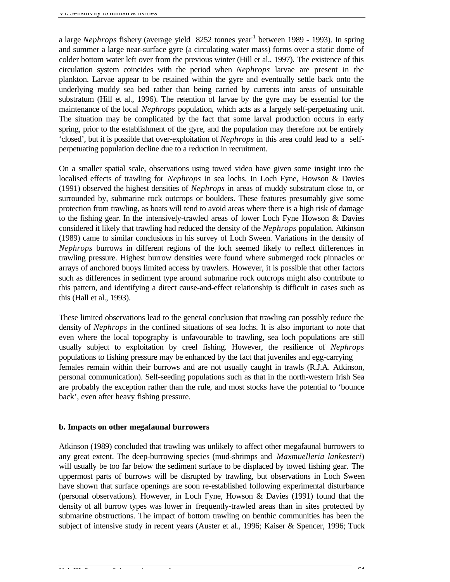a large *Nephrops* fishery (average yield 8252 tonnes year-1 between 1989 - 1993). In spring and summer a large near-surface gyre (a circulating water mass) forms over a static dome of colder bottom water left over from the previous winter (Hill et al., 1997). The existence of this circulation system coincides with the period when *Nephrops* larvae are present in the plankton. Larvae appear to be retained within the gyre and eventually settle back onto the underlying muddy sea bed rather than being carried by currents into areas of unsuitable substratum (Hill et al., 1996). The retention of larvae by the gyre may be essential for the maintenance of the local *Nephrops* population, which acts as a largely self-perpetuating unit. The situation may be complicated by the fact that some larval production occurs in early spring, prior to the establishment of the gyre, and the population may therefore not be entirely 'closed', but it is possible that over-exploitation of *Nephrops* in this area could lead to a selfperpetuating population decline due to a reduction in recruitment.

On a smaller spatial scale, observations using towed video have given some insight into the localised effects of trawling for *Nephrops* in sea lochs. In Loch Fyne, Howson & Davies (1991) observed the highest densities of *Nephrops* in areas of muddy substratum close to, or surrounded by, submarine rock outcrops or boulders. These features presumably give some protection from trawling, as boats will tend to avoid areas where there is a high risk of damage to the fishing gear. In the intensively-trawled areas of lower Loch Fyne Howson & Davies considered it likely that trawling had reduced the density of the *Nephrops* population. Atkinson (1989) came to similar conclusions in his survey of Loch Sween. Variations in the density of *Nephrops* burrows in different regions of the loch seemed likely to reflect differences in trawling pressure. Highest burrow densities were found where submerged rock pinnacles or arrays of anchored buoys limited access by trawlers. However, it is possible that other factors such as differences in sediment type around submarine rock outcrops might also contribute to this pattern, and identifying a direct cause-and-effect relationship is difficult in cases such as this (Hall et al., 1993).

These limited observations lead to the general conclusion that trawling can possibly reduce the density of *Nephrops* in the confined situations of sea lochs. It is also important to note that even where the local topography is unfavourable to trawling, sea loch populations are still usually subject to exploitation by creel fishing. However, the resilience of *Nephrops* populations to fishing pressure may be enhanced by the fact that juveniles and egg-carrying females remain within their burrows and are not usually caught in trawls (R.J.A. Atkinson, personal communication). Self-seeding populations such as that in the north-western Irish Sea are probably the exception rather than the rule, and most stocks have the potential to 'bounce back', even after heavy fishing pressure.

### **b. Impacts on other megafaunal burrowers**

Atkinson (1989) concluded that trawling was unlikely to affect other megafaunal burrowers to any great extent. The deep-burrowing species (mud-shrimps and *Maxmuelleria lankesteri*) will usually be too far below the sediment surface to be displaced by towed fishing gear. The uppermost parts of burrows will be disrupted by trawling, but observations in Loch Sween have shown that surface openings are soon re-established following experimental disturbance (personal observations). However, in Loch Fyne, Howson & Davies (1991) found that the density of all burrow types was lower in frequently-trawled areas than in sites protected by submarine obstructions. The impact of bottom trawling on benthic communities has been the subject of intensive study in recent years (Auster et al., 1996; Kaiser & Spencer, 1996; Tuck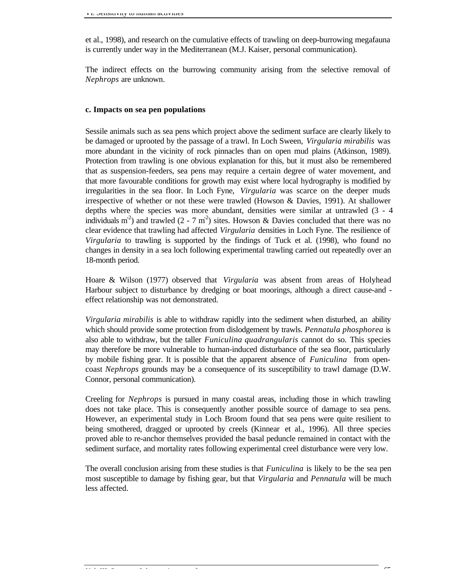et al., 1998), and research on the cumulative effects of trawling on deep-burrowing megafauna is currently under way in the Mediterranean (M.J. Kaiser, personal communication).

The indirect effects on the burrowing community arising from the selective removal of *Nephrops* are unknown.

### **c. Impacts on sea pen populations**

Sessile animals such as sea pens which project above the sediment surface are clearly likely to be damaged or uprooted by the passage of a trawl. In Loch Sween, *Virgularia mirabilis* was more abundant in the vicinity of rock pinnacles than on open mud plains (Atkinson, 1989). Protection from trawling is one obvious explanation for this, but it must also be remembered that as suspension-feeders, sea pens may require a certain degree of water movement, and that more favourable conditions for growth may exist where local hydrography is modified by irregularities in the sea floor. In Loch Fyne, *Virgularia* was scarce on the deeper muds irrespective of whether or not these were trawled (Howson & Davies, 1991). At shallower depths where the species was more abundant, densities were similar at untrawled (3 - 4 individuals  $m^2$ ) and trawled (2 - 7  $m^2$ ) sites. Howson & Davies concluded that there was no clear evidence that trawling had affected *Virgularia* densities in Loch Fyne. The resilience of *Virgularia* to trawling is supported by the findings of Tuck et al. (1998), who found no changes in density in a sea loch following experimental trawling carried out repeatedly over an 18-month period.

Hoare & Wilson (1977) observed that *Virgularia* was absent from areas of Holyhead Harbour subject to disturbance by dredging or boat moorings, although a direct cause-and effect relationship was not demonstrated.

*Virgularia mirabilis* is able to withdraw rapidly into the sediment when disturbed, an ability which should provide some protection from dislodgement by trawls. *Pennatula phosphorea* is also able to withdraw, but the taller *Funiculina quadrangularis* cannot do so. This species may therefore be more vulnerable to human-induced disturbance of the sea floor, particularly by mobile fishing gear. It is possible that the apparent absence of *Funiculina* from opencoast *Nephrops* grounds may be a consequence of its susceptibility to trawl damage (D.W. Connor, personal communication).

Creeling for *Nephrops* is pursued in many coastal areas, including those in which trawling does not take place. This is consequently another possible source of damage to sea pens. However, an experimental study in Loch Broom found that sea pens were quite resilient to being smothered, dragged or uprooted by creels (Kinnear et al., 1996). All three species proved able to re-anchor themselves provided the basal peduncle remained in contact with the sediment surface, and mortality rates following experimental creel disturbance were very low.

The overall conclusion arising from these studies is that *Funiculina* is likely to be the sea pen most susceptible to damage by fishing gear, but that *Virgularia* and *Pennatula* will be much less affected.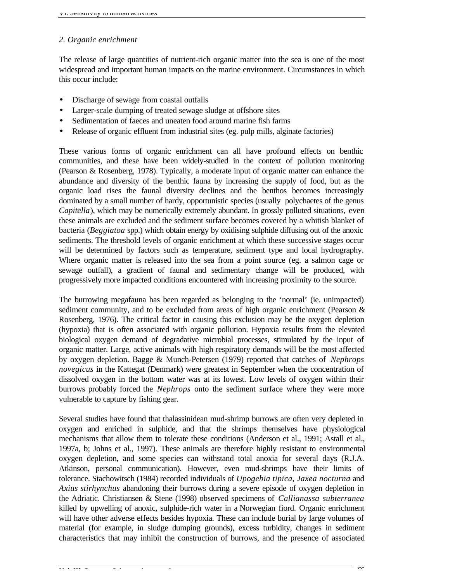### *2. Organic enrichment*

The release of large quantities of nutrient-rich organic matter into the sea is one of the most widespread and important human impacts on the marine environment. Circumstances in which this occur include:

- Discharge of sewage from coastal outfalls
- Larger-scale dumping of treated sewage sludge at offshore sites
- Sedimentation of faeces and uneaten food around marine fish farms
- Release of organic effluent from industrial sites (eg. pulp mills, alginate factories)

These various forms of organic enrichment can all have profound effects on benthic communities, and these have been widely-studied in the context of pollution monitoring (Pearson & Rosenberg, 1978). Typically, a moderate input of organic matter can enhance the abundance and diversity of the benthic fauna by increasing the supply of food, but as the organic load rises the faunal diversity declines and the benthos becomes increasingly dominated by a small number of hardy, opportunistic species (usually polychaetes of the genus *Capitella*), which may be numerically extremely abundant. In grossly polluted situations, even these animals are excluded and the sediment surface becomes covered by a whitish blanket of bacteria (*Beggiatoa* spp.) which obtain energy by oxidising sulphide diffusing out of the anoxic sediments. The threshold levels of organic enrichment at which these successive stages occur will be determined by factors such as temperature, sediment type and local hydrography. Where organic matter is released into the sea from a point source (eg. a salmon cage or sewage outfall), a gradient of faunal and sedimentary change will be produced, with progressively more impacted conditions encountered with increasing proximity to the source.

The burrowing megafauna has been regarded as belonging to the 'normal' (ie. unimpacted) sediment community, and to be excluded from areas of high organic enrichment (Pearson & Rosenberg, 1976). The critical factor in causing this exclusion may be the oxygen depletion (hypoxia) that is often associated with organic pollution. Hypoxia results from the elevated biological oxygen demand of degradative microbial processes, stimulated by the input of organic matter. Large, active animals with high respiratory demands will be the most affected by oxygen depletion. Bagge & Munch-Petersen (1979) reported that catches of *Nephrops novegicus* in the Kattegat (Denmark) were greatest in September when the concentration of dissolved oxygen in the bottom water was at its lowest. Low levels of oxygen within their burrows probably forced the *Nephrops* onto the sediment surface where they were more vulnerable to capture by fishing gear.

Several studies have found that thalassinidean mud-shrimp burrows are often very depleted in oxygen and enriched in sulphide, and that the shrimps themselves have physiological mechanisms that allow them to tolerate these conditions (Anderson et al., 1991; Astall et al., 1997a, b; Johns et al., 1997). These animals are therefore highly resistant to environmental oxygen depletion, and some species can withstand total anoxia for several days (R.J.A. Atkinson, personal communication). However, even mud-shrimps have their limits of tolerance. Stachowitsch (1984) recorded individuals of *Upogebia tipica, Jaxea nocturna* and *Axius stirhynchus* abandoning their burrows during a severe episode of oxygen depletion in the Adriatic. Christiansen & Stene (1998) observed specimens of *Callianassa subterranea* killed by upwelling of anoxic, sulphide-rich water in a Norwegian fiord. Organic enrichment will have other adverse effects besides hypoxia. These can include burial by large volumes of material (for example, in sludge dumping grounds), excess turbidity, changes in sediment characteristics that may inhibit the construction of burrows, and the presence of associated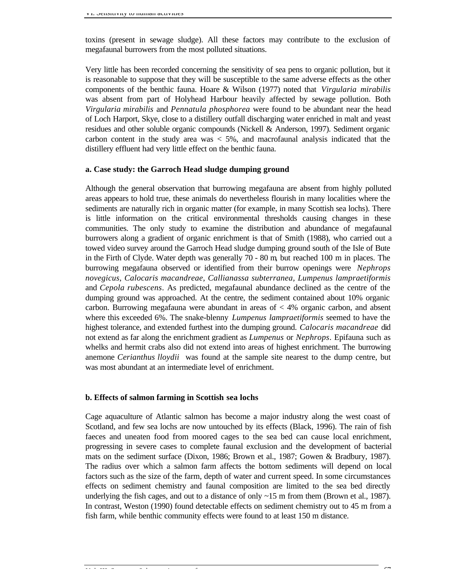toxins (present in sewage sludge). All these factors may contribute to the exclusion of megafaunal burrowers from the most polluted situations.

Very little has been recorded concerning the sensitivity of sea pens to organic pollution, but it is reasonable to suppose that they will be susceptible to the same adverse effects as the other components of the benthic fauna. Hoare & Wilson (1977) noted that *Virgularia mirabilis* was absent from part of Holyhead Harbour heavily affected by sewage pollution. Both *Virgularia mirabilis* and *Pennatula phosphorea* were found to be abundant near the head of Loch Harport, Skye, close to a distillery outfall discharging water enriched in malt and yeast residues and other soluble organic compounds (Nickell & Anderson, 1997). Sediment organic carbon content in the study area was  $< 5\%$ , and macrofaunal analysis indicated that the distillery effluent had very little effect on the benthic fauna.

#### **a. Case study: the Garroch Head sludge dumping ground**

Although the general observation that burrowing megafauna are absent from highly polluted areas appears to hold true, these animals do nevertheless flourish in many localities where the sediments are naturally rich in organic matter (for example, in many Scottish sea lochs). There is little information on the critical environmental thresholds causing changes in these communities. The only study to examine the distribution and abundance of megafaunal burrowers along a gradient of organic enrichment is that of Smith (1988), who carried out a towed video survey around the Garroch Head sludge dumping ground south of the Isle of Bute in the Firth of Clyde. Water depth was generally 70 - 80 m, but reached 100 m in places. The burrowing megafauna observed or identified from their burrow openings were *Nephrops novegicus, Calocaris macandreae, Callianassa subterranea, Lumpenus lampraetiformis* and *Cepola rubescens*. As predicted, megafaunal abundance declined as the centre of the dumping ground was approached. At the centre, the sediment contained about 10% organic carbon. Burrowing megafauna were abundant in areas of  $\lt 4\%$  organic carbon, and absent where this exceeded 6%. The snake-blenny *Lumpenus lampraetiformis* seemed to have the highest tolerance, and extended furthest into the dumping ground. *Calocaris macandreae* did not extend as far along the enrichment gradient as *Lumpenus* or *Nephrops*. Epifauna such as whelks and hermit crabs also did not extend into areas of highest enrichment. The burrowing anemone *Cerianthus lloydii* was found at the sample site nearest to the dump centre, but was most abundant at an intermediate level of enrichment.

#### **b. Effects of salmon farming in Scottish sea lochs**

Cage aquaculture of Atlantic salmon has become a major industry along the west coast of Scotland, and few sea lochs are now untouched by its effects (Black, 1996). The rain of fish faeces and uneaten food from moored cages to the sea bed can cause local enrichment, progressing in severe cases to complete faunal exclusion and the development of bacterial mats on the sediment surface (Dixon, 1986; Brown et al., 1987; Gowen & Bradbury, 1987). The radius over which a salmon farm affects the bottom sediments will depend on local factors such as the size of the farm, depth of water and current speed. In some circumstances effects on sediment chemistry and faunal composition are limited to the sea bed directly underlying the fish cages, and out to a distance of only  $\sim$ 15 m from them (Brown et al., 1987). In contrast, Weston (1990) found detectable effects on sediment chemistry out to 45 m from a fish farm, while benthic community effects were found to at least 150 m distance.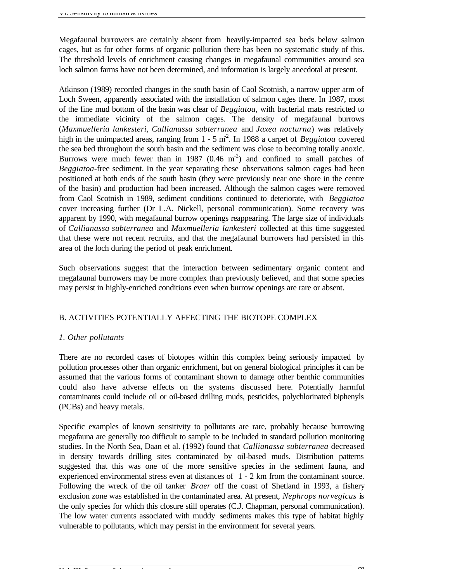Megafaunal burrowers are certainly absent from heavily-impacted sea beds below salmon cages, but as for other forms of organic pollution there has been no systematic study of this. The threshold levels of enrichment causing changes in megafaunal communities around sea loch salmon farms have not been determined, and information is largely anecdotal at present.

Atkinson (1989) recorded changes in the south basin of Caol Scotnish, a narrow upper arm of Loch Sween, apparently associated with the installation of salmon cages there. In 1987, most of the fine mud bottom of the basin was clear of *Beggiatoa*, with bacterial mats restricted to the immediate vicinity of the salmon cages. The density of megafaunal burrows (*Maxmuelleria lankesteri, Callianassa subterranea* and *Jaxea nocturna*) was relatively high in the unimpacted areas, ranging from  $1 - 5$  m<sup>2</sup>. In 1988 a carpet of *Beggiatoa* covered the sea bed throughout the south basin and the sediment was close to becoming totally anoxic. Burrows were much fewer than in 1987  $(0.46 \text{ m}^2)$  and confined to small patches of *Beggiatoa*-free sediment. In the year separating these observations salmon cages had been positioned at both ends of the south basin (they were previously near one shore in the centre of the basin) and production had been increased. Although the salmon cages were removed from Caol Scotnish in 1989, sediment conditions continued to deteriorate, with *Beggiatoa* cover increasing further (Dr L.A. Nickell, personal communication). Some recovery was apparent by 1990, with megafaunal burrow openings reappearing. The large size of individuals of *Callianassa subterranea* and *Maxmuelleria lankesteri* collected at this time suggested that these were not recent recruits, and that the megafaunal burrowers had persisted in this area of the loch during the period of peak enrichment.

Such observations suggest that the interaction between sedimentary organic content and megafaunal burrowers may be more complex than previously believed, and that some species may persist in highly-enriched conditions even when burrow openings are rare or absent.

## B. ACTIVITIES POTENTIALLY AFFECTING THE BIOTOPE COMPLEX

## *1. Other pollutants*

There are no recorded cases of biotopes within this complex being seriously impacted by pollution processes other than organic enrichment, but on general biological principles it can be assumed that the various forms of contaminant shown to damage other benthic communities could also have adverse effects on the systems discussed here. Potentially harmful contaminants could include oil or oil-based drilling muds, pesticides, polychlorinated biphenyls (PCBs) and heavy metals.

Specific examples of known sensitivity to pollutants are rare, probably because burrowing megafauna are generally too difficult to sample to be included in standard pollution monitoring studies. In the North Sea, Daan et al. (1992) found that *Callianassa subterranea* decreased in density towards drilling sites contaminated by oil-based muds. Distribution patterns suggested that this was one of the more sensitive species in the sediment fauna, and experienced environmental stress even at distances of 1 - 2 km from the contaminant source. Following the wreck of the oil tanker *Braer* off the coast of Shetland in 1993, a fishery exclusion zone was established in the contaminated area. At present, *Nephrops norvegicus* is the only species for which this closure still operates (C.J. Chapman, personal communication). The low water currents associated with muddy sediments makes this type of habitat highly vulnerable to pollutants, which may persist in the environment for several years.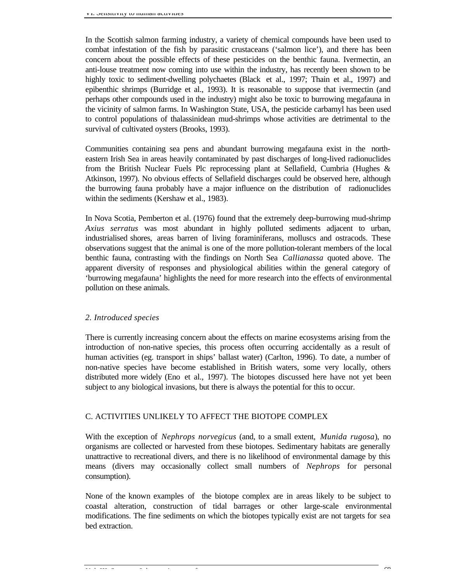In the Scottish salmon farming industry, a variety of chemical compounds have been used to combat infestation of the fish by parasitic crustaceans ('salmon lice'), and there has been concern about the possible effects of these pesticides on the benthic fauna. Ivermectin, an anti-louse treatment now coming into use within the industry, has recently been shown to be highly toxic to sediment-dwelling polychaetes (Black et al., 1997; Thain et al., 1997) and epibenthic shrimps (Burridge et al., 1993). It is reasonable to suppose that ivermectin (and perhaps other compounds used in the industry) might also be toxic to burrowing megafauna in the vicinity of salmon farms. In Washington State, USA, the pesticide carbamyl has been used to control populations of thalassinidean mud-shrimps whose activities are detrimental to the survival of cultivated oysters (Brooks, 1993).

Communities containing sea pens and abundant burrowing megafauna exist in the northeastern Irish Sea in areas heavily contaminated by past discharges of long-lived radionuclides from the British Nuclear Fuels Plc reprocessing plant at Sellafield, Cumbria (Hughes & Atkinson, 1997). No obvious effects of Sellafield discharges could be observed here, although the burrowing fauna probably have a major influence on the distribution of radionuclides within the sediments (Kershaw et al., 1983).

In Nova Scotia, Pemberton et al. (1976) found that the extremely deep-burrowing mud-shrimp *Axius serratus* was most abundant in highly polluted sediments adjacent to urban, industrialised shores, areas barren of living foraminiferans, molluscs and ostracods. These observations suggest that the animal is one of the more pollution-tolerant members of the local benthic fauna, contrasting with the findings on North Sea *Callianassa* quoted above. The apparent diversity of responses and physiological abilities within the general category of 'burrowing megafauna' highlights the need for more research into the effects of environmental pollution on these animals.

## *2. Introduced species*

There is currently increasing concern about the effects on marine ecosystems arising from the introduction of non-native species, this process often occurring accidentally as a result of human activities (eg. transport in ships' ballast water) (Carlton, 1996). To date, a number of non-native species have become established in British waters, some very locally, others distributed more widely (Eno et al., 1997). The biotopes discussed here have not yet been subject to any biological invasions, but there is always the potential for this to occur.

## C. ACTIVITIES UNLIKELY TO AFFECT THE BIOTOPE COMPLEX

With the exception of *Nephrops norvegicus* (and, to a small extent, *Munida rugosa*), no organisms are collected or harvested from these biotopes. Sedimentary habitats are generally unattractive to recreational divers, and there is no likelihood of environmental damage by this means (divers may occasionally collect small numbers of *Nephrops* for personal consumption).

None of the known examples of the biotope complex are in areas likely to be subject to coastal alteration, construction of tidal barrages or other large-scale environmental modifications. The fine sediments on which the biotopes typically exist are not targets for sea bed extraction.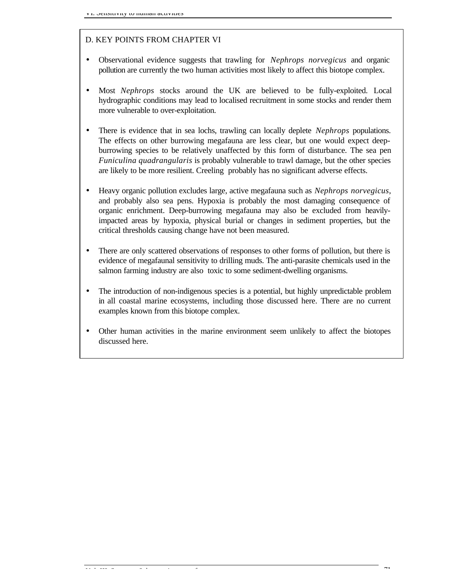## D. KEY POINTS FROM CHAPTER VI

- Observational evidence suggests that trawling for *Nephrops norvegicus* and organic pollution are currently the two human activities most likely to affect this biotope complex.
- Most *Nephrops* stocks around the UK are believed to be fully-exploited. Local hydrographic conditions may lead to localised recruitment in some stocks and render them more vulnerable to over-exploitation.
- There is evidence that in sea lochs, trawling can locally deplete *Nephrops* populations. The effects on other burrowing megafauna are less clear, but one would expect deepburrowing species to be relatively unaffected by this form of disturbance. The sea pen *Funiculina quadrangularis* is probably vulnerable to trawl damage, but the other species are likely to be more resilient. Creeling probably has no significant adverse effects.
- Heavy organic pollution excludes large, active megafauna such as *Nephrops norvegicus*, and probably also sea pens. Hypoxia is probably the most damaging consequence of organic enrichment. Deep-burrowing megafauna may also be excluded from heavilyimpacted areas by hypoxia, physical burial or changes in sediment properties, but the critical thresholds causing change have not been measured.
- There are only scattered observations of responses to other forms of pollution, but there is evidence of megafaunal sensitivity to drilling muds. The anti-parasite chemicals used in the salmon farming industry are also toxic to some sediment-dwelling organisms.
- The introduction of non-indigenous species is a potential, but highly unpredictable problem in all coastal marine ecosystems, including those discussed here. There are no current examples known from this biotope complex.
- Other human activities in the marine environment seem unlikely to affect the biotopes discussed here.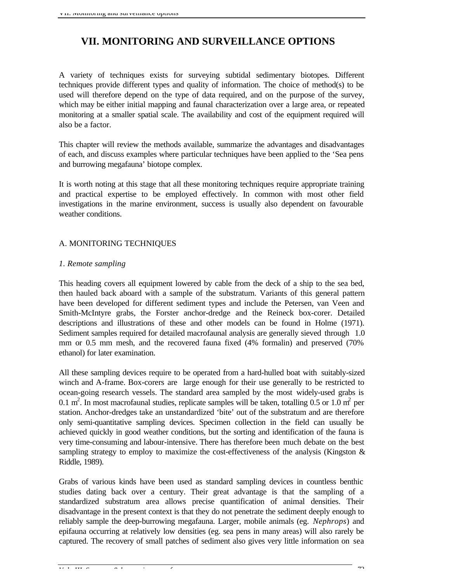# **VII. MONITORING AND SURVEILLANCE OPTIONS**

A variety of techniques exists for surveying subtidal sedimentary biotopes. Different techniques provide different types and quality of information. The choice of method(s) to be used will therefore depend on the type of data required, and on the purpose of the survey, which may be either initial mapping and faunal characterization over a large area, or repeated monitoring at a smaller spatial scale. The availability and cost of the equipment required will also be a factor.

This chapter will review the methods available, summarize the advantages and disadvantages of each, and discuss examples where particular techniques have been applied to the 'Sea pens and burrowing megafauna' biotope complex.

It is worth noting at this stage that all these monitoring techniques require appropriate training and practical expertise to be employed effectively. In common with most other field investigations in the marine environment, success is usually also dependent on favourable weather conditions.

## A. MONITORING TECHNIQUES

## *1. Remote sampling*

This heading covers all equipment lowered by cable from the deck of a ship to the sea bed, then hauled back aboard with a sample of the substratum. Variants of this general pattern have been developed for different sediment types and include the Petersen, van Veen and Smith-McIntyre grabs, the Forster anchor-dredge and the Reineck box-corer. Detailed descriptions and illustrations of these and other models can be found in Holme (1971). Sediment samples required for detailed macrofaunal analysis are generally sieved through 1.0 mm or 0.5 mm mesh, and the recovered fauna fixed (4% formalin) and preserved (70% ethanol) for later examination.

All these sampling devices require to be operated from a hard-hulled boat with suitably-sized winch and A-frame. Box-corers are large enough for their use generally to be restricted to ocean-going research vessels. The standard area sampled by the most widely-used grabs is 0.1 m<sup>2</sup>. In most macrofaunal studies, replicate samples will be taken, totalling 0.5 or 1.0 m<sup>2</sup> per station. Anchor-dredges take an unstandardized 'bite' out of the substratum and are therefore only semi-quantitative sampling devices. Specimen collection in the field can usually be achieved quickly in good weather conditions, but the sorting and identification of the fauna is very time-consuming and labour-intensive. There has therefore been much debate on the best sampling strategy to employ to maximize the cost-effectiveness of the analysis (Kingston  $\&$ Riddle, 1989).

Grabs of various kinds have been used as standard sampling devices in countless benthic studies dating back over a century. Their great advantage is that the sampling of a standardized substratum area allows precise quantification of animal densities. Their disadvantage in the present context is that they do not penetrate the sediment deeply enough to reliably sample the deep-burrowing megafauna. Larger, mobile animals (eg. *Nephrops*) and epifauna occurring at relatively low densities (eg. sea pens in many areas) will also rarely be captured. The recovery of small patches of sediment also gives very little information on sea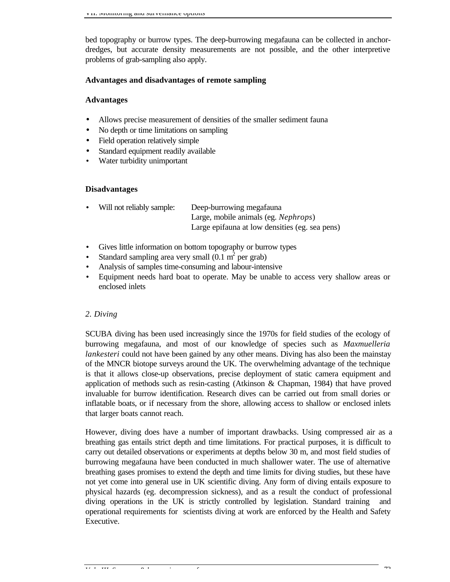bed topography or burrow types. The deep-burrowing megafauna can be collected in anchordredges, but accurate density measurements are not possible, and the other interpretive problems of grab-sampling also apply.

## **Advantages and disadvantages of remote sampling**

## **Advantages**

- Allows precise measurement of densities of the smaller sediment fauna
- No depth or time limitations on sampling
- Field operation relatively simple
- Standard equipment readily available
- Water turbidity unimportant

## **Disadvantages**

| $\bullet$ | Will not reliably sample: | Deep-burrowing megafauna                       |
|-----------|---------------------------|------------------------------------------------|
|           |                           | Large, mobile animals (eg. <i>Nephrops</i> )   |
|           |                           | Large epifauna at low densities (eg. sea pens) |

- Gives little information on bottom topography or burrow types
- Standard sampling area very small  $(0.1 \text{ m}^2 \text{ per grab})$
- Analysis of samples time-consuming and labour-intensive
- Equipment needs hard boat to operate. May be unable to access very shallow areas or enclosed inlets

# *2. Diving*

SCUBA diving has been used increasingly since the 1970s for field studies of the ecology of burrowing megafauna, and most of our knowledge of species such as *Maxmuelleria lankesteri* could not have been gained by any other means. Diving has also been the mainstay of the MNCR biotope surveys around the UK. The overwhelming advantage of the technique is that it allows close-up observations, precise deployment of static camera equipment and application of methods such as resin-casting (Atkinson  $\&$  Chapman, 1984) that have proved invaluable for burrow identification. Research dives can be carried out from small dories or inflatable boats, or if necessary from the shore, allowing access to shallow or enclosed inlets that larger boats cannot reach.

However, diving does have a number of important drawbacks. Using compressed air as a breathing gas entails strict depth and time limitations. For practical purposes, it is difficult to carry out detailed observations or experiments at depths below 30 m, and most field studies of burrowing megafauna have been conducted in much shallower water. The use of alternative breathing gases promises to extend the depth and time limits for diving studies, but these have not yet come into general use in UK scientific diving. Any form of diving entails exposure to physical hazards (eg. decompression sickness), and as a result the conduct of professional diving operations in the UK is strictly controlled by legislation. Standard training and operational requirements for scientists diving at work are enforced by the Health and Safety Executive.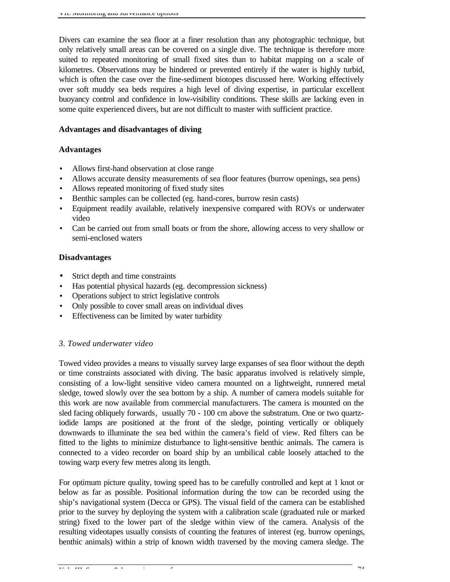Divers can examine the sea floor at a finer resolution than any photographic technique, but only relatively small areas can be covered on a single dive. The technique is therefore more suited to repeated monitoring of small fixed sites than to habitat mapping on a scale of kilometres. Observations may be hindered or prevented entirely if the water is highly turbid, which is often the case over the fine-sediment biotopes discussed here. Working effectively over soft muddy sea beds requires a high level of diving expertise, in particular excellent buoyancy control and confidence in low-visibility conditions. These skills are lacking even in some quite experienced divers, but are not difficult to master with sufficient practice.

## **Advantages and disadvantages of diving**

## **Advantages**

- Allows first-hand observation at close range
- Allows accurate density measurements of sea floor features (burrow openings, sea pens)
- Allows repeated monitoring of fixed study sites
- Benthic samples can be collected (eg. hand-cores, burrow resin casts)
- Equipment readily available, relatively inexpensive compared with ROVs or underwater video
- Can be carried out from small boats or from the shore, allowing access to very shallow or semi-enclosed waters

## **Disadvantages**

- Strict depth and time constraints
- Has potential physical hazards (eg. decompression sickness)
- Operations subject to strict legislative controls
- Only possible to cover small areas on individual dives
- Effectiveness can be limited by water turbidity

# *3. Towed underwater video*

Towed video provides a means to visually survey large expanses of sea floor without the depth or time constraints associated with diving. The basic apparatus involved is relatively simple, consisting of a low-light sensitive video camera mounted on a lightweight, runnered metal sledge, towed slowly over the sea bottom by a ship. A number of camera models suitable for this work are now available from commercial manufacturers. The camera is mounted on the sled facing obliquely forwards, usually 70 - 100 cm above the substratum. One or two quartziodide lamps are positioned at the front of the sledge, pointing vertically or obliquely downwards to illuminate the sea bed within the camera's field of view. Red filters can be fitted to the lights to minimize disturbance to light-sensitive benthic animals. The camera is connected to a video recorder on board ship by an umbilical cable loosely attached to the towing warp every few metres along its length.

For optimum picture quality, towing speed has to be carefully controlled and kept at 1 knot or below as far as possible. Positional information during the tow can be recorded using the ship's navigational system (Decca or GPS). The visual field of the camera can be established prior to the survey by deploying the system with a calibration scale (graduated rule or marked string) fixed to the lower part of the sledge within view of the camera. Analysis of the resulting videotapes usually consists of counting the features of interest (eg. burrow openings, benthic animals) within a strip of known width traversed by the moving camera sledge. The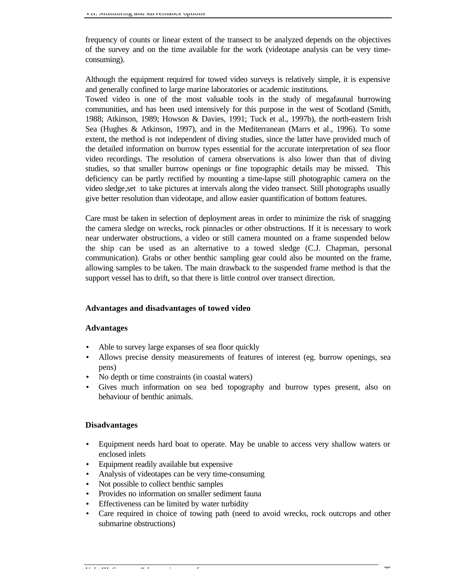frequency of counts or linear extent of the transect to be analyzed depends on the objectives of the survey and on the time available for the work (videotape analysis can be very timeconsuming).

Although the equipment required for towed video surveys is relatively simple, it is expensive and generally confined to large marine laboratories or academic institutions.

Towed video is one of the most valuable tools in the study of megafaunal burrowing communities, and has been used intensively for this purpose in the west of Scotland (Smith, 1988; Atkinson, 1989; Howson & Davies, 1991; Tuck et al., 1997b), the north-eastern Irish Sea (Hughes & Atkinson, 1997), and in the Mediterranean (Marrs et al., 1996). To some extent, the method is not independent of diving studies, since the latter have provided much of the detailed information on burrow types essential for the accurate interpretation of sea floor video recordings. The resolution of camera observations is also lower than that of diving studies, so that smaller burrow openings or fine topographic details may be missed. This deficiency can be partly rectified by mounting a time-lapse still photographic camera on the video sledge,set to take pictures at intervals along the video transect. Still photographs usually give better resolution than videotape, and allow easier quantification of bottom features.

Care must be taken in selection of deployment areas in order to minimize the risk of snagging the camera sledge on wrecks, rock pinnacles or other obstructions. If it is necessary to work near underwater obstructions, a video or still camera mounted on a frame suspended below the ship can be used as an alternative to a towed sledge (C.J. Chapman, personal communication). Grabs or other benthic sampling gear could also be mounted on the frame, allowing samples to be taken. The main drawback to the suspended frame method is that the support vessel has to drift, so that there is little control over transect direction.

# **Advantages and disadvantages of towed video**

#### **Advantages**

- Able to survey large expanses of sea floor quickly
- Allows precise density measurements of features of interest (eg. burrow openings, sea pens)
- No depth or time constraints (in coastal waters)
- Gives much information on sea bed topography and burrow types present, also on behaviour of benthic animals.

#### **Disadvantages**

- Equipment needs hard boat to operate. May be unable to access very shallow waters or enclosed inlets
- Equipment readily available but expensive
- Analysis of videotapes can be very time-consuming
- Not possible to collect benthic samples
- Provides no information on smaller sediment fauna
- Effectiveness can be limited by water turbidity
- Care required in choice of towing path (need to avoid wrecks, rock outcrops and other submarine obstructions)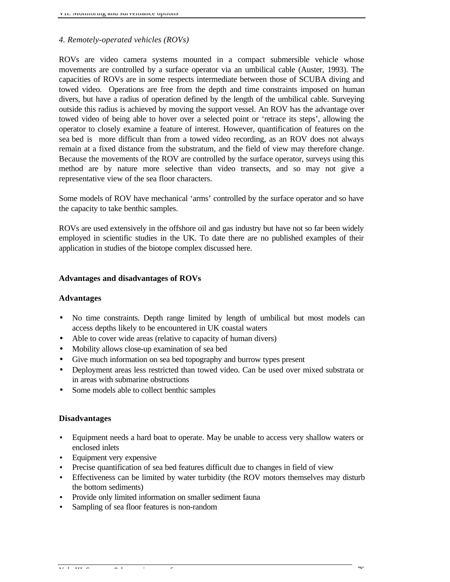#### *4. Remotely-operated vehicles (ROVs)*

ROVs are video camera systems mounted in a compact submersible vehicle whose movements are controlled by a surface operator via an umbilical cable (Auster, 1993). The capacities of ROVs are in some respects intermediate between those of SCUBA diving and towed video. Operations are free from the depth and time constraints imposed on human divers, but have a radius of operation defined by the length of the umbilical cable. Surveying outside this radius is achieved by moving the support vessel. An ROV has the advantage over towed video of being able to hover over a selected point or 'retrace its steps', allowing the operator to closely examine a feature of interest. However, quantification of features on the sea bed is more difficult than from a towed video recording, as an ROV does not always remain at a fixed distance from the substratum, and the field of view may therefore change. Because the movements of the ROV are controlled by the surface operator, surveys using this method are by nature more selective than video transects, and so may not give a representative view of the sea floor characters.

Some models of ROV have mechanical 'arms' controlled by the surface operator and so have the capacity to take benthic samples.

ROVs are used extensively in the offshore oil and gas industry but have not so far been widely employed in scientific studies in the UK. To date there are no published examples of their application in studies of the biotope complex discussed here.

#### **Advantages and disadvantages of ROVs**

#### **Advantages**

- No time constraints. Depth range limited by length of umbilical but most models can access depths likely to be encountered in UK coastal waters
- Able to cover wide areas (relative to capacity of human divers)
- Mobility allows close-up examination of sea bed
- Give much information on sea bed topography and burrow types present
- Deployment areas less restricted than towed video. Can be used over mixed substrata or in areas with submarine obstructions
- Some models able to collect benthic samples

#### **Disadvantages**

- Equipment needs a hard boat to operate. May be unable to access very shallow waters or enclosed inlets
- Equipment very expensive
- Precise quantification of sea bed features difficult due to changes in field of view
- Effectiveness can be limited by water turbidity (the ROV motors themselves may disturb the bottom sediments)
- Provide only limited information on smaller sediment fauna
- Sampling of sea floor features is non-random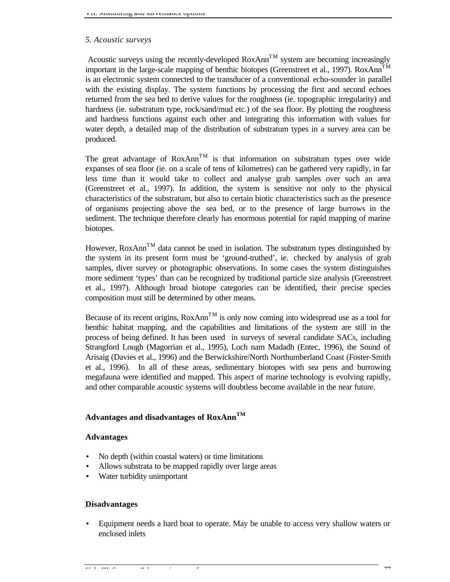#### *5. Acoustic surveys*

Acoustic surveys using the recently-developed  $RoxAnn<sup>TM</sup>$  system are becoming increasingly important in the large-scale mapping of benthic biotopes (Greenstreet et al., 1997). RoxAnn<sup>TM</sup> is an electronic system connected to the transducer of a conventional echo-sounder in parallel with the existing display. The system functions by processing the first and second echoes returned from the sea bed to derive values for the roughness (ie. topographic irregularity) and hardness (ie. substratum type, rock/sand/mud etc.) of the sea floor. By plotting the roughness and hardness functions against each other and integrating this information with values for water depth, a detailed map of the distribution of substratum types in a survey area can be produced.

The great advantage of  $RoxAnn<sup>TM</sup>$  is that information on substratum types over wide expanses of sea floor (ie. on a scale of tens of kilometres) can be gathered very rapidly, in far less time than it would take to collect and analyse grab samples over such an area (Greenstreet et al., 1997). In addition, the system is sensitive not only to the physical characteristics of the substratum, but also to certain biotic characteristics such as the presence of organisms projecting above the sea bed, or to the presence of large burrows in the sediment. The technique therefore clearly has enormous potential for rapid mapping of marine biotopes.

However, RoxAnn<sup>TM</sup> data cannot be used in isolation. The substratum types distinguished by the system in its present form must be 'ground-truthed', ie. checked by analysis of grab samples, diver survey or photographic observations. In some cases the system distinguishes more sediment 'types' than can be recognized by traditional particle size analysis (Greenstreet et al., 1997). Although broad biotope categories can be identified, their precise species composition must still be determined by other means.

Because of its recent origins,  $RoxAnn<sup>TM</sup>$  is only now coming into widespread use as a tool for benthic habitat mapping, and the capabilities and limitations of the system are still in the process of being defined. It has been used in surveys of several candidate SACs, including Strangford Lough (Magorrian et al., 1995), Loch nam Madadh (Entec, 1996), the Sound of Arisaig (Davies et al., 1996) and the Berwickshire/North Northumberland Coast (Foster-Smith et al., 1996). In all of these areas, sedimentary biotopes with sea pens and burrowing megafauna were identified and mapped. This aspect of marine technology is evolving rapidly, and other comparable acoustic systems will doubtless become available in the near future.

## **Advantages and disadvantages of RoxAnnTM**

#### **Advantages**

- No depth (within coastal waters) or time limitations
- Allows substrata to be mapped rapidly over large areas
- Water turbidity unimportant

#### **Disadvantages**

• Equipment needs a hard boat to operate. May be unable to access very shallow waters or enclosed inlets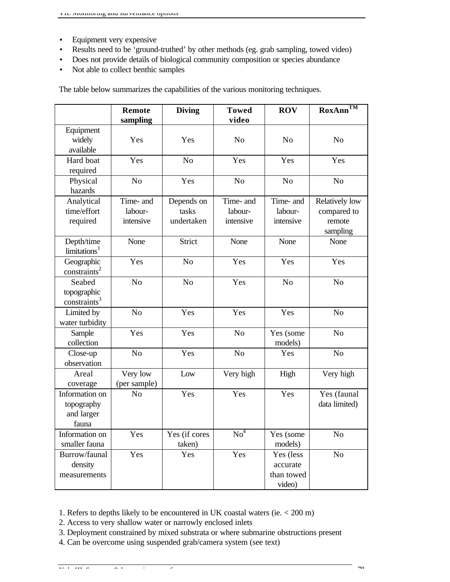- Equipment very expensive
- Results need to be 'ground-truthed' by other methods (eg. grab sampling, towed video)
- Does not provide details of biological community composition or species abundance
- Not able to collect benthic samples

The table below summarizes the capabilities of the various monitoring techniques.

|                          | Remote<br>sampling | <b>Diving</b>  | <b>Towed</b><br>video      | <b>ROV</b>     | RoxAnn <sup>TM</sup> |
|--------------------------|--------------------|----------------|----------------------------|----------------|----------------------|
| Equipment                |                    |                |                            |                |                      |
| widely                   | Yes                | Yes            | N <sub>o</sub>             | N <sub>o</sub> | N <sub>o</sub>       |
| available                |                    |                |                            |                |                      |
| Hard boat                | Yes                | N <sub>o</sub> | Yes                        | Yes            | Yes                  |
| required                 |                    |                |                            |                |                      |
| Physical                 | N <sub>o</sub>     | Yes            | N <sub>o</sub>             | N <sub>o</sub> | N <sub>o</sub>       |
| hazards                  |                    |                |                            |                |                      |
| Analytical               | Time- and          | Depends on     | Time- and                  | Time- and      | Relatively low       |
| time/effort              | labour-            | tasks          | labour-                    | labour-        | compared to          |
| required                 | intensive          | undertaken     | intensive                  | intensive      | remote               |
|                          |                    |                |                            |                | sampling             |
| Depth/time               | None               | Strict         | None                       | None           | None                 |
| limits <sup>1</sup>      |                    |                |                            |                |                      |
| Geographic               | Yes                | N <sub>o</sub> | Yes                        | Yes            | Yes                  |
| constraints <sup>2</sup> |                    |                |                            |                |                      |
| Seabed                   | N <sub>o</sub>     | N <sub>o</sub> | Yes                        | N <sub>o</sub> | N <sub>o</sub>       |
| topographic              |                    |                |                            |                |                      |
| constraints <sup>3</sup> |                    |                |                            |                |                      |
| Limited by               | N <sub>o</sub>     | Yes            | Yes                        | Yes            | N <sub>o</sub>       |
| water turbidity          |                    |                |                            |                |                      |
| Sample                   | Yes                | Yes            | N <sub>o</sub>             | Yes (some      | N <sub>o</sub>       |
| collection               |                    |                |                            | models)        |                      |
| Close-up                 | N <sub>o</sub>     | Yes            | N <sub>o</sub>             | Yes            | N <sub>o</sub>       |
| observation              |                    |                |                            |                |                      |
| Areal                    | Very low           | Low            | Very high                  | High           | Very high            |
| coverage                 | (per sample)       |                |                            |                |                      |
| Information on           | N <sub>o</sub>     | Yes            | Yes                        | Yes            | Yes (faunal          |
| topography               |                    |                |                            |                | data limited)        |
| and larger               |                    |                |                            |                |                      |
| fauna                    |                    |                |                            |                |                      |
| Information on           | Yes                | Yes (if cores  | $\overline{\mathrm{No}}^4$ | Yes (some      | No                   |
| smaller fauna            |                    | taken)         |                            | models)        |                      |
| Burrow/faunal            | Yes                | Yes            | Yes                        | Yes (less      | No                   |
| density                  |                    |                |                            | accurate       |                      |
| measurements             |                    |                |                            | than towed     |                      |
|                          |                    |                |                            | video)         |                      |

- 1. Refers to depths likely to be encountered in UK coastal waters (ie. < 200 m)
- 2. Access to very shallow water or narrowly enclosed inlets
- 3. Deployment constrained by mixed substrata or where submarine obstructions present
- 4. Can be overcome using suspended grab/camera system (see text)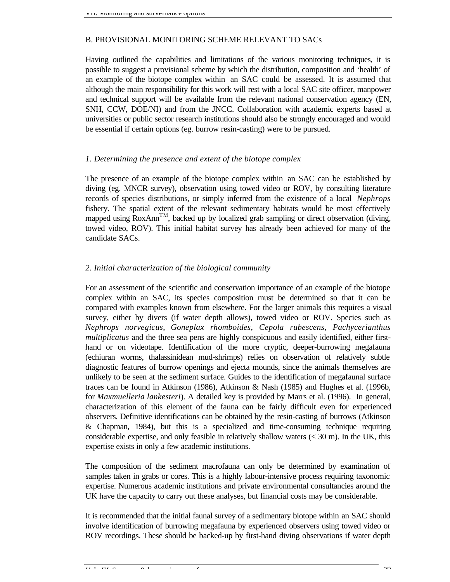## B. PROVISIONAL MONITORING SCHEME RELEVANT TO SACs

Having outlined the capabilities and limitations of the various monitoring techniques, it is possible to suggest a provisional scheme by which the distribution, composition and 'health' of an example of the biotope complex within an SAC could be assessed. It is assumed that although the main responsibility for this work will rest with a local SAC site officer, manpower and technical support will be available from the relevant national conservation agency (EN, SNH, CCW, DOE/NI) and from the JNCC. Collaboration with academic experts based at universities or public sector research institutions should also be strongly encouraged and would be essential if certain options (eg. burrow resin-casting) were to be pursued.

## *1. Determining the presence and extent of the biotope complex*

The presence of an example of the biotope complex within an SAC can be established by diving (eg. MNCR survey), observation using towed video or ROV, by consulting literature records of species distributions, or simply inferred from the existence of a local *Nephrops* fishery. The spatial extent of the relevant sedimentary habitats would be most effectively mapped using RoxAnn<sup>TM</sup>, backed up by localized grab sampling or direct observation (diving, towed video, ROV). This initial habitat survey has already been achieved for many of the candidate SACs.

## *2. Initial characterization of the biological community*

For an assessment of the scientific and conservation importance of an example of the biotope complex within an SAC, its species composition must be determined so that it can be compared with examples known from elsewhere. For the larger animals this requires a visual survey, either by divers (if water depth allows), towed video or ROV. Species such as *Nephrops norvegicus*, *Goneplax rhomboides, Cepola rubescens, Pachycerianthus multiplicatus* and the three sea pens are highly conspicuous and easily identified, either firsthand or on videotape. Identification of the more cryptic, deeper-burrowing megafauna (echiuran worms, thalassinidean mud-shrimps) relies on observation of relatively subtle diagnostic features of burrow openings and ejecta mounds, since the animals themselves are unlikely to be seen at the sediment surface. Guides to the identification of megafaunal surface traces can be found in Atkinson (1986), Atkinson & Nash (1985) and Hughes et al. (1996b, for *Maxmuelleria lankesteri*). A detailed key is provided by Marrs et al. (1996). In general, characterization of this element of the fauna can be fairly difficult even for experienced observers. Definitive identifications can be obtained by the resin-casting of burrows (Atkinson & Chapman, 1984), but this is a specialized and time-consuming technique requiring considerable expertise, and only feasible in relatively shallow waters  $( $30 \text{ m}$ ). In the UK, this$ expertise exists in only a few academic institutions.

The composition of the sediment macrofauna can only be determined by examination of samples taken in grabs or cores. This is a highly labour-intensive process requiring taxonomic expertise. Numerous academic institutions and private environmental consultancies around the UK have the capacity to carry out these analyses, but financial costs may be considerable.

It is recommended that the initial faunal survey of a sedimentary biotope within an SAC should involve identification of burrowing megafauna by experienced observers using towed video or ROV recordings. These should be backed-up by first-hand diving observations if water depth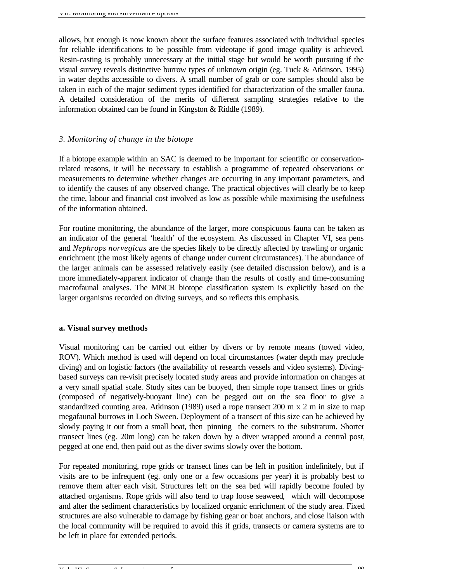allows, but enough is now known about the surface features associated with individual species for reliable identifications to be possible from videotape if good image quality is achieved. Resin-casting is probably unnecessary at the initial stage but would be worth pursuing if the visual survey reveals distinctive burrow types of unknown origin (eg. Tuck & Atkinson, 1995) in water depths accessible to divers. A small number of grab or core samples should also be taken in each of the major sediment types identified for characterization of the smaller fauna. A detailed consideration of the merits of different sampling strategies relative to the information obtained can be found in Kingston & Riddle (1989).

## *3. Monitoring of change in the biotope*

If a biotope example within an SAC is deemed to be important for scientific or conservationrelated reasons, it will be necessary to establish a programme of repeated observations or measurements to determine whether changes are occurring in any important parameters, and to identify the causes of any observed change. The practical objectives will clearly be to keep the time, labour and financial cost involved as low as possible while maximising the usefulness of the information obtained.

For routine monitoring, the abundance of the larger, more conspicuous fauna can be taken as an indicator of the general 'health' of the ecosystem. As discussed in Chapter VI, sea pens and *Nephrops norvegicus* are the species likely to be directly affected by trawling or organic enrichment (the most likely agents of change under current circumstances). The abundance of the larger animals can be assessed relatively easily (see detailed discussion below), and is a more immediately-apparent indicator of change than the results of costly and time-consuming macrofaunal analyses. The MNCR biotope classification system is explicitly based on the larger organisms recorded on diving surveys, and so reflects this emphasis.

#### **a. Visual survey methods**

Visual monitoring can be carried out either by divers or by remote means (towed video, ROV). Which method is used will depend on local circumstances (water depth may preclude diving) and on logistic factors (the availability of research vessels and video systems). Divingbased surveys can re-visit precisely located study areas and provide information on changes at a very small spatial scale. Study sites can be buoyed, then simple rope transect lines or grids (composed of negatively-buoyant line) can be pegged out on the sea floor to give a standardized counting area. Atkinson (1989) used a rope transect 200 m x 2 m in size to map megafaunal burrows in Loch Sween. Deployment of a transect of this size can be achieved by slowly paying it out from a small boat, then pinning the corners to the substratum. Shorter transect lines (eg. 20m long) can be taken down by a diver wrapped around a central post, pegged at one end, then paid out as the diver swims slowly over the bottom.

For repeated monitoring, rope grids or transect lines can be left in position indefinitely, but if visits are to be infrequent (eg. only one or a few occasions per year) it is probably best to remove them after each visit. Structures left on the sea bed will rapidly become fouled by attached organisms. Rope grids will also tend to trap loose seaweed, which will decompose and alter the sediment characteristics by localized organic enrichment of the study area. Fixed structures are also vulnerable to damage by fishing gear or boat anchors, and close liaison with the local community will be required to avoid this if grids, transects or camera systems are to be left in place for extended periods.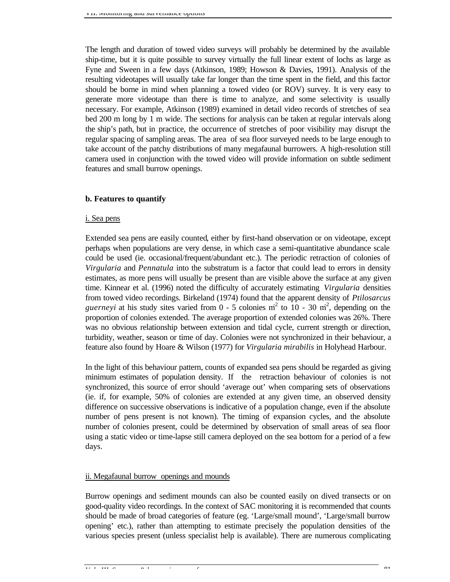The length and duration of towed video surveys will probably be determined by the available ship-time, but it is quite possible to survey virtually the full linear extent of lochs as large as Fyne and Sween in a few days (Atkinson, 1989; Howson & Davies, 1991). Analysis of the resulting videotapes will usually take far longer than the time spent in the field, and this factor should be borne in mind when planning a towed video (or ROV) survey. It is very easy to generate more videotape than there is time to analyze, and some selectivity is usually necessary. For example, Atkinson (1989) examined in detail video records of stretches of sea bed 200 m long by 1 m wide. The sections for analysis can be taken at regular intervals along the ship's path, but in practice, the occurrence of stretches of poor visibility may disrupt the regular spacing of sampling areas. The area of sea floor surveyed needs to be large enough to take account of the patchy distributions of many megafaunal burrowers. A high-resolution still camera used in conjunction with the towed video will provide information on subtle sediment features and small burrow openings.

#### **b. Features to quantify**

#### i. Sea pens

Extended sea pens are easily counted, either by first-hand observation or on videotape, except perhaps when populations are very dense, in which case a semi-quantitative abundance scale could be used (ie. occasional/frequent/abundant etc.). The periodic retraction of colonies of *Virgularia* and *Pennatula* into the substratum is a factor that could lead to errors in density estimates, as more pens will usually be present than are visible above the surface at any given time. Kinnear et al. (1996) noted the difficulty of accurately estimating *Virgularia* densities from towed video recordings. Birkeland (1974) found that the apparent density of *Ptilosarcus guerneyi* at his study sites varied from  $0 - 5$  colonies  $m^2$  to  $10 - 30$  m<sup>2</sup>, depending on the proportion of colonies extended. The average proportion of extended colonies was 26%. There was no obvious relationship between extension and tidal cycle, current strength or direction, turbidity, weather, season or time of day. Colonies were not synchronized in their behaviour, a feature also found by Hoare & Wilson (1977) for *Virgularia mirabilis* in Holyhead Harbour.

In the light of this behaviour pattern, counts of expanded sea pens should be regarded as giving minimum estimates of population density. If the retraction behaviour of colonies is not synchronized, this source of error should 'average out' when comparing sets of observations (ie. if, for example, 50% of colonies are extended at any given time, an observed density difference on successive observations is indicative of a population change, even if the absolute number of pens present is not known). The timing of expansion cycles, and the absolute number of colonies present, could be determined by observation of small areas of sea floor using a static video or time-lapse still camera deployed on the sea bottom for a period of a few days.

#### ii. Megafaunal burrow openings and mounds

Burrow openings and sediment mounds can also be counted easily on dived transects or on good-quality video recordings. In the context of SAC monitoring it is recommended that counts should be made of broad categories of feature (eg. 'Large/small mound', 'Large/small burrow opening' etc.), rather than attempting to estimate precisely the population densities of the various species present (unless specialist help is available). There are numerous complicating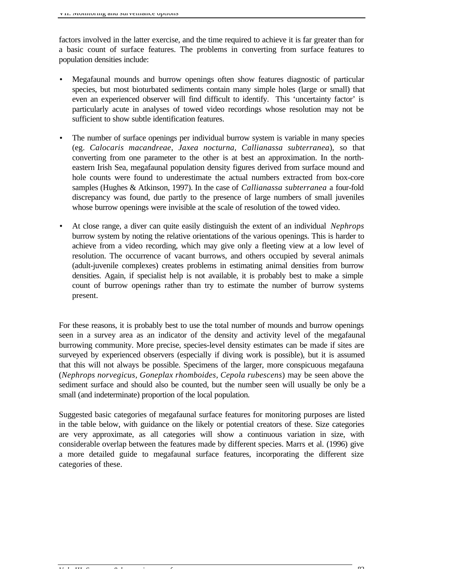factors involved in the latter exercise, and the time required to achieve it is far greater than for a basic count of surface features. The problems in converting from surface features to population densities include:

- Megafaunal mounds and burrow openings often show features diagnostic of particular species, but most bioturbated sediments contain many simple holes (large or small) that even an experienced observer will find difficult to identify. This 'uncertainty factor' is particularly acute in analyses of towed video recordings whose resolution may not be sufficient to show subtle identification features.
- The number of surface openings per individual burrow system is variable in many species (eg. *Calocaris macandreae, Jaxea nocturna, Callianassa subterranea*), so that converting from one parameter to the other is at best an approximation. In the northeastern Irish Sea, megafaunal population density figures derived from surface mound and hole counts were found to underestimate the actual numbers extracted from box-core samples (Hughes & Atkinson, 1997). In the case of *Callianassa subterranea* a four-fold discrepancy was found, due partly to the presence of large numbers of small juveniles whose burrow openings were invisible at the scale of resolution of the towed video.
- At close range, a diver can quite easily distinguish the extent of an individual *Nephrops* burrow system by noting the relative orientations of the various openings. This is harder to achieve from a video recording, which may give only a fleeting view at a low level of resolution. The occurrence of vacant burrows, and others occupied by several animals (adult-juvenile complexes) creates problems in estimating animal densities from burrow densities. Again, if specialist help is not available, it is probably best to make a simple count of burrow openings rather than try to estimate the number of burrow systems present.

For these reasons, it is probably best to use the total number of mounds and burrow openings seen in a survey area as an indicator of the density and activity level of the megafaunal burrowing community. More precise, species-level density estimates can be made if sites are surveyed by experienced observers (especially if diving work is possible), but it is assumed that this will not always be possible. Specimens of the larger, more conspicuous megafauna (*Nephrops norvegicus, Goneplax rhomboides, Cepola rubescens*) may be seen above the sediment surface and should also be counted, but the number seen will usually be only be a small (and indeterminate) proportion of the local population.

Suggested basic categories of megafaunal surface features for monitoring purposes are listed in the table below, with guidance on the likely or potential creators of these. Size categories are very approximate, as all categories will show a continuous variation in size, with considerable overlap between the features made by different species. Marrs et al. (1996) give a more detailed guide to megafaunal surface features, incorporating the different size categories of these.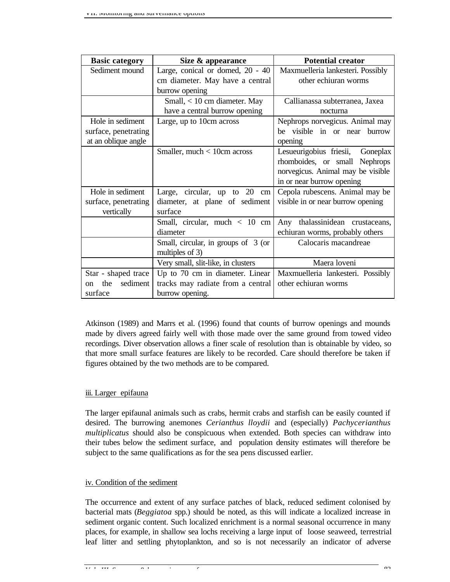| <b>Basic category</b> | Size & appearance                   | <b>Potential creator</b>            |  |
|-----------------------|-------------------------------------|-------------------------------------|--|
| Sediment mound        | Large, conical or domed, 20 - 40    | Maxmuelleria lankesteri. Possibly   |  |
|                       | cm diameter. May have a central     | other echiuran worms                |  |
|                       | burrow opening                      |                                     |  |
|                       | Small, $<$ 10 cm diameter. May      | Callianassa subterranea, Jaxea      |  |
|                       | have a central burrow opening       | nocturna                            |  |
| Hole in sediment      | Large, up to 10cm across            | Nephrops norvegicus. Animal may     |  |
| surface, penetrating  |                                     | be visible in or near burrow        |  |
| at an oblique angle   |                                     | opening                             |  |
|                       | Smaller, much < 10cm across         | Lesueurigobius friesii,<br>Goneplax |  |
|                       |                                     | rhomboides, or small Nephrops       |  |
|                       |                                     | norvegicus. Animal may be visible   |  |
|                       |                                     | in or near burrow opening           |  |
| Hole in sediment      | Large, circular, up to 20 cm        | Cepola rubescens. Animal may be     |  |
| surface, penetrating  | diameter, at plane of sediment      | visible in or near burrow opening   |  |
| vertically            | surface                             |                                     |  |
|                       | Small, circular, much $< 10$ cm     | Any thalassinidean crustaceans,     |  |
|                       | diameter                            | echiuran worms, probably others     |  |
|                       | Small, circular, in groups of 3 (or | Calocaris macandreae                |  |
|                       | multiples of 3)                     |                                     |  |
|                       | Very small, slit-like, in clusters  | Maera loveni                        |  |
| Star - shaped trace   | Up to 70 cm in diameter. Linear     | Maxmuelleria lankesteri. Possibly   |  |
| the<br>sediment<br>on | tracks may radiate from a central   | other echiuran worms                |  |
| surface               | burrow opening.                     |                                     |  |

Atkinson (1989) and Marrs et al. (1996) found that counts of burrow openings and mounds made by divers agreed fairly well with those made over the same ground from towed video recordings. Diver observation allows a finer scale of resolution than is obtainable by video, so that more small surface features are likely to be recorded. Care should therefore be taken if figures obtained by the two methods are to be compared.

# iii. Larger epifauna

The larger epifaunal animals such as crabs, hermit crabs and starfish can be easily counted if desired. The burrowing anemones *Cerianthus lloydii* and (especially) *Pachycerianthus multiplicatus* should also be conspicuous when extended. Both species can withdraw into their tubes below the sediment surface, and population density estimates will therefore be subject to the same qualifications as for the sea pens discussed earlier.

# iv. Condition of the sediment

The occurrence and extent of any surface patches of black, reduced sediment colonised by bacterial mats (*Beggiatoa* spp.) should be noted, as this will indicate a localized increase in sediment organic content. Such localized enrichment is a normal seasonal occurrence in many places, for example, in shallow sea lochs receiving a large input of loose seaweed, terrestrial leaf litter and settling phytoplankton, and so is not necessarily an indicator of adverse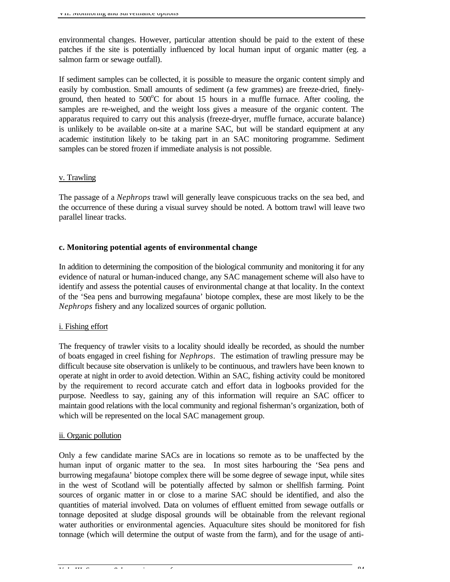environmental changes. However, particular attention should be paid to the extent of these patches if the site is potentially influenced by local human input of organic matter (eg. a salmon farm or sewage outfall).

If sediment samples can be collected, it is possible to measure the organic content simply and easily by combustion. Small amounts of sediment (a few grammes) are freeze-dried, finelyground, then heated to  $500^{\circ}$ C for about 15 hours in a muffle furnace. After cooling, the samples are re-weighed, and the weight loss gives a measure of the organic content. The apparatus required to carry out this analysis (freeze-dryer, muffle furnace, accurate balance) is unlikely to be available on-site at a marine SAC, but will be standard equipment at any academic institution likely to be taking part in an SAC monitoring programme. Sediment samples can be stored frozen if immediate analysis is not possible.

#### v. Trawling

The passage of a *Nephrops* trawl will generally leave conspicuous tracks on the sea bed, and the occurrence of these during a visual survey should be noted. A bottom trawl will leave two parallel linear tracks.

#### **c. Monitoring potential agents of environmental change**

In addition to determining the composition of the biological community and monitoring it for any evidence of natural or human-induced change, any SAC management scheme will also have to identify and assess the potential causes of environmental change at that locality. In the context of the 'Sea pens and burrowing megafauna' biotope complex, these are most likely to be the *Nephrops* fishery and any localized sources of organic pollution.

#### i. Fishing effort

The frequency of trawler visits to a locality should ideally be recorded, as should the number of boats engaged in creel fishing for *Nephrops*. The estimation of trawling pressure may be difficult because site observation is unlikely to be continuous, and trawlers have been known to operate at night in order to avoid detection. Within an SAC, fishing activity could be monitored by the requirement to record accurate catch and effort data in logbooks provided for the purpose. Needless to say, gaining any of this information will require an SAC officer to maintain good relations with the local community and regional fisherman's organization, both of which will be represented on the local SAC management group.

#### ii. Organic pollution

Only a few candidate marine SACs are in locations so remote as to be unaffected by the human input of organic matter to the sea. In most sites harbouring the 'Sea pens and burrowing megafauna' biotope complex there will be some degree of sewage input, while sites in the west of Scotland will be potentially affected by salmon or shellfish farming. Point sources of organic matter in or close to a marine SAC should be identified, and also the quantities of material involved. Data on volumes of effluent emitted from sewage outfalls or tonnage deposited at sludge disposal grounds will be obtainable from the relevant regional water authorities or environmental agencies. Aquaculture sites should be monitored for fish tonnage (which will determine the output of waste from the farm), and for the usage of anti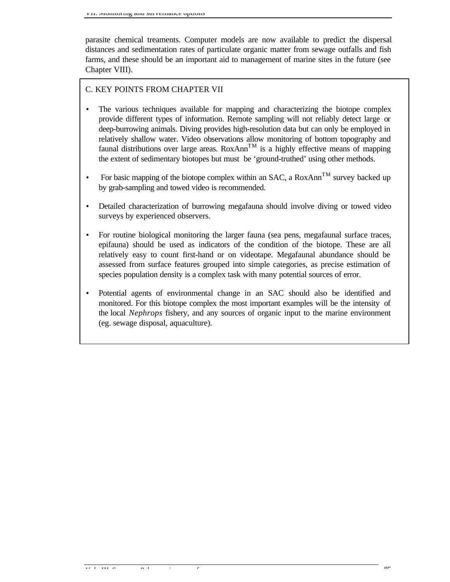parasite chemical treaments. Computer models are now available to predict the dispersal distances and sedimentation rates of particulate organic matter from sewage outfalls and fish farms, and these should be an important aid to management of marine sites in the future (see Chapter VIII).

# C. KEY POINTS FROM CHAPTER VII

- The various techniques available for mapping and characterizing the biotope complex provide different types of information. Remote sampling will not reliably detect large or deep-burrowing animals. Diving provides high-resolution data but can only be employed in relatively shallow water. Video observations allow monitoring of bottom topography and faunal distributions over large areas.  $RoxAnn<sup>TM</sup>$  is a highly effective means of mapping the extent of sedimentary biotopes but must be 'ground-truthed' using other methods.
- For basic mapping of the biotope complex within an SAC, a RoxAnn<sup>TM</sup> survey backed up by grab-sampling and towed video is recommended.
- Detailed characterization of burrowing megafauna should involve diving or towed video surveys by experienced observers.
- For routine biological monitoring the larger fauna (sea pens, megafaunal surface traces, epifauna) should be used as indicators of the condition of the biotope. These are all relatively easy to count first-hand or on videotape. Megafaunal abundance should be assessed from surface features grouped into simple categories, as precise estimation of species population density is a complex task with many potential sources of error.
- Potential agents of environmental change in an SAC should also be identified and monitored. For this biotope complex the most important examples will be the intensity of the local *Nephrops* fishery, and any sources of organic input to the marine environment (eg. sewage disposal, aquaculture).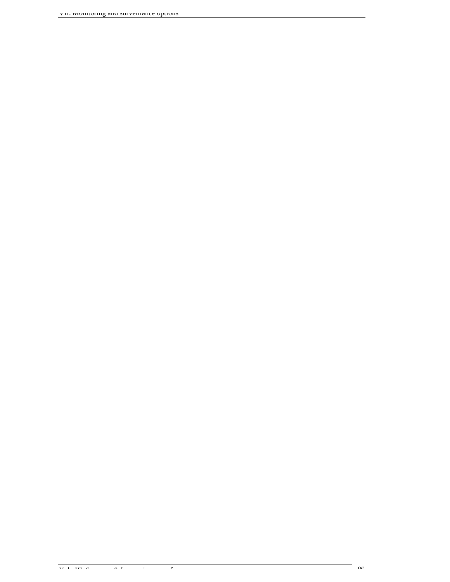vII. Monitoring and surveillance options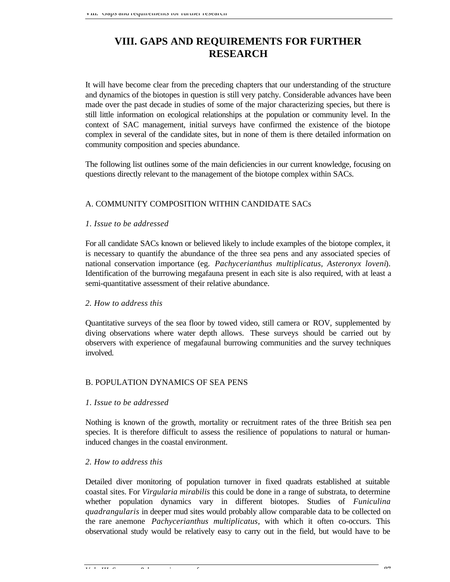# **VIII. GAPS AND REQUIREMENTS FOR FURTHER RESEARCH**

It will have become clear from the preceding chapters that our understanding of the structure and dynamics of the biotopes in question is still very patchy. Considerable advances have been made over the past decade in studies of some of the major characterizing species, but there is still little information on ecological relationships at the population or community level. In the context of SAC management, initial surveys have confirmed the existence of the biotope complex in several of the candidate sites, but in none of them is there detailed information on community composition and species abundance.

The following list outlines some of the main deficiencies in our current knowledge, focusing on questions directly relevant to the management of the biotope complex within SACs.

# A. COMMUNITY COMPOSITION WITHIN CANDIDATE SACs

## *1. Issue to be addressed*

For all candidate SACs known or believed likely to include examples of the biotope complex, it is necessary to quantify the abundance of the three sea pens and any associated species of national conservation importance (eg. *Pachycerianthus multiplicatus, Asteronyx loveni*). Identification of the burrowing megafauna present in each site is also required, with at least a semi-quantitative assessment of their relative abundance.

#### *2. How to address this*

Quantitative surveys of the sea floor by towed video, still camera or ROV, supplemented by diving observations where water depth allows. These surveys should be carried out by observers with experience of megafaunal burrowing communities and the survey techniques involved.

# B. POPULATION DYNAMICS OF SEA PENS

#### *1. Issue to be addressed*

Nothing is known of the growth, mortality or recruitment rates of the three British sea pen species. It is therefore difficult to assess the resilience of populations to natural or humaninduced changes in the coastal environment.

#### *2. How to address this*

Detailed diver monitoring of population turnover in fixed quadrats established at suitable coastal sites. For *Virgularia mirabilis* this could be done in a range of substrata, to determine whether population dynamics vary in different biotopes. Studies of *Funiculina quadrangularis* in deeper mud sites would probably allow comparable data to be collected on the rare anemone *Pachycerianthus multiplicatus*, with which it often co-occurs. This observational study would be relatively easy to carry out in the field, but would have to be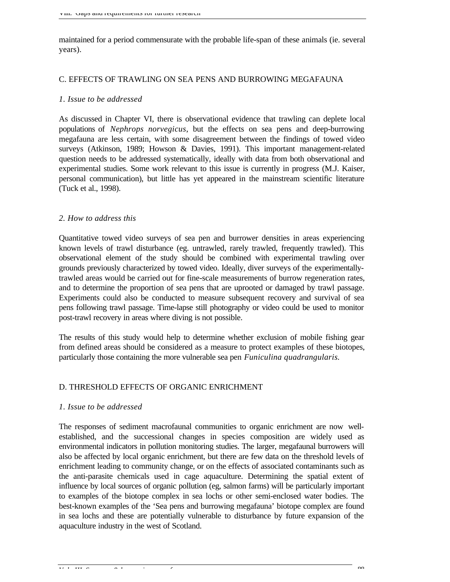maintained for a period commensurate with the probable life-span of these animals (ie. several years).

#### C. EFFECTS OF TRAWLING ON SEA PENS AND BURROWING MEGAFAUNA

#### *1. Issue to be addressed*

As discussed in Chapter VI, there is observational evidence that trawling can deplete local populations of *Nephrops norvegicus*, but the effects on sea pens and deep-burrowing megafauna are less certain, with some disagreement between the findings of towed video surveys (Atkinson, 1989; Howson & Davies, 1991). This important management-related question needs to be addressed systematically, ideally with data from both observational and experimental studies. Some work relevant to this issue is currently in progress (M.J. Kaiser, personal communication), but little has yet appeared in the mainstream scientific literature (Tuck et al., 1998).

#### *2. How to address this*

Quantitative towed video surveys of sea pen and burrower densities in areas experiencing known levels of trawl disturbance (eg. untrawled, rarely trawled, frequently trawled). This observational element of the study should be combined with experimental trawling over grounds previously characterized by towed video. Ideally, diver surveys of the experimentallytrawled areas would be carried out for fine-scale measurements of burrow regeneration rates, and to determine the proportion of sea pens that are uprooted or damaged by trawl passage. Experiments could also be conducted to measure subsequent recovery and survival of sea pens following trawl passage. Time-lapse still photography or video could be used to monitor post-trawl recovery in areas where diving is not possible.

The results of this study would help to determine whether exclusion of mobile fishing gear from defined areas should be considered as a measure to protect examples of these biotopes, particularly those containing the more vulnerable sea pen *Funiculina quadrangularis.*

#### D. THRESHOLD EFFECTS OF ORGANIC ENRICHMENT

#### *1. Issue to be addressed*

The responses of sediment macrofaunal communities to organic enrichment are now wellestablished, and the successional changes in species composition are widely used as environmental indicators in pollution monitoring studies. The larger, megafaunal burrowers will also be affected by local organic enrichment, but there are few data on the threshold levels of enrichment leading to community change, or on the effects of associated contaminants such as the anti-parasite chemicals used in cage aquaculture. Determining the spatial extent of influence by local sources of organic pollution (eg, salmon farms) will be particularly important to examples of the biotope complex in sea lochs or other semi-enclosed water bodies. The best-known examples of the 'Sea pens and burrowing megafauna' biotope complex are found in sea lochs and these are potentially vulnerable to disturbance by future expansion of the aquaculture industry in the west of Scotland.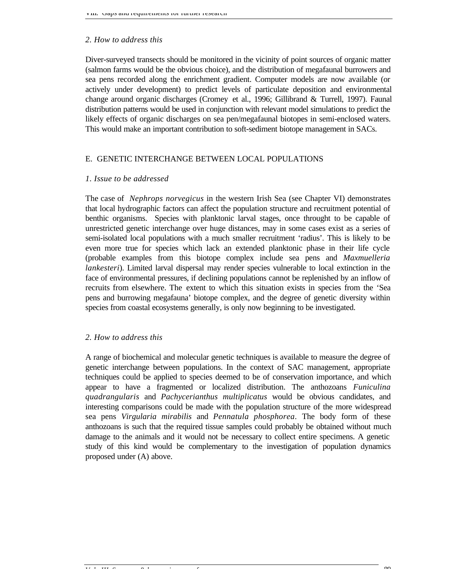#### *2. How to address this*

Diver-surveyed transects should be monitored in the vicinity of point sources of organic matter (salmon farms would be the obvious choice), and the distribution of megafaunal burrowers and sea pens recorded along the enrichment gradient. Computer models are now available (or actively under development) to predict levels of particulate deposition and environmental change around organic discharges (Cromey et al., 1996; Gillibrand & Turrell, 1997). Faunal distribution patterns would be used in conjunction with relevant model simulations to predict the likely effects of organic discharges on sea pen/megafaunal biotopes in semi-enclosed waters. This would make an important contribution to soft-sediment biotope management in SACs.

#### E. GENETIC INTERCHANGE BETWEEN LOCAL POPULATIONS

#### *1. Issue to be addressed*

The case of *Nephrops norvegicus* in the western Irish Sea (see Chapter VI) demonstrates that local hydrographic factors can affect the population structure and recruitment potential of benthic organisms. Species with planktonic larval stages, once throught to be capable of unrestricted genetic interchange over huge distances, may in some cases exist as a series of semi-isolated local populations with a much smaller recruitment 'radius'. This is likely to be even more true for species which lack an extended planktonic phase in their life cycle (probable examples from this biotope complex include sea pens and *Maxmuelleria lankesteri*). Limited larval dispersal may render species vulnerable to local extinction in the face of environmental pressures, if declining populations cannot be replenished by an inflow of recruits from elsewhere. The extent to which this situation exists in species from the 'Sea pens and burrowing megafauna' biotope complex, and the degree of genetic diversity within species from coastal ecosystems generally, is only now beginning to be investigated.

#### *2. How to address this*

A range of biochemical and molecular genetic techniques is available to measure the degree of genetic interchange between populations. In the context of SAC management, appropriate techniques could be applied to species deemed to be of conservation importance, and which appear to have a fragmented or localized distribution. The anthozoans *Funiculina quadrangularis* and *Pachycerianthus multiplicatus* would be obvious candidates, and interesting comparisons could be made with the population structure of the more widespread sea pens *Virgularia mirabilis* and *Pennatula phosphorea*. The body form of these anthozoans is such that the required tissue samples could probably be obtained without much damage to the animals and it would not be necessary to collect entire specimens. A genetic study of this kind would be complementary to the investigation of population dynamics proposed under (A) above.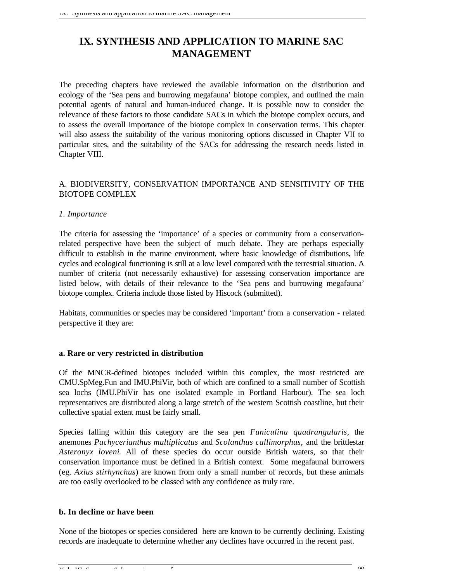# **IX. SYNTHESIS AND APPLICATION TO MARINE SAC MANAGEMENT**

The preceding chapters have reviewed the available information on the distribution and ecology of the 'Sea pens and burrowing megafauna' biotope complex, and outlined the main potential agents of natural and human-induced change. It is possible now to consider the relevance of these factors to those candidate SACs in which the biotope complex occurs, and to assess the overall importance of the biotope complex in conservation terms. This chapter will also assess the suitability of the various monitoring options discussed in Chapter VII to particular sites, and the suitability of the SACs for addressing the research needs listed in Chapter VIII.

# A. BIODIVERSITY, CONSERVATION IMPORTANCE AND SENSITIVITY OF THE BIOTOPE COMPLEX

## *1. Importance*

The criteria for assessing the 'importance' of a species or community from a conservationrelated perspective have been the subject of much debate. They are perhaps especially difficult to establish in the marine environment, where basic knowledge of distributions, life cycles and ecological functioning is still at a low level compared with the terrestrial situation. A number of criteria (not necessarily exhaustive) for assessing conservation importance are listed below, with details of their relevance to the 'Sea pens and burrowing megafauna' biotope complex. Criteria include those listed by Hiscock (submitted).

Habitats, communities or species may be considered 'important' from a conservation - related perspective if they are:

#### **a. Rare or very restricted in distribution**

Of the MNCR-defined biotopes included within this complex, the most restricted are CMU.SpMeg.Fun and IMU.PhiVir, both of which are confined to a small number of Scottish sea lochs (IMU.PhiVir has one isolated example in Portland Harbour). The sea loch representatives are distributed along a large stretch of the western Scottish coastline, but their collective spatial extent must be fairly small.

Species falling within this category are the sea pen *Funiculina quadrangularis*, the anemones *Pachycerianthus multiplicatus* and *Scolanthus callimorphus*, and the brittlestar *Asteronyx loveni*. All of these species do occur outside British waters, so that their conservation importance must be defined in a British context. Some megafaunal burrowers (eg. *Axius stirhynchus*) are known from only a small number of records, but these animals are too easily overlooked to be classed with any confidence as truly rare.

#### **b. In decline or have been**

None of the biotopes or species considered here are known to be currently declining. Existing records are inadequate to determine whether any declines have occurred in the recent past.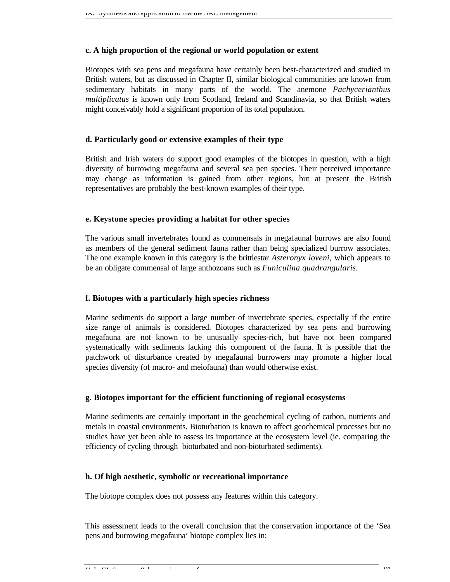#### **c. A high proportion of the regional or world population or extent**

Biotopes with sea pens and megafauna have certainly been best-characterized and studied in British waters, but as discussed in Chapter II, similar biological communities are known from sedimentary habitats in many parts of the world. The anemone *Pachycerianthus multiplicatus* is known only from Scotland, Ireland and Scandinavia, so that British waters might conceivably hold a significant proportion of its total population.

## **d. Particularly good or extensive examples of their type**

British and Irish waters do support good examples of the biotopes in question, with a high diversity of burrowing megafauna and several sea pen species. Their perceived importance may change as information is gained from other regions, but at present the British representatives are probably the best-known examples of their type.

#### **e. Keystone species providing a habitat for other species**

The various small invertebrates found as commensals in megafaunal burrows are also found as members of the general sediment fauna rather than being specialized burrow associates. The one example known in this category is the brittlestar *Asteronyx loveni,* which appears to be an obligate commensal of large anthozoans such as *Funiculina quadrangularis.*

#### **f. Biotopes with a particularly high species richness**

Marine sediments do support a large number of invertebrate species, especially if the entire size range of animals is considered. Biotopes characterized by sea pens and burrowing megafauna are not known to be unusually species-rich, but have not been compared systematically with sediments lacking this component of the fauna. It is possible that the patchwork of disturbance created by megafaunal burrowers may promote a higher local species diversity (of macro- and meiofauna) than would otherwise exist.

#### **g. Biotopes important for the efficient functioning of regional ecosystems**

Marine sediments are certainly important in the geochemical cycling of carbon, nutrients and metals in coastal environments. Bioturbation is known to affect geochemical processes but no studies have yet been able to assess its importance at the ecosystem level (ie. comparing the efficiency of cycling through bioturbated and non-bioturbated sediments).

#### **h. Of high aesthetic, symbolic or recreational importance**

The biotope complex does not possess any features within this category.

This assessment leads to the overall conclusion that the conservation importance of the 'Sea pens and burrowing megafauna' biotope complex lies in: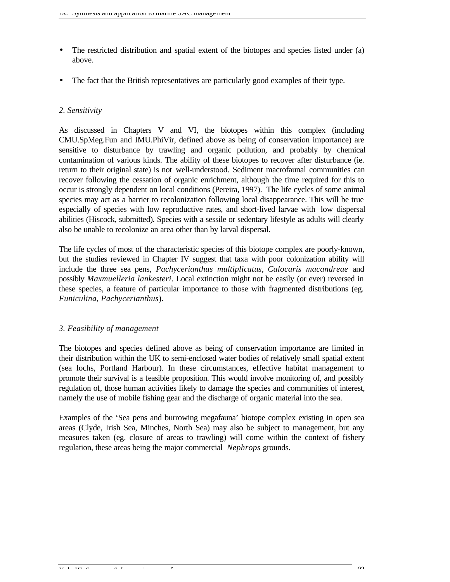- The restricted distribution and spatial extent of the biotopes and species listed under (a) above.
- The fact that the British representatives are particularly good examples of their type.

## *2. Sensitivity*

As discussed in Chapters V and VI, the biotopes within this complex (including CMU.SpMeg.Fun and IMU.PhiVir, defined above as being of conservation importance) are sensitive to disturbance by trawling and organic pollution, and probably by chemical contamination of various kinds. The ability of these biotopes to recover after disturbance (ie. return to their original state) is not well-understood. Sediment macrofaunal communities can recover following the cessation of organic enrichment, although the time required for this to occur is strongly dependent on local conditions (Pereira, 1997). The life cycles of some animal species may act as a barrier to recolonization following local disappearance. This will be true especially of species with low reproductive rates, and short-lived larvae with low dispersal abilities (Hiscock, submitted). Species with a sessile or sedentary lifestyle as adults will clearly also be unable to recolonize an area other than by larval dispersal.

The life cycles of most of the characteristic species of this biotope complex are poorly-known, but the studies reviewed in Chapter IV suggest that taxa with poor colonization ability will include the three sea pens, *Pachycerianthus multiplicatus*, *Calocaris macandreae* and possibly *Maxmuelleria lankesteri*. Local extinction might not be easily (or ever) reversed in these species, a feature of particular importance to those with fragmented distributions (eg. *Funiculina, Pachycerianthus*).

#### *3. Feasibility of management*

The biotopes and species defined above as being of conservation importance are limited in their distribution within the UK to semi-enclosed water bodies of relatively small spatial extent (sea lochs, Portland Harbour). In these circumstances, effective habitat management to promote their survival is a feasible proposition. This would involve monitoring of, and possibly regulation of, those human activities likely to damage the species and communities of interest, namely the use of mobile fishing gear and the discharge of organic material into the sea.

Examples of the 'Sea pens and burrowing megafauna' biotope complex existing in open sea areas (Clyde, Irish Sea, Minches, North Sea) may also be subject to management, but any measures taken (eg. closure of areas to trawling) will come within the context of fishery regulation, these areas being the major commercial *Nephrops* grounds.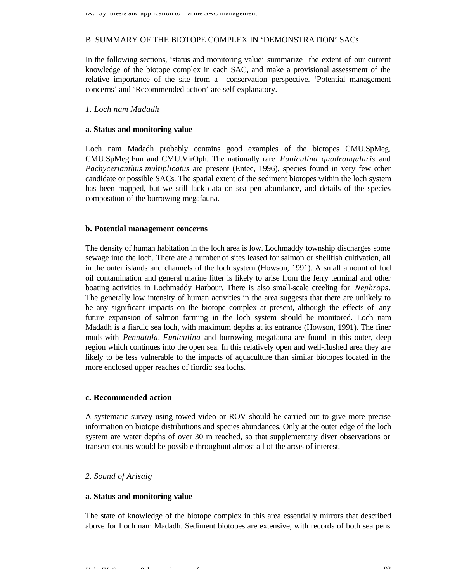## B. SUMMARY OF THE BIOTOPE COMPLEX IN 'DEMONSTRATION' SACs

In the following sections, 'status and monitoring value' summarize the extent of our current knowledge of the biotope complex in each SAC, and make a provisional assessment of the relative importance of the site from a conservation perspective. 'Potential management concerns' and 'Recommended action' are self-explanatory.

## *1. Loch nam Madadh*

#### **a. Status and monitoring value**

Loch nam Madadh probably contains good examples of the biotopes CMU.SpMeg, CMU.SpMeg.Fun and CMU.VirOph. The nationally rare *Funiculina quadrangularis* and *Pachycerianthus multiplicatus* are present (Entec, 1996), species found in very few other candidate or possible SACs. The spatial extent of the sediment biotopes within the loch system has been mapped, but we still lack data on sea pen abundance, and details of the species composition of the burrowing megafauna.

#### **b. Potential management concerns**

The density of human habitation in the loch area is low. Lochmaddy township discharges some sewage into the loch. There are a number of sites leased for salmon or shellfish cultivation, all in the outer islands and channels of the loch system (Howson, 1991). A small amount of fuel oil contamination and general marine litter is likely to arise from the ferry terminal and other boating activities in Lochmaddy Harbour. There is also small-scale creeling for *Nephrops*. The generally low intensity of human activities in the area suggests that there are unlikely to be any significant impacts on the biotope complex at present, although the effects of any future expansion of salmon farming in the loch system should be monitored. Loch nam Madadh is a fiardic sea loch, with maximum depths at its entrance (Howson, 1991). The finer muds with *Pennatula, Funiculina* and burrowing megafauna are found in this outer, deep region which continues into the open sea. In this relatively open and well-flushed area they are likely to be less vulnerable to the impacts of aquaculture than similar biotopes located in the more enclosed upper reaches of fiordic sea lochs.

#### **c. Recommended action**

A systematic survey using towed video or ROV should be carried out to give more precise information on biotope distributions and species abundances. Only at the outer edge of the loch system are water depths of over 30 m reached, so that supplementary diver observations or transect counts would be possible throughout almost all of the areas of interest.

#### *2. Sound of Arisaig*

#### **a. Status and monitoring value**

The state of knowledge of the biotope complex in this area essentially mirrors that described above for Loch nam Madadh. Sediment biotopes are extensive, with records of both sea pens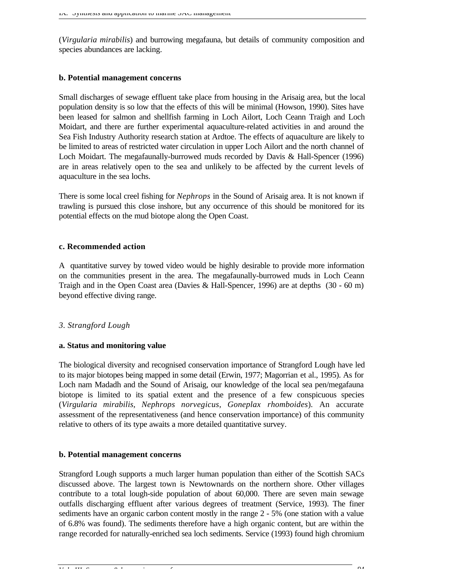(*Virgularia mirabilis*) and burrowing megafauna, but details of community composition and species abundances are lacking.

#### **b. Potential management concerns**

Small discharges of sewage effluent take place from housing in the Arisaig area, but the local population density is so low that the effects of this will be minimal (Howson, 1990). Sites have been leased for salmon and shellfish farming in Loch Ailort, Loch Ceann Traigh and Loch Moidart, and there are further experimental aquaculture-related activities in and around the Sea Fish Industry Authority research station at Ardtoe. The effects of aquaculture are likely to be limited to areas of restricted water circulation in upper Loch Ailort and the north channel of Loch Moidart. The megafaunally-burrowed muds recorded by Davis & Hall-Spencer (1996) are in areas relatively open to the sea and unlikely to be affected by the current levels of aquaculture in the sea lochs.

There is some local creel fishing for *Nephrops* in the Sound of Arisaig area. It is not known if trawling is pursued this close inshore, but any occurrence of this should be monitored for its potential effects on the mud biotope along the Open Coast.

#### **c. Recommended action**

A quantitative survey by towed video would be highly desirable to provide more information on the communities present in the area. The megafaunally-burrowed muds in Loch Ceann Traigh and in the Open Coast area (Davies & Hall-Spencer, 1996) are at depths (30 - 60 m) beyond effective diving range.

#### *3. Strangford Lough*

#### **a. Status and monitoring value**

The biological diversity and recognised conservation importance of Strangford Lough have led to its major biotopes being mapped in some detail (Erwin, 1977; Magorrian et al., 1995). As for Loch nam Madadh and the Sound of Arisaig, our knowledge of the local sea pen/megafauna biotope is limited to its spatial extent and the presence of a few conspicuous species (*Virgularia mirabilis, Nephrops norvegicus, Goneplax rhomboides*). An accurate assessment of the representativeness (and hence conservation importance) of this community relative to others of its type awaits a more detailed quantitative survey.

#### **b. Potential management concerns**

Strangford Lough supports a much larger human population than either of the Scottish SACs discussed above. The largest town is Newtownards on the northern shore. Other villages contribute to a total lough-side population of about 60,000. There are seven main sewage outfalls discharging effluent after various degrees of treatment (Service, 1993). The finer sediments have an organic carbon content mostly in the range 2 - 5% (one station with a value of 6.8% was found). The sediments therefore have a high organic content, but are within the range recorded for naturally-enriched sea loch sediments. Service (1993) found high chromium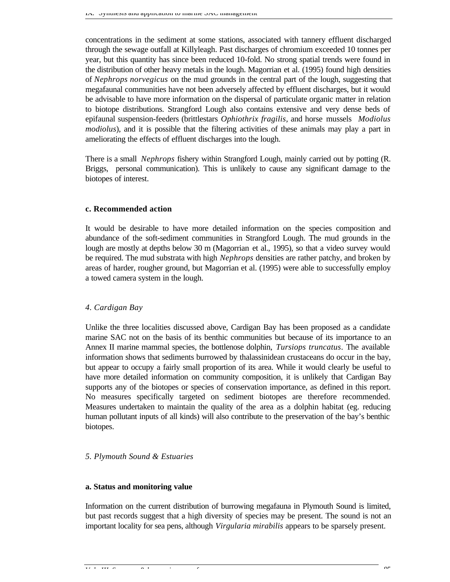concentrations in the sediment at some stations, associated with tannery effluent discharged through the sewage outfall at Killyleagh. Past discharges of chromium exceeded 10 tonnes per year, but this quantity has since been reduced 10-fold. No strong spatial trends were found in the distribution of other heavy metals in the lough. Magorrian et al. (1995) found high densities of *Nephrops norvegicus* on the mud grounds in the central part of the lough, suggesting that megafaunal communities have not been adversely affected by effluent discharges, but it would be advisable to have more information on the dispersal of particulate organic matter in relation to biotope distributions. Strangford Lough also contains extensive and very dense beds of epifaunal suspension-feeders (brittlestars *Ophiothrix fragilis,* and horse mussels *Modiolus modiolus*), and it is possible that the filtering activities of these animals may play a part in ameliorating the effects of effluent discharges into the lough.

There is a small *Nephrops* fishery within Strangford Lough, mainly carried out by potting (R. Briggs, personal communication). This is unlikely to cause any significant damage to the biotopes of interest.

## **c. Recommended action**

It would be desirable to have more detailed information on the species composition and abundance of the soft-sediment communities in Strangford Lough. The mud grounds in the lough are mostly at depths below 30 m (Magorrian et al., 1995), so that a video survey would be required. The mud substrata with high *Nephrops* densities are rather patchy, and broken by areas of harder, rougher ground, but Magorrian et al. (1995) were able to successfully employ a towed camera system in the lough.

# *4. Cardigan Bay*

Unlike the three localities discussed above, Cardigan Bay has been proposed as a candidate marine SAC not on the basis of its benthic communities but because of its importance to an Annex II marine mammal species, the bottlenose dolphin, *Tursiops truncatus*. The available information shows that sediments burrowed by thalassinidean crustaceans do occur in the bay, but appear to occupy a fairly small proportion of its area. While it would clearly be useful to have more detailed information on community composition, it is unlikely that Cardigan Bay supports any of the biotopes or species of conservation importance, as defined in this report. No measures specifically targeted on sediment biotopes are therefore recommended. Measures undertaken to maintain the quality of the area as a dolphin habitat (eg. reducing human pollutant inputs of all kinds) will also contribute to the preservation of the bay's benthic biotopes.

# *5. Plymouth Sound & Estuaries*

# **a. Status and monitoring value**

Information on the current distribution of burrowing megafauna in Plymouth Sound is limited, but past records suggest that a high diversity of species may be present. The sound is not an important locality for sea pens, although *Virgularia mirabilis* appears to be sparsely present.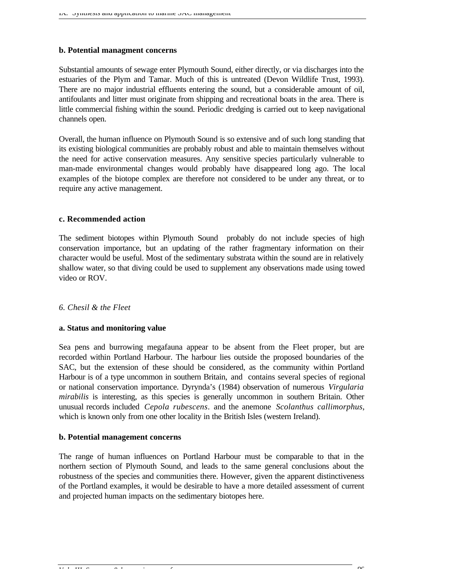#### **b. Potential managment concerns**

Substantial amounts of sewage enter Plymouth Sound, either directly, or via discharges into the estuaries of the Plym and Tamar. Much of this is untreated (Devon Wildlife Trust, 1993). There are no major industrial effluents entering the sound, but a considerable amount of oil, antifoulants and litter must originate from shipping and recreational boats in the area. There is little commercial fishing within the sound. Periodic dredging is carried out to keep navigational channels open.

Overall, the human influence on Plymouth Sound is so extensive and of such long standing that its existing biological communities are probably robust and able to maintain themselves without the need for active conservation measures. Any sensitive species particularly vulnerable to man-made environmental changes would probably have disappeared long ago. The local examples of the biotope complex are therefore not considered to be under any threat, or to require any active management.

#### **c. Recommended action**

The sediment biotopes within Plymouth Sound probably do not include species of high conservation importance, but an updating of the rather fragmentary information on their character would be useful. Most of the sedimentary substrata within the sound are in relatively shallow water, so that diving could be used to supplement any observations made using towed video or ROV.

#### *6. Chesil & the Fleet*

#### **a. Status and monitoring value**

Sea pens and burrowing megafauna appear to be absent from the Fleet proper, but are recorded within Portland Harbour. The harbour lies outside the proposed boundaries of the SAC, but the extension of these should be considered, as the community within Portland Harbour is of a type uncommon in southern Britain, and contains several species of regional or national conservation importance. Dyrynda's (1984) observation of numerous *Virgularia mirabilis* is interesting, as this species is generally uncommon in southern Britain. Other unusual records included *Cepola rubescens*. and the anemone *Scolanthus callimorphus*, which is known only from one other locality in the British Isles (western Ireland).

#### **b. Potential management concerns**

The range of human influences on Portland Harbour must be comparable to that in the northern section of Plymouth Sound, and leads to the same general conclusions about the robustness of the species and communities there. However, given the apparent distinctiveness of the Portland examples, it would be desirable to have a more detailed assessment of current and projected human impacts on the sedimentary biotopes here.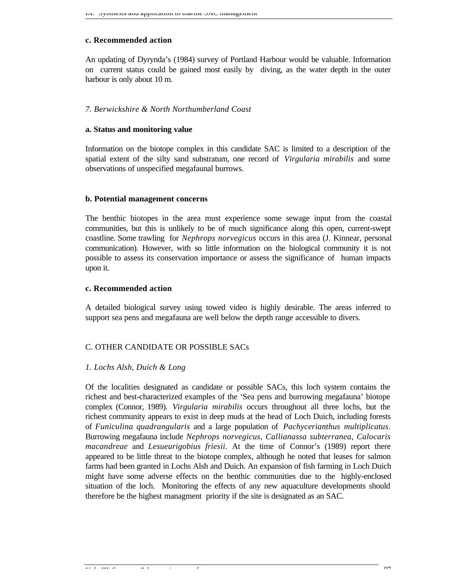## **c. Recommended action**

An updating of Dyrynda's (1984) survey of Portland Harbour would be valuable. Information on current status could be gained most easily by diving, as the water depth in the outer harbour is only about 10 m.

## *7. Berwickshire & North Northumberland Coast*

#### **a. Status and monitoring value**

Information on the biotope complex in this candidate SAC is limited to a description of the spatial extent of the silty sand substratum, one record of *Virgularia mirabilis* and some observations of unspecified megafaunal burrows.

#### **b. Potential management concerns**

The benthic biotopes in the area must experience some sewage input from the coastal communities, but this is unlikely to be of much significance along this open, current-swept coastline. Some trawling for *Nephrops norvegicus* occurs in this area (J. Kinnear, personal communication). However, with so little information on the biological community it is not possible to assess its conservation importance or assess the significance of human impacts upon it.

#### **c. Recommended action**

A detailed biological survey using towed video is highly desirable. The areas inferred to support sea pens and megafauna are well below the depth range accessible to divers.

#### C. OTHER CANDIDATE OR POSSIBLE SACs

#### *1. Lochs Alsh, Duich & Long*

Of the localities designated as candidate or possible SACs, this loch system contains the richest and best-characterized examples of the 'Sea pens and burrowing megafauna' biotope complex (Connor, 1989). *Virgularia mirabilis* occurs throughout all three lochs, but the richest community appears to exist in deep muds at the head of Loch Duich, including forests of *Funiculina quadrangularis* and a large population of *Pachycerianthus multiplicatus*. Burrowing megafauna include *Nephrops norvegicus, Callianassa subterranea, Calocaris macandreae* and *Lesueurigobius friesii*. At the time of Connor's (1989) report there appeared to be little threat to the biotope complex, although he noted that leases for salmon farms had been granted in Lochs Alsh and Duich. An expansion of fish farming in Loch Duich might have some adverse effects on the benthic communities due to the highly-enclosed situation of the loch. Monitoring the effects of any new aquaculture developments should therefore be the highest managment priority if the site is designated as an SAC.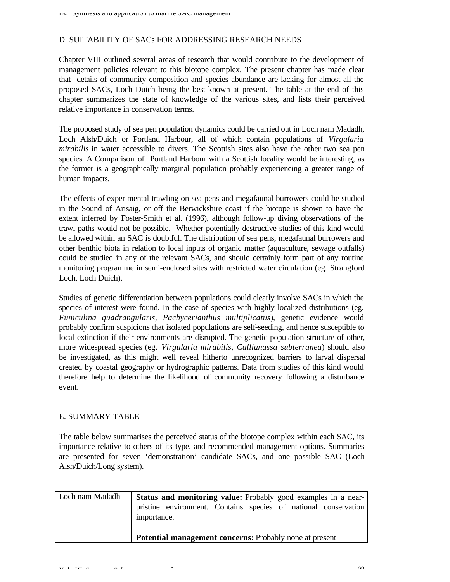## D. SUITABILITY OF SACs FOR ADDRESSING RESEARCH NEEDS

Chapter VIII outlined several areas of research that would contribute to the development of management policies relevant to this biotope complex. The present chapter has made clear that details of community composition and species abundance are lacking for almost all the proposed SACs, Loch Duich being the best-known at present. The table at the end of this chapter summarizes the state of knowledge of the various sites, and lists their perceived relative importance in conservation terms.

The proposed study of sea pen population dynamics could be carried out in Loch nam Madadh, Loch Alsh/Duich or Portland Harbour, all of which contain populations of *Virgularia mirabilis* in water accessible to divers. The Scottish sites also have the other two sea pen species. A Comparison of Portland Harbour with a Scottish locality would be interesting, as the former is a geographically marginal population probably experiencing a greater range of human impacts.

The effects of experimental trawling on sea pens and megafaunal burrowers could be studied in the Sound of Arisaig, or off the Berwickshire coast if the biotope is shown to have the extent inferred by Foster-Smith et al. (1996), although follow-up diving observations of the trawl paths would not be possible. Whether potentially destructive studies of this kind would be allowed within an SAC is doubtful. The distribution of sea pens, megafaunal burrowers and other benthic biota in relation to local inputs of organic matter (aquaculture, sewage outfalls) could be studied in any of the relevant SACs, and should certainly form part of any routine monitoring programme in semi-enclosed sites with restricted water circulation (eg. Strangford Loch, Loch Duich).

Studies of genetic differentiation between populations could clearly involve SACs in which the species of interest were found. In the case of species with highly localized distributions (eg. *Funiculina quadrangularis, Pachycerianthus multiplicatus*), genetic evidence would probably confirm suspicions that isolated populations are self-seeding, and hence susceptible to local extinction if their environments are disrupted. The genetic population structure of other, more widespread species (eg. *Virgularia mirabilis, Callianassa subterranea*) should also be investigated, as this might well reveal hitherto unrecognized barriers to larval dispersal created by coastal geography or hydrographic patterns. Data from studies of this kind would therefore help to determine the likelihood of community recovery following a disturbance event.

#### E. SUMMARY TABLE

The table below summarises the perceived status of the biotope complex within each SAC, its importance relative to others of its type, and recommended management options. Summaries are presented for seven 'demonstration' candidate SACs, and one possible SAC (Loch Alsh/Duich/Long system).

| Loch nam Madadh | Status and monitoring value: Probably good examples in a near-<br>pristine environment. Contains species of national conservation<br>importance. |
|-----------------|--------------------------------------------------------------------------------------------------------------------------------------------------|
|                 | <b>Potential management concerns:</b> Probably none at present                                                                                   |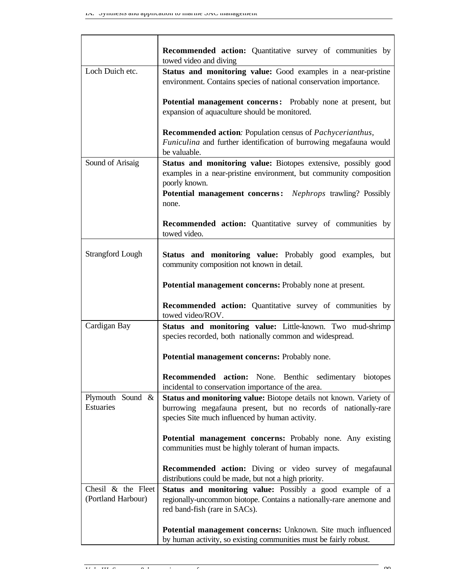|                                             | Recommended action: Quantitative survey of communities by<br>towed video and diving                                                                                                     |
|---------------------------------------------|-----------------------------------------------------------------------------------------------------------------------------------------------------------------------------------------|
| Loch Duich etc.                             | Status and monitoring value: Good examples in a near-pristine<br>environment. Contains species of national conservation importance.                                                     |
|                                             | <b>Potential management concerns:</b> Probably none at present, but<br>expansion of aquaculture should be monitored.                                                                    |
|                                             | Recommended action: Population census of Pachycerianthus,<br>Funiculina and further identification of burrowing megafauna would<br>be valuable.                                         |
| Sound of Arisaig                            | Status and monitoring value: Biotopes extensive, possibly good<br>examples in a near-pristine environment, but community composition<br>poorly known.                                   |
|                                             | <b>Potential management concerns:</b> Nephrops trawling? Possibly<br>none.                                                                                                              |
|                                             | Recommended action: Quantitative survey of communities by<br>towed video.                                                                                                               |
| <b>Strangford Lough</b>                     | Status and monitoring value: Probably good examples, but<br>community composition not known in detail.                                                                                  |
|                                             | <b>Potential management concerns:</b> Probably none at present.                                                                                                                         |
|                                             | Recommended action: Quantitative survey of communities by<br>towed video/ROV.                                                                                                           |
| Cardigan Bay                                | Status and monitoring value: Little-known. Two mud-shrimp<br>species recorded, both nationally common and widespread.                                                                   |
|                                             | Potential management concerns: Probably none.                                                                                                                                           |
|                                             | Recommended action: None. Benthic sedimentary biotopes<br>incidental to conservation importance of the area.                                                                            |
| Plymouth Sound $\&$<br>Estuaries            | Status and monitoring value: Biotope details not known. Variety of<br>burrowing megafauna present, but no records of nationally-rare<br>species Site much influenced by human activity. |
|                                             | <b>Potential management concerns:</b> Probably none. Any existing<br>communities must be highly tolerant of human impacts.                                                              |
|                                             | <b>Recommended action:</b> Diving or video survey of megafaunal<br>distributions could be made, but not a high priority.                                                                |
| Chesil $\&$ the Fleet<br>(Portland Harbour) | <b>Status and monitoring value:</b> Possibly a good example of a<br>regionally-uncommon biotope. Contains a nationally-rare anemone and<br>red band-fish (rare in SACs).                |
|                                             | <b>Potential management concerns:</b> Unknown. Site much influenced<br>by human activity, so existing communities must be fairly robust.                                                |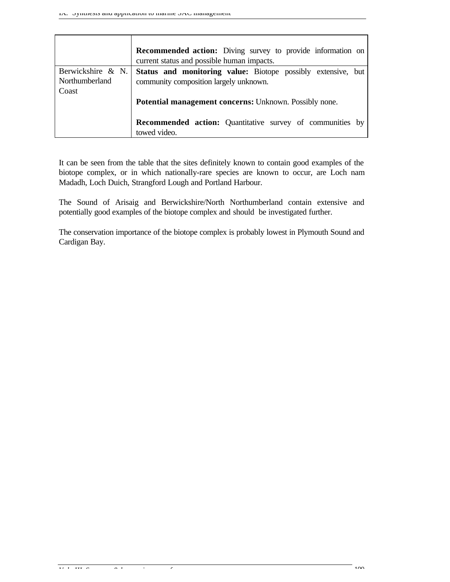|                   | <b>Recommended action:</b> Diving survey to provide information on<br>current status and possible human impacts. |  |
|-------------------|------------------------------------------------------------------------------------------------------------------|--|
| Berwickshire & N. | Status and monitoring value: Biotope possibly extensive, but                                                     |  |
| Northumberland    | community composition largely unknown.                                                                           |  |
| Coast             |                                                                                                                  |  |
|                   | Potential management concerns: Unknown. Possibly none.                                                           |  |
|                   | <b>Recommended action:</b> Quantitative survey of communities by<br>towed video.                                 |  |

It can be seen from the table that the sites definitely known to contain good examples of the biotope complex, or in which nationally-rare species are known to occur, are Loch nam Madadh, Loch Duich, Strangford Lough and Portland Harbour.

The Sound of Arisaig and Berwickshire/North Northumberland contain extensive and potentially good examples of the biotope complex and should be investigated further.

The conservation importance of the biotope complex is probably lowest in Plymouth Sound and Cardigan Bay.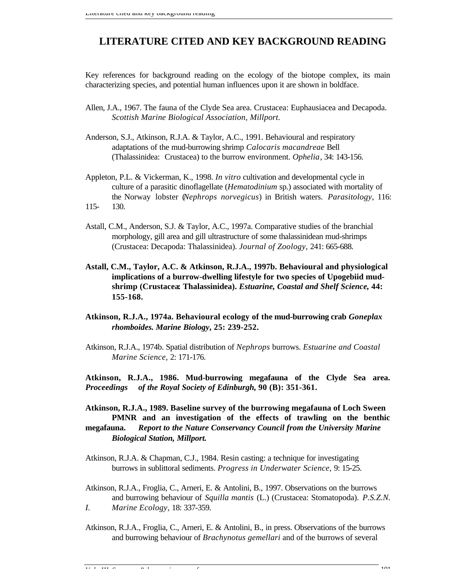# **LITERATURE CITED AND KEY BACKGROUND READING**

Key references for background reading on the ecology of the biotope complex, its main characterizing species, and potential human influences upon it are shown in boldface.

- Allen, J.A., 1967. The fauna of the Clyde Sea area. Crustacea: Euphausiacea and Decapoda. *Scottish Marine Biological Association, Millport.*
- Anderson, S.J., Atkinson, R.J.A. & Taylor, A.C., 1991. Behavioural and respiratory adaptations of the mud-burrowing shrimp *Calocaris macandreae* Bell (Thalassinidea: Crustacea) to the burrow environment. *Ophelia*, 34: 143-156.
- Appleton, P.L. & Vickerman, K., 1998. *In vitro* cultivation and developmental cycle in culture of a parasitic dinoflagellate (*Hematodinium* sp.) associated with mortality of the Norway lobster (*Nephrops norvegicus*) in British waters. *Parasitology*, 116: 115- 130.
- Astall, C.M., Anderson, S.J. & Taylor, A.C., 1997a. Comparative studies of the branchial morphology, gill area and gill ultrastructure of some thalassinidean mud-shrimps (Crustacea: Decapoda: Thalassinidea). *Journal of Zoology,* 241: 665-688.
- **Astall, C.M., Taylor, A.C. & Atkinson, R.J.A., 1997b. Behavioural and physiological implications of a burrow-dwelling lifestyle for two species of Upogebiid mudshrimp (Crustacea: Thalassinidea).** *Estuarine, Coastal and Shelf Science,* **44: 155-168.**
- **Atkinson, R.J.A., 1974a. Behavioural ecology of the mud-burrowing crab** *Goneplax rhomboides. Marine Biology***, 25: 239-252.**
- Atkinson, R.J.A., 1974b. Spatial distribution of *Nephrops* burrows. *Estuarine and Coastal Marine Science,* 2: 171-176.

**Atkinson, R.J.A., 1986. Mud-burrowing megafauna of the Clyde Sea area.** *Proceedings of the Royal Society of Edinburgh,* **90 (B): 351-361.**

- **Atkinson, R.J.A., 1989. Baseline survey of the burrowing megafauna of Loch Sween PMNR and an investigation of the effects of trawling on the benthic megafauna.** *Report to the Nature Conservancy Council from the University Marine Biological Station, Millport.*
- Atkinson, R.J.A. & Chapman, C.J., 1984. Resin casting: a technique for investigating burrows in sublittoral sediments. *Progress in Underwater Science,* 9: 15-25.
- Atkinson, R.J.A., Froglia, C., Arneri, E. & Antolini, B., 1997. Observations on the burrows and burrowing behaviour of *Squilla mantis* (L.) (Crustacea: Stomatopoda). *P.S.Z.N. I. Marine Ecology,* 18: 337-359.
- Atkinson, R.J.A., Froglia, C., Arneri, E. & Antolini, B., in press. Observations of the burrows and burrowing behaviour of *Brachynotus gemellari* and of the burrows of several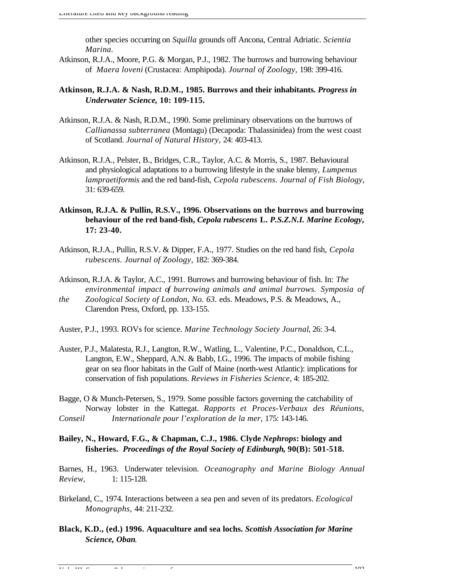other species occurring on *Squilla* grounds off Ancona, Central Adriatic. *Scientia Marina.*

Atkinson, R.J.A., Moore, P.G. & Morgan, P.J., 1982. The burrows and burrowing behaviour of *Maera loveni* (Crustacea: Amphipoda). *Journal of Zoology,* 198: 399-416.

#### **Atkinson, R.J.A. & Nash, R.D.M., 1985. Burrows and their inhabitants.** *Progress in Underwater Science,* **10: 109-115.**

- Atkinson, R.J.A. & Nash, R.D.M., 1990. Some preliminary observations on the burrows of *Callianassa subterranea* (Montagu) (Decapoda: Thalassinidea) from the west coast of Scotland. *Journal of Natural History,* 24: 403-413.
- Atkinson, R.J.A., Pelster, B., Bridges, C.R., Taylor, A.C. & Morris, S., 1987. Behavioural and physiological adaptations to a burrowing lifestyle in the snake blenny, *Lumpenus lampraetiformis* and the red band-fish, *Cepola rubescens. Journal of Fish Biology*, 31: 639-659.
- **Atkinson, R.J.A. & Pullin, R.S.V., 1996. Observations on the burrows and burrowing behaviour of the red band-fish,** *Cepola rubescens* **L.** *P.S.Z.N.I. Marine Ecology***, 17: 23-40.**
- Atkinson, R.J.A., Pullin, R.S.V. & Dipper, F.A., 1977. Studies on the red band fish, *Cepola rubescens. Journal of Zoology,* 182: 369-384.
- Atkinson, R.J.A. & Taylor, A.C., 1991. Burrows and burrowing behaviour of fish. In: *The environmental impact of burrowing animals and animal burrows. Symposia of the Zoological Society of London, No. 63.* eds. Meadows, P.S. & Meadows, A., Clarendon Press, Oxford, pp. 133-155.
- Auster, P.J., 1993. ROVs for science. *Marine Technology Society Journal*, 26: 3-4.
- Auster, P.J., Malatesta, R.J., Langton, R.W., Watling, L., Valentine, P.C., Donaldson, C.L., Langton, E.W., Sheppard, A.N. & Babb, I.G., 1996. The impacts of mobile fishing gear on sea floor habitats in the Gulf of Maine (north-west Atlantic): implications for conservation of fish populations. *Reviews in Fisheries Science*, 4: 185-202.
- Bagge, O & Munch-Petersen, S., 1979. Some possible factors governing the catchability of Norway lobster in the Kattegat. *Rapports et Proces-Verbaux des Réunions, Conseil Internationale pour l'exploration de la mer,* 175: 143-146.
- **Bailey, N., Howard, F.G., & Chapman, C.J., 1986. Clyde** *Nephrops***: biology and fisheries.** *Proceedings of the Royal Society of Edinburgh***, 90(B): 501-518.**

Barnes, H., 1963. Underwater television. *Oceanography and Marine Biology Annual Review,* 1: 115-128.

- Birkeland, C., 1974. Interactions between a sea pen and seven of its predators. *Ecological Monographs,* 44: 211-232.
- **Black, K.D., (ed.) 1996. Aquaculture and sea lochs.** *Scottish Association for Marine Science, Oban.*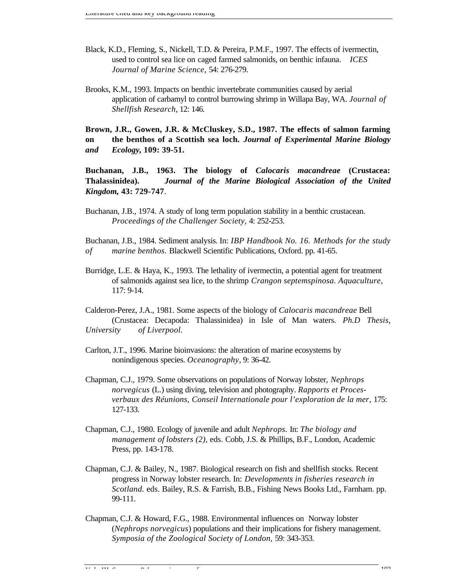- Black, K.D., Fleming, S., Nickell, T.D. & Pereira, P.M.F., 1997. The effects of ivermectin, used to control sea lice on caged farmed salmonids, on benthic infauna. *ICES Journal of Marine Science,* 54: 276-279.
- Brooks, K.M., 1993. Impacts on benthic invertebrate communities caused by aerial application of carbamyl to control burrowing shrimp in Willapa Bay, WA. *Journal of Shellfish Research*, 12: 146.

**Brown, J.R., Gowen, J.R. & McCluskey, S.D., 1987. The effects of salmon farming on the benthos of a Scottish sea loch.** *Journal of Experimental Marine Biology and Ecology,* **109: 39-51.**

**Buchanan, J.B., 1963. The biology of** *Calocaris macandreae* **(Crustacea: Thalassinidea).** *Journal of the Marine Biological Association of the United Kingdom,* **43: 729-747**.

- Buchanan, J.B., 1974. A study of long term population stability in a benthic crustacean. *Proceedings of the Challenger Society,* 4: 252-253.
- Buchanan, J.B., 1984. Sediment analysis. In: *IBP Handbook No. 16. Methods for the study of marine benthos.* Blackwell Scientific Publications, Oxford. pp. 41-65.
- Burridge, L.E. & Haya, K., 1993. The lethality of ivermectin, a potential agent for treatment of salmonids against sea lice, to the shrimp *Crangon septemspinosa. Aquaculture,*  117: 9-14.

Calderon-Perez, J.A., 1981. Some aspects of the biology of *Calocaris macandreae* Bell (Crustacea: Decapoda: Thalassinidea) in Isle of Man waters. *Ph.D Thesis, University of Liverpool.*

- Carlton, J.T., 1996. Marine bioinvasions: the alteration of marine ecosystems by nonindigenous species. *Oceanography*, 9: 36-42.
- Chapman, C.J., 1979. Some observations on populations of Norway lobster, *Nephrops norvegicus* (L.) using diving, television and photography. *Rapports et Proces*verbaux des Réunions, Conseil Internationale pour l'exploration de la mer, 175: 127-133.
- Chapman, C.J., 1980. Ecology of juvenile and adult *Nephrops.* In: *The biology and management of lobsters (2),* eds. Cobb, J.S. & Phillips, B.F., London, Academic Press, pp. 143-178.
- Chapman, C.J. & Bailey, N., 1987. Biological research on fish and shellfish stocks. Recent progress in Norway lobster research. In: *Developments in fisheries research in Scotland.* eds. Bailey, R.S. & Farrish, B.B., Fishing News Books Ltd., Farnham. pp. 99-111.
- Chapman, C.J. & Howard, F.G., 1988. Environmental influences on Norway lobster (*Nephrops norvegicus*) populations and their implications for fishery management. *Symposia of the Zoological Society of London,* 59: 343-353.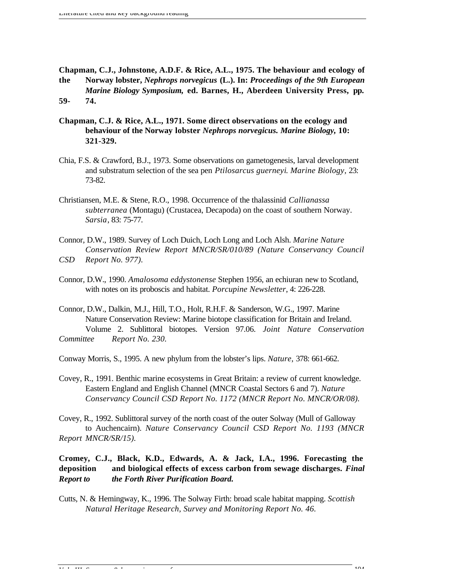**Chapman, C.J., Johnstone, A.D.F. & Rice, A.L., 1975. The behaviour and ecology of the Norway lobster,** *Nephrops norvegicus* **(L.). In:** *Proceedings of the 9th European*

*Marine Biology Symposium,* **ed. Barnes, H., Aberdeen University Press, pp. 59- 74.**

- **Chapman, C.J. & Rice, A.L., 1971. Some direct observations on the ecology and behaviour of the Norway lobster** *Nephrops norvegicus. Marine Biology,* **10: 321-329.**
- Chia, F.S. & Crawford, B.J., 1973. Some observations on gametogenesis, larval development and substratum selection of the sea pen *Ptilosarcus guerneyi*. *Marine Biology,* 23: 73-82.
- Christiansen, M.E. & Stene, R.O., 1998. Occurrence of the thalassinid *Callianassa subterranea* (Montagu) (Crustacea, Decapoda) on the coast of southern Norway. *Sarsia*, 83: 75-77.
- Connor, D.W., 1989. Survey of Loch Duich, Loch Long and Loch Alsh. *Marine Nature Conservation Review Report MNCR/SR/010/89 (Nature Conservancy Council CSD Report No. 977).*
- Connor, D.W., 1990. *Amalosoma eddystonense* Stephen 1956, an echiuran new to Scotland, with notes on its proboscis and habitat. *Porcupine Newsletter*, 4: 226-228.
- Connor, D.W., Dalkin, M.J., Hill, T.O., Holt, R.H.F. & Sanderson, W.G., 1997. Marine Nature Conservation Review: Marine biotope classification for Britain and Ireland. Volume 2. Sublittoral biotopes. Version 97.06. *Joint Nature Conservation Committee Report No. 230.*
- Conway Morris, S., 1995. A new phylum from the lobster's lips. *Nature,* 378: 661-662.
- Covey, R., 1991. Benthic marine ecosystems in Great Britain: a review of current knowledge. Eastern England and English Channel (MNCR Coastal Sectors 6 and 7). *Nature Conservancy Council CSD Report No. 1172 (MNCR Report No. MNCR/OR/08).*

Covey, R., 1992. Sublittoral survey of the north coast of the outer Solway (Mull of Galloway to Auchencairn). *Nature Conservancy Council CSD Report No. 1193 (MNCR Report MNCR/SR/15).*

# **Cromey, C.J., Black, K.D., Edwards, A. & Jack, I.A., 1996. Forecasting the deposition and biological effects of excess carbon from sewage discharges.** *Final Report to the Forth River Purification Board.*

Cutts, N. & Hemingway, K., 1996. The Solway Firth: broad scale habitat mapping. *Scottish Natural Heritage Research, Survey and Monitoring Report No. 46.*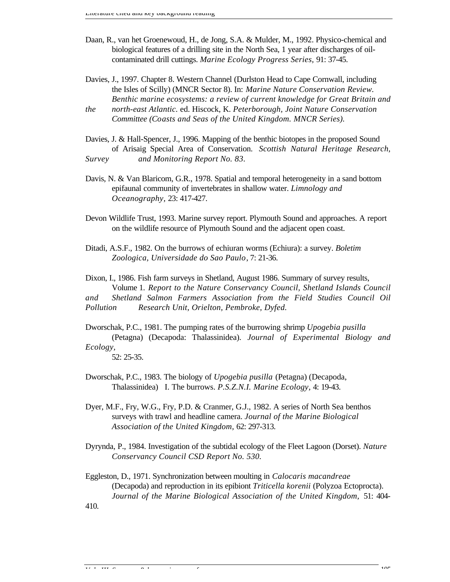- Daan, R., van het Groenewoud, H., de Jong, S.A. & Mulder, M., 1992. Physico-chemical and biological features of a drilling site in the North Sea, 1 year after discharges of oilcontaminated drill cuttings. *Marine Ecology Progress Series,* 91: 37-45.
- Davies, J., 1997. Chapter 8. Western Channel (Durlston Head to Cape Cornwall, including the Isles of Scilly) (MNCR Sector 8). In: *Marine Nature Conservation Review. Benthic marine ecosystems: a review of current knowledge for Great Britain and the north-east Atlantic.* ed. Hiscock, K. *Peterborough, Joint Nature Conservation Committee (Coasts and Seas of the United Kingdom. MNCR Series).*
- Davies, J. & Hall-Spencer, J., 1996. Mapping of the benthic biotopes in the proposed Sound of Arisaig Special Area of Conservation. *Scottish Natural Heritage Research,*
- *Survey and Monitoring Report No. 83.*
- Davis, N. & Van Blaricom, G.R., 1978. Spatial and temporal heterogeneity in a sand bottom epifaunal community of invertebrates in shallow water. *Limnology and Oceanography,* 23: 417-427.
- Devon Wildlife Trust, 1993. Marine survey report. Plymouth Sound and approaches. A report on the wildlife resource of Plymouth Sound and the adjacent open coast.
- Ditadi, A.S.F., 1982. On the burrows of echiuran worms (Echiura): a survey. *Boletim Zoologica, Universidade do Sao Paulo*, 7: 21-36.

Dixon, I., 1986. Fish farm surveys in Shetland, August 1986. Summary of survey results, Volume 1. *Report to the Nature Conservancy Council, Shetland Islands Council and Shetland Salmon Farmers Association from the Field Studies Council Oil Pollution Research Unit, Orielton, Pembroke, Dyfed.*

Dworschak, P.C., 1981. The pumping rates of the burrowing shrimp *Upogebia pusilla* (Petagna) (Decapoda: Thalassinidea). *Journal of Experimental Biology and Ecology,*

52: 25-35.

- Dworschak, P.C., 1983. The biology of *Upogebia pusilla* (Petagna) (Decapoda, Thalassinidea) I. The burrows. *P.S.Z.N.I. Marine Ecology,* 4: 19-43.
- Dyer, M.F., Fry, W.G., Fry, P.D. & Cranmer, G.J., 1982. A series of North Sea benthos surveys with trawl and headline camera. *Journal of the Marine Biological Association of the United Kingdom,* 62: 297-313.
- Dyrynda, P., 1984. Investigation of the subtidal ecology of the Fleet Lagoon (Dorset). *Nature Conservancy Council CSD Report No. 530.*
- Eggleston, D., 1971. Synchronization between moulting in *Calocaris macandreae* (Decapoda) and reproduction in its epibiont *Triticella korenii* (Polyzoa Ectoprocta). *Journal of the Marine Biological Association of the United Kingdom,* 51: 404-

410.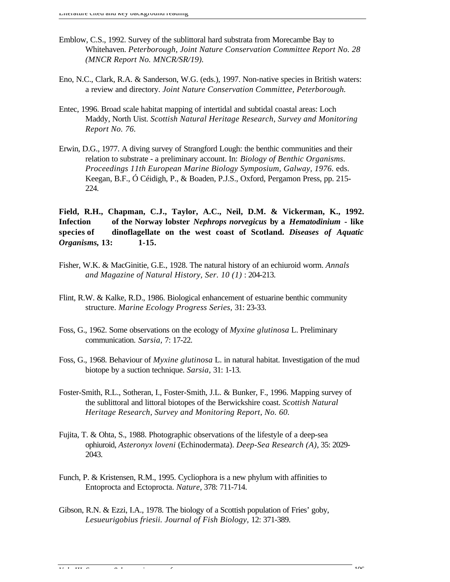- Emblow, C.S., 1992. Survey of the sublittoral hard substrata from Morecambe Bay to Whitehaven. *Peterborough, Joint Nature Conservation Committee Report No. 28 (MNCR Report No. MNCR/SR/19).*
- Eno, N.C., Clark, R.A. & Sanderson, W.G. (eds.), 1997. Non-native species in British waters: a review and directory. *Joint Nature Conservation Committee, Peterborough.*
- Entec, 1996. Broad scale habitat mapping of intertidal and subtidal coastal areas: Loch Maddy, North Uist. *Scottish Natural Heritage Research, Survey and Monitoring Report No. 76.*
- Erwin, D.G., 1977. A diving survey of Strangford Lough: the benthic communities and their relation to substrate - a preliminary account. In: *Biology of Benthic Organisms. Proceedings 11th European Marine Biology Symposium, Galway, 1976.* eds. Keegan, B.F., Ó Céidigh, P., & Boaden, P.J.S., Oxford, Pergamon Press, pp. 215- 224.

**Field, R.H., Chapman, C.J., Taylor, A.C., Neil, D.M. & Vickerman, K., 1992. Infection of the Norway lobster** *Nephrops norvegicus* **by a** *Hematodinium* **- like species of dinoflagellate on the west coast of Scotland.** *Diseases of Aquatic Organisms,* **13: 1-15.**

- Fisher, W.K. & MacGinitie, G.E., 1928. The natural history of an echiuroid worm. *Annals and Magazine of Natural History, Ser. 10 (1)* : 204-213.
- Flint, R.W. & Kalke, R.D., 1986. Biological enhancement of estuarine benthic community structure. *Marine Ecology Progress Series,* 31: 23-33.
- Foss, G., 1962. Some observations on the ecology of *Myxine glutinosa* L. Preliminary communication. *Sarsia,* 7: 17-22.
- Foss, G., 1968. Behaviour of *Myxine glutinosa* L. in natural habitat. Investigation of the mud biotope by a suction technique. *Sarsia,* 31: 1-13.
- Foster-Smith, R.L., Sotheran, I., Foster-Smith, J.L. & Bunker, F., 1996. Mapping survey of the sublittoral and littoral biotopes of the Berwickshire coast. *Scottish Natural Heritage Research, Survey and Monitoring Report, No. 60.*
- Fujita, T. & Ohta, S., 1988. Photographic observations of the lifestyle of a deep-sea ophiuroid, *Asteronyx loveni* (Echinodermata). *Deep-Sea Research (A)*, 35: 2029- 2043.
- Funch, P. & Kristensen, R.M., 1995. Cycliophora is a new phylum with affinities to Entoprocta and Ectoprocta. *Nature*, 378: 711-714.
- Gibson, R.N. & Ezzi, I.A., 1978. The biology of a Scottish population of Fries' goby, *Lesueurigobius friesii. Journal of Fish Biology,* 12: 371-389.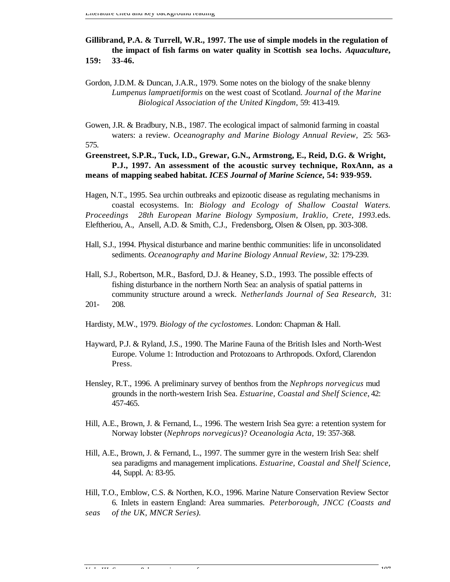## **Gillibrand, P.A. & Turrell, W.R., 1997. The use of simple models in the regulation of the impact of fish farms on water quality in Scottish sea lochs.** *Aquaculture***, 159: 33-46.**

Gordon, J.D.M. & Duncan, J.A.R., 1979. Some notes on the biology of the snake blenny *Lumpenus lampraetiformis* on the west coast of Scotland. *Journal of the Marine Biological Association of the United Kingdom,* 59: 413-419.

Gowen, J.R. & Bradbury, N.B., 1987. The ecological impact of salmonid farming in coastal waters: a review. *Oceanography and Marine Biology Annual Review,* 25: 563- 575.

## **Greenstreet, S.P.R., Tuck, I.D., Grewar, G.N., Armstrong, E., Reid, D.G. & Wright, P.J., 1997. An assessment of the acoustic survey technique, RoxAnn, as a means of mapping seabed habitat.** *ICES Journal of Marine Science***, 54: 939-959.**

Hagen, N.T., 1995. Sea urchin outbreaks and epizootic disease as regulating mechanisms in coastal ecosystems. In: *Biology and Ecology of Shallow Coastal Waters. Proceedings 28th European Marine Biology Symposium, Iraklio, Crete, 1993.*eds. Eleftheriou, A., Ansell, A.D. & Smith, C.J., Fredensborg, Olsen & Olsen, pp. 303-308.

Hall, S.J., 1994. Physical disturbance and marine benthic communities: life in unconsolidated sediments. *Oceanography and Marine Biology Annual Review,* 32: 179-239.

Hall, S.J., Robertson, M.R., Basford, D.J. & Heaney, S.D., 1993. The possible effects of fishing disturbance in the northern North Sea: an analysis of spatial patterns in community structure around a wreck. *Netherlands Journal of Sea Research,* 31: 201- 208.

Hardisty, M.W., 1979. *Biology of the cyclostomes.* London: Chapman & Hall.

- Hayward, P.J. & Ryland, J.S., 1990. The Marine Fauna of the British Isles and North-West Europe. Volume 1: Introduction and Protozoans to Arthropods. Oxford, Clarendon Press.
- Hensley, R.T., 1996. A preliminary survey of benthos from the *Nephrops norvegicus* mud grounds in the north-western Irish Sea. *Estuarine, Coastal and Shelf Science*, 42: 457-465.
- Hill, A.E., Brown, J. & Fernand, L., 1996. The western Irish Sea gyre: a retention system for Norway lobster (*Nephrops norvegicus*)? *Oceanologia Acta,* 19: 357-368.
- Hill, A.E., Brown, J. & Fernand, L., 1997. The summer gyre in the western Irish Sea: shelf sea paradigms and management implications. *Estuarine, Coastal and Shelf Science,* 44, Suppl. A: 83-95.
- Hill, T.O., Emblow, C.S. & Northen, K.O., 1996. Marine Nature Conservation Review Sector 6. Inlets in eastern England: Area summaries. *Peterborough, JNCC (Coasts and seas of the UK, MNCR Series).*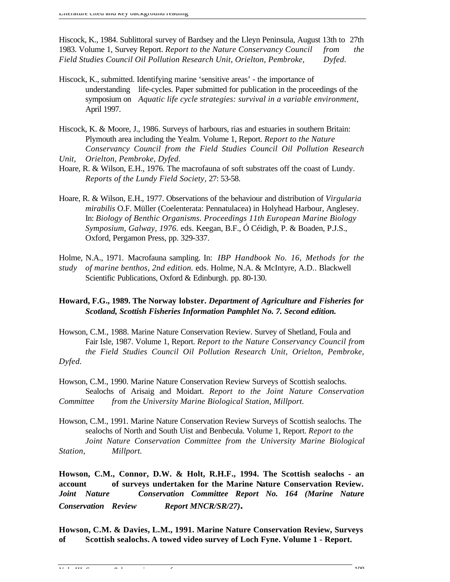Hiscock, K., 1984. Sublittoral survey of Bardsey and the Lleyn Peninsula, August 13th to 27th 1983. Volume 1, Survey Report. *Report to the Nature Conservancy Council from the Field Studies Council Oil Pollution Research Unit, Orielton, Pembroke, Dyfed.*

- Hiscock, K., submitted. Identifying marine 'sensitive areas' the importance of understanding life-cycles. Paper submitted for publication in the proceedings of the symposium on *Aquatic life cycle strategies: survival in a variable environment,* April 1997.
- Hiscock, K. & Moore, J., 1986. Surveys of harbours, rias and estuaries in southern Britain: Plymouth area including the Yealm. Volume 1, Report. *Report to the Nature Conservancy Council from the Field Studies Council Oil Pollution Research*

- Hoare, R. & Wilson, E.H., 1976. The macrofauna of soft substrates off the coast of Lundy. *Reports of the Lundy Field Society,* 27: 53-58.
- Hoare, R. & Wilson, E.H., 1977. Observations of the behaviour and distribution of *Virgularia mirabilis* O.F. Müller (Coelenterata: Pennatulacea) in Holyhead Harbour, Anglesey. In: *Biology of Benthic Organisms. Proceedings 11th European Marine Biology Symposium, Galway, 1976.* eds. Keegan, B.F., Ó Céidigh, P. & Boaden, P.J.S., Oxford, Pergamon Press, pp. 329-337.
- Holme, N.A., 1971. Macrofauna sampling. In: *IBP Handbook No. 16, Methods for the study of marine benthos, 2nd edition.* eds. Holme, N.A. & McIntyre, A.D.. Blackwell Scientific Publications, Oxford & Edinburgh. pp. 80-130.
- **Howard, F.G., 1989. The Norway lobster.** *Department of Agriculture and Fisheries for Scotland, Scottish Fisheries Information Pamphlet No. 7. Second edition.*
- Howson, C.M., 1988. Marine Nature Conservation Review. Survey of Shetland, Foula and Fair Isle, 1987. Volume 1, Report. *Report to the Nature Conservancy Council from the Field Studies Council Oil Pollution Research Unit, Orielton, Pembroke, Dyfed.*
- Howson, C.M., 1990. Marine Nature Conservation Review Surveys of Scottish sealochs. Sealochs of Arisaig and Moidart. *Report to the Joint Nature Conservation Committee from the University Marine Biological Station, Millport.*
- Howson, C.M., 1991. Marine Nature Conservation Review Surveys of Scottish sealochs. The sealochs of North and South Uist and Benbecula. Volume 1, Report. *Report to the Joint Nature Conservation Committee from the University Marine Biological Station, Millport.*

**Howson, C.M., Connor, D.W. & Holt, R.H.F., 1994. The Scottish sealochs - an account of surveys undertaken for the Marine Nature Conservation Review.** *Joint Nature Conservation Committee Report No. 164 (Marine Nature Conservation Review Report MNCR/SR/27)***.**

**Howson, C.M. & Davies, L.M., 1991. Marine Nature Conservation Review, Surveys of Scottish sealochs. A towed video survey of Loch Fyne. Volume 1 - Report.** 

*Unit, Orielton, Pembroke, Dyfed.*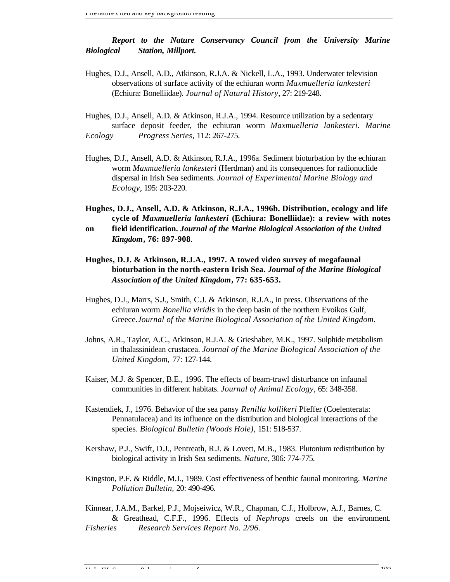*Report to the Nature Conservancy Council from the University Marine Biological Station, Millport.*

- Hughes, D.J., Ansell, A.D., Atkinson, R.J.A. & Nickell, L.A., 1993. Underwater television observations of surface activity of the echiuran worm *Maxmuelleria lankesteri* (Echiura: Bonelliidae). *Journal of Natural History*, 27: 219-248.
- Hughes, D.J., Ansell, A.D. & Atkinson, R.J.A., 1994. Resource utilization by a sedentary surface deposit feeder, the echiuran worm *Maxmuelleria lankesteri. Marine Ecology Progress Series,* 112: 267-275.
- Hughes, D.J., Ansell, A.D. & Atkinson, R.J.A., 1996a. Sediment bioturbation by the echiuran worm *Maxmuelleria lankesteri* (Herdman) and its consequences for radionuclide dispersal in Irish Sea sediments. *Journal of Experimental Marine Biology and Ecology*, 195: 203-220.
- **Hughes, D.J., Ansell, A.D. & Atkinson, R.J.A., 1996b. Distribution, ecology and life cycle of** *Maxmuelleria lankesteri* **(Echiura: Bonelliidae): a review with notes on field identification.** *Journal of the Marine Biological Association of the United*
- *Kingdom***, 76: 897-908**.
- **Hughes, D.J. & Atkinson, R.J.A., 1997. A towed video survey of megafaunal bioturbation in the north-eastern Irish Sea.** *Journal of the Marine Biological Association of the United Kingdom***, 77: 635-653.**
- Hughes, D.J., Marrs, S.J., Smith, C.J. & Atkinson, R.J.A., in press. Observations of the echiuran worm *Bonellia viridis* in the deep basin of the northern Evoikos Gulf, Greece.*Journal of the Marine Biological Association of the United Kingdom.*
- Johns, A.R., Taylor, A.C., Atkinson, R.J.A. & Grieshaber, M.K., 1997. Sulphide metabolism in thalassinidean crustacea. *Journal of the Marine Biological Association of the United Kingdom,* 77: 127-144.
- Kaiser, M.J. & Spencer, B.E., 1996. The effects of beam-trawl disturbance on infaunal communities in different habitats. *Journal of Animal Ecology,* 65: 348-358.
- Kastendiek, J., 1976. Behavior of the sea pansy *Renilla kollikeri* Pfeffer (Coelenterata: Pennatulacea) and its influence on the distribution and biological interactions of the species. *Biological Bulletin (Woods Hole),* 151: 518-537.
- Kershaw, P.J., Swift, D.J., Pentreath, R.J. & Lovett, M.B., 1983. Plutonium redistribution by biological activity in Irish Sea sediments. *Nature*, 306: 774-775.
- Kingston, P.F. & Riddle, M.J., 1989. Cost effectiveness of benthic faunal monitoring. *Marine Pollution Bulletin,* 20: 490-496.
- Kinnear, J.A.M., Barkel, P.J., Mojseiwicz, W.R., Chapman, C.J., Holbrow, A.J., Barnes, C. & Greathead, C.F.F., 1996. Effects of *Nephrops* creels on the environment.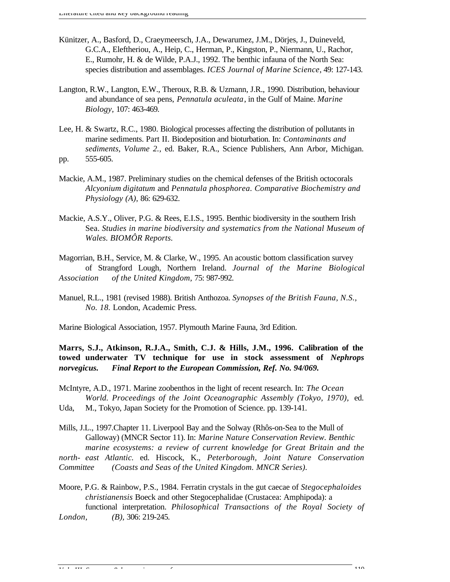- Künitzer, A., Basford, D., Craeymeersch, J.A., Dewarumez, J.M., Dörjes, J., Duineveld, G.C.A., Eleftheriou, A., Heip, C., Herman, P., Kingston, P., Niermann, U., Rachor, E., Rumohr, H. & de Wilde, P.A.J., 1992. The benthic infauna of the North Sea: species distribution and assemblages. *ICES Journal of Marine Science*, 49: 127-143.
- Langton, R.W., Langton, E.W., Theroux, R.B. & Uzmann, J.R., 1990. Distribution, behaviour and abundance of sea pens, *Pennatula aculeata*, in the Gulf of Maine. *Marine Biology,* 107: 463-469.
- Lee, H. & Swartz, R.C., 1980. Biological processes affecting the distribution of pollutants in marine sediments. Part II. Biodeposition and bioturbation. In: *Contaminants and sediments, Volume 2.,* ed. Baker, R.A., Science Publishers, Ann Arbor, Michigan. pp. 555-605.
- Mackie, A.M., 1987. Preliminary studies on the chemical defenses of the British octocorals *Alcyonium digitatum* and *Pennatula phosphorea. Comparative Biochemistry and Physiology (A),* 86: 629-632.
- Mackie, A.S.Y., Oliver, P.G. & Rees, E.I.S., 1995. Benthic biodiversity in the southern Irish Sea. *Studies in marine biodiversity and systematics from the National Museum of Wales. BIOMÔR Reports.*
- Magorrian, B.H., Service, M. & Clarke, W., 1995. An acoustic bottom classification survey of Strangford Lough, Northern Ireland. *Journal of the Marine Biological Association of the United Kingdom,* 75: 987-992.
- Manuel, R.L., 1981 (revised 1988). British Anthozoa. *Synopses of the British Fauna, N.S., No. 18.* London, Academic Press.

Marine Biological Association, 1957. Plymouth Marine Fauna, 3rd Edition.

## **Marrs, S.J., Atkinson, R.J.A., Smith, C.J. & Hills, J.M., 1996. Calibration of the towed underwater TV technique for use in stock assessment of** *Nephrops norvegicus. Final Report to the European Commission, Ref. No. 94/069.*

McIntyre, A.D., 1971. Marine zoobenthos in the light of recent research. In: *The Ocean World. Proceedings of the Joint Oceanographic Assembly (Tokyo, 1970),* ed. Uda, M., Tokyo, Japan Society for the Promotion of Science. pp. 139-141.

- Mills, J.L., 1997.Chapter 11. Liverpool Bay and the Solway (Rhôs-on-Sea to the Mull of Galloway) (MNCR Sector 11). In: *Marine Nature Conservation Review. Benthic marine ecosystems: a review of current knowledge for Great Britain and the north- east Atlantic.* ed. Hiscock, K., *Peterborough, Joint Nature Conservation Committee (Coasts and Seas of the United Kingdom. MNCR Series).*
- Moore, P.G. & Rainbow, P.S., 1984. Ferratin crystals in the gut caecae of *Stegocephaloides christianensis* Boeck and other Stegocephalidae (Crustacea: Amphipoda): a functional interpretation. *Philosophical Transactions of the Royal Society of*

*London, (B),* 306: 219-245.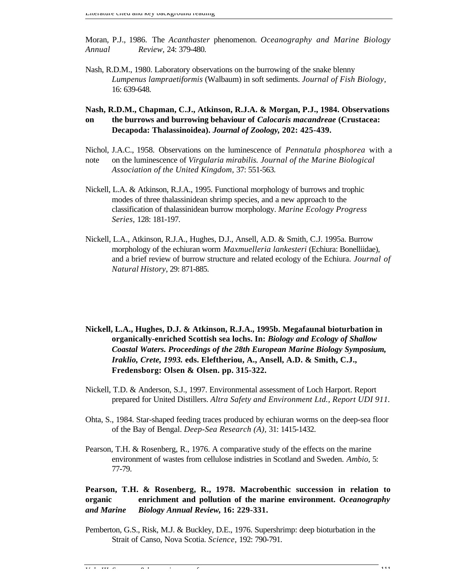Moran, P.J., 1986. The *Acanthaster* phenomenon. *Oceanography and Marine Biology Annual Review,* 24: 379-480.

Nash, R.D.M., 1980. Laboratory observations on the burrowing of the snake blenny *Lumpenus lampraetiformis* (Walbaum) in soft sediments. *Journal of Fish Biology,*  16: 639-648.

### **Nash, R.D.M., Chapman, C.J., Atkinson, R.J.A. & Morgan, P.J., 1984. Observations on the burrows and burrowing behaviour of** *Calocaris macandreae* **(Crustacea: Decapoda: Thalassinoidea).** *Journal of Zoology,* **202: 425-439.**

- Nichol, J.A.C., 1958. Observations on the luminescence of *Pennatula phosphorea* with a note on the luminescence of *Virgularia mirabilis. Journal of the Marine Biological Association of the United Kingdom,* 37: 551-563.
- Nickell, L.A. & Atkinson, R.J.A., 1995. Functional morphology of burrows and trophic modes of three thalassinidean shrimp species, and a new approach to the classification of thalassinidean burrow morphology. *Marine Ecology Progress Series,* 128: 181-197.
- Nickell, L.A., Atkinson, R.J.A., Hughes, D.J., Ansell, A.D. & Smith, C.J. 1995a. Burrow morphology of the echiuran worm *Maxmuelleria lankesteri* (Echiura: Bonelliidae), and a brief review of burrow structure and related ecology of the Echiura. *Journal of Natural History*, 29: 871-885.
- **Nickell, L.A., Hughes, D.J. & Atkinson, R.J.A., 1995b. Megafaunal bioturbation in organically-enriched Scottish sea lochs. In:** *Biology and Ecology of Shallow Coastal Waters. Proceedings of the 28th European Marine Biology Symposium, Iraklio, Crete, 1993.* **eds. Eleftheriou, A., Ansell, A.D. & Smith, C.J., Fredensborg: Olsen & Olsen. pp. 315-322.**
- Nickell, T.D. & Anderson, S.J., 1997. Environmental assessment of Loch Harport. Report prepared for United Distillers. *Altra Safety and Environment Ltd., Report UDI 911.*
- Ohta, S., 1984. Star-shaped feeding traces produced by echiuran worms on the deep-sea floor of the Bay of Bengal. *Deep-Sea Research (A),* 31: 1415-1432.
- Pearson, T.H. & Rosenberg, R., 1976. A comparative study of the effects on the marine environment of wastes from cellulose indistries in Scotland and Sweden. *Ambio,* 5: 77-79.

# **Pearson, T.H. & Rosenberg, R., 1978. Macrobenthic succession in relation to organic enrichment and pollution of the marine environment.** *Oceanography and Marine Biology Annual Review,* **16: 229-331.**

Pemberton, G.S., Risk, M.J. & Buckley, D.E., 1976. Supershrimp: deep bioturbation in the Strait of Canso, Nova Scotia. *Science,* 192: 790-791.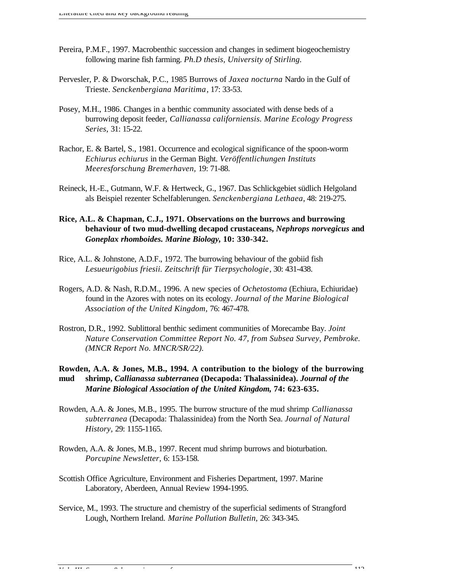- Pereira, P.M.F., 1997. Macrobenthic succession and changes in sediment biogeochemistry following marine fish farming. *Ph.D thesis, University of Stirling.*
- Pervesler, P. & Dworschak, P.C., 1985 Burrows of *Jaxea nocturna* Nardo in the Gulf of Trieste. *Senckenbergiana Maritima*, 17: 33-53.
- Posey, M.H., 1986. Changes in a benthic community associated with dense beds of a burrowing deposit feeder, *Callianassa californiensis. Marine Ecology Progress Series,* 31: 15-22.
- Rachor, E. & Bartel, S., 1981. Occurrence and ecological significance of the spoon-worm *Echiurus echiurus* in the German Bight. *Veröffentlichungen Instituts Meeresforschung Bremerhaven,* 19: 71-88.
- Reineck, H.-E., Gutmann, W.F. & Hertweck, G., 1967. Das Schlickgebiet südlich Helgoland als Beispiel rezenter Schelfablerungen. *Senckenbergiana Lethaea*, 48: 219-275.
- **Rice, A.L. & Chapman, C.J., 1971. Observations on the burrows and burrowing behaviour of two mud-dwelling decapod crustaceans,** *Nephrops norvegicus* **and** *Goneplax rhomboides. Marine Biology,* **10: 330-342.**
- Rice, A.L. & Johnstone, A.D.F., 1972. The burrowing behaviour of the gobiid fish *Lesueurigobius friesii. Zeitschrift für Tierpsychologie*, 30: 431-438.
- Rogers, A.D. & Nash, R.D.M., 1996. A new species of *Ochetostoma* (Echiura, Echiuridae) found in the Azores with notes on its ecology. *Journal of the Marine Biological Association of the United Kingdom,* 76: 467-478.
- Rostron, D.R., 1992. Sublittoral benthic sediment communities of Morecambe Bay. *Joint Nature Conservation Committee Report No. 47, from Subsea Survey, Pembroke. (MNCR Report No. MNCR/SR/22).*

**Rowden, A.A. & Jones, M.B., 1994. A contribution to the biology of the burrowing mud shrimp,** *Callianassa subterranea* **(Decapoda: Thalassinidea).** *Journal of the Marine Biological Association of the United Kingdom,* **74: 623-635.**

- Rowden, A.A. & Jones, M.B., 1995. The burrow structure of the mud shrimp *Callianassa subterranea* (Decapoda: Thalassinidea) from the North Sea. *Journal of Natural History,* 29: 1155-1165.
- Rowden, A.A. & Jones, M.B., 1997. Recent mud shrimp burrows and bioturbation. *Porcupine Newsletter,* 6: 153-158.
- Scottish Office Agriculture, Environment and Fisheries Department, 1997. Marine Laboratory, Aberdeen, Annual Review 1994-1995.
- Service, M., 1993. The structure and chemistry of the superficial sediments of Strangford Lough, Northern Ireland. *Marine Pollution Bulletin,* 26: 343-345.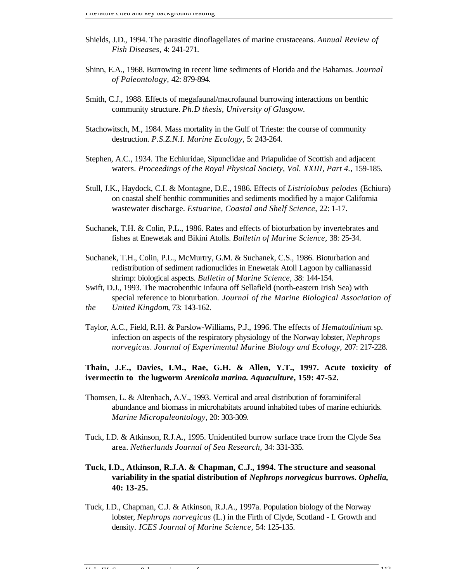- Shields, J.D., 1994. The parasitic dinoflagellates of marine crustaceans. *Annual Review of Fish Diseases,* 4: 241-271.
- Shinn, E.A., 1968. Burrowing in recent lime sediments of Florida and the Bahamas. *Journal of Paleontology,* 42: 879-894.
- Smith, C.J., 1988. Effects of megafaunal/macrofaunal burrowing interactions on benthic community structure. *Ph.D thesis, University of Glasgow.*
- Stachowitsch, M., 1984. Mass mortality in the Gulf of Trieste: the course of community destruction. *P.S.Z.N.I. Marine Ecology,* 5: 243-264.
- Stephen, A.C., 1934. The Echiuridae, Sipunclidae and Priapulidae of Scottish and adjacent waters. *Proceedings of the Royal Physical Society, Vol. XXIII, Part 4.,* 159-185.
- Stull, J.K., Haydock, C.I. & Montagne, D.E., 1986. Effects of *Listriolobus pelodes* (Echiura) on coastal shelf benthic communities and sediments modified by a major California wastewater discharge. *Estuarine, Coastal and Shelf Science,* 22: 1-17.
- Suchanek, T.H. & Colin, P.L., 1986. Rates and effects of bioturbation by invertebrates and fishes at Enewetak and Bikini Atolls. *Bulletin of Marine Science,* 38: 25-34.
- Suchanek, T.H., Colin, P.L., McMurtry, G.M. & Suchanek, C.S., 1986. Bioturbation and redistribution of sediment radionuclides in Enewetak Atoll Lagoon by callianassid shrimp: biological aspects. *Bulletin of Marine Science,* 38: 144-154.
- Swift, D.J., 1993. The macrobenthic infauna off Sellafield (north-eastern Irish Sea) with special reference to bioturbation. *Journal of the Marine Biological Association of the United Kingdom*, 73: 143-162.
- Taylor, A.C., Field, R.H. & Parslow-Williams, P.J., 1996. The effects of *Hematodinium* sp. infection on aspects of the respiratory physiology of the Norway lobster, *Nephrops norvegicus*. *Journal of Experimental Marine Biology and Ecology,* 207: 217-228.

# **Thain, J.E., Davies, I.M., Rae, G.H. & Allen, Y.T., 1997. Acute toxicity of ivermectin to the lugworm** *Arenicola marina. Aquaculture***, 159: 47-52.**

- Thomsen, L. & Altenbach, A.V., 1993. Vertical and areal distribution of foraminiferal abundance and biomass in microhabitats around inhabited tubes of marine echiurids. *Marine Micropaleontology*, 20: 303-309.
- Tuck, I.D. & Atkinson, R.J.A., 1995. Unidentifed burrow surface trace from the Clyde Sea area. *Netherlands Journal of Sea Research,* 34: 331-335.

# **Tuck, I.D., Atkinson, R.J.A. & Chapman, C.J., 1994. The structure and seasonal variability in the spatial distribution of** *Nephrops norvegicus* **burrows.** *Ophelia,*  **40: 13-25.**

Tuck, I.D., Chapman, C.J. & Atkinson, R.J.A., 1997a. Population biology of the Norway lobster, *Nephrops norvegicus* (L.) in the Firth of Clyde, Scotland - I. Growth and density. *ICES Journal of Marine Science,* 54: 125-135.